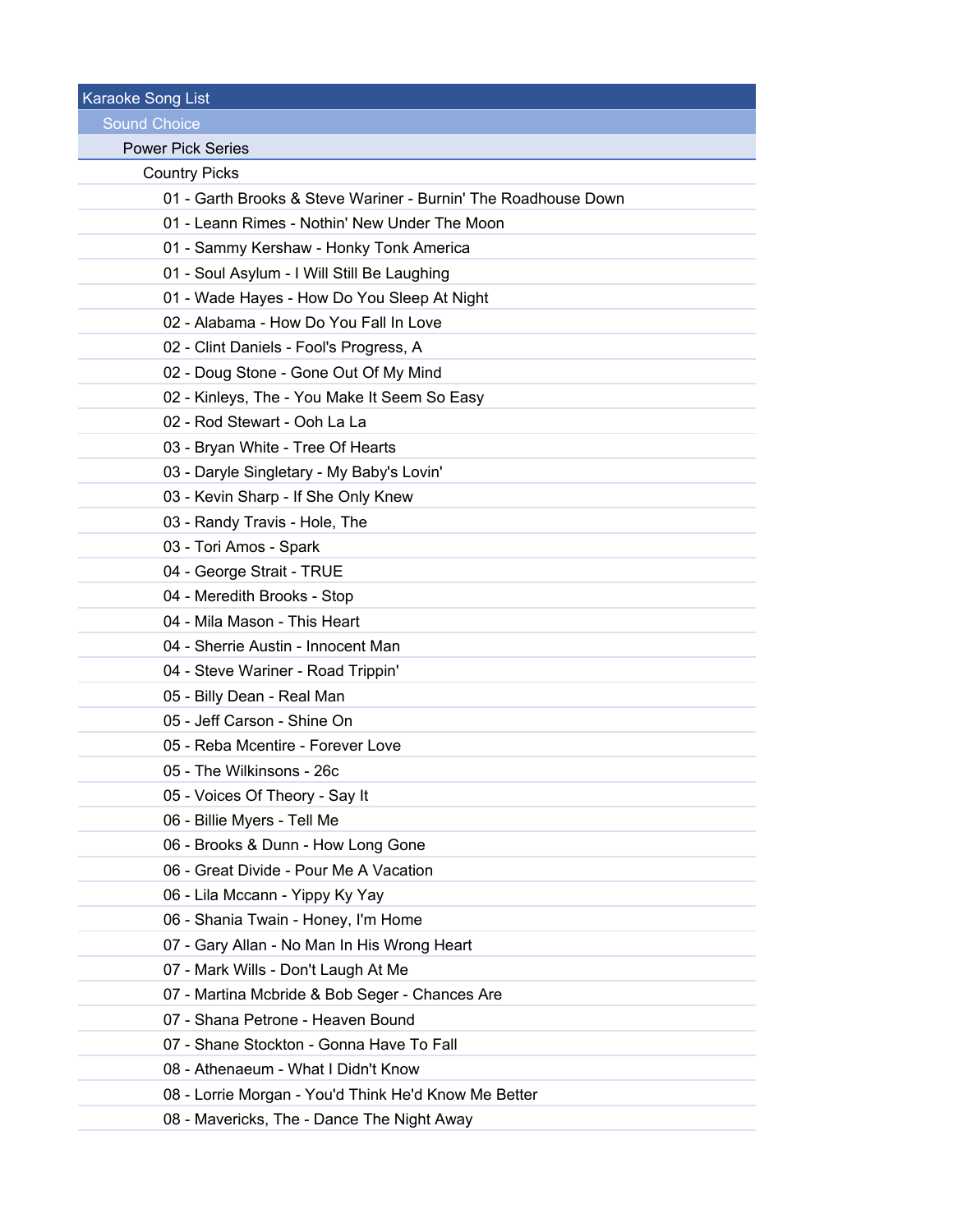| <b>Karaoke Song List</b>                                       |
|----------------------------------------------------------------|
| <b>Sound Choice</b>                                            |
| <b>Power Pick Series</b>                                       |
| <b>Country Picks</b>                                           |
| 01 - Garth Brooks & Steve Wariner - Burnin' The Roadhouse Down |
| 01 - Leann Rimes - Nothin' New Under The Moon                  |
| 01 - Sammy Kershaw - Honky Tonk America                        |
| 01 - Soul Asylum - I Will Still Be Laughing                    |
| 01 - Wade Hayes - How Do You Sleep At Night                    |
| 02 - Alabama - How Do You Fall In Love                         |
| 02 - Clint Daniels - Fool's Progress, A                        |
| 02 - Doug Stone - Gone Out Of My Mind                          |
| 02 - Kinleys, The - You Make It Seem So Easy                   |
| 02 - Rod Stewart - Ooh La La                                   |
| 03 - Bryan White - Tree Of Hearts                              |
| 03 - Daryle Singletary - My Baby's Lovin'                      |
| 03 - Kevin Sharp - If She Only Knew                            |
| 03 - Randy Travis - Hole, The                                  |
| 03 - Tori Amos - Spark                                         |
| 04 - George Strait - TRUE                                      |
| 04 - Meredith Brooks - Stop                                    |
| 04 - Mila Mason - This Heart                                   |
| 04 - Sherrie Austin - Innocent Man                             |
| 04 - Steve Wariner - Road Trippin'                             |
| 05 - Billy Dean - Real Man                                     |
| 05 - Jeff Carson - Shine On                                    |
| 05 - Reba Mcentire - Forever Love                              |
| 05 - The Wilkinsons - 26c                                      |
| 05 - Voices Of Theory - Say It                                 |
| 06 - Billie Myers - Tell Me                                    |
| 06 - Brooks & Dunn - How Long Gone                             |
| 06 - Great Divide - Pour Me A Vacation                         |
| 06 - Lila Mccann - Yippy Ky Yay                                |
| 06 - Shania Twain - Honey, I'm Home                            |
| 07 - Gary Allan - No Man In His Wrong Heart                    |
| 07 - Mark Wills - Don't Laugh At Me                            |
| 07 - Martina Mcbride & Bob Seger - Chances Are                 |
| 07 - Shana Petrone - Heaven Bound                              |
| 07 - Shane Stockton - Gonna Have To Fall                       |
| 08 - Athenaeum - What I Didn't Know                            |
| 08 - Lorrie Morgan - You'd Think He'd Know Me Better           |
| 08 - Mavericks, The - Dance The Night Away                     |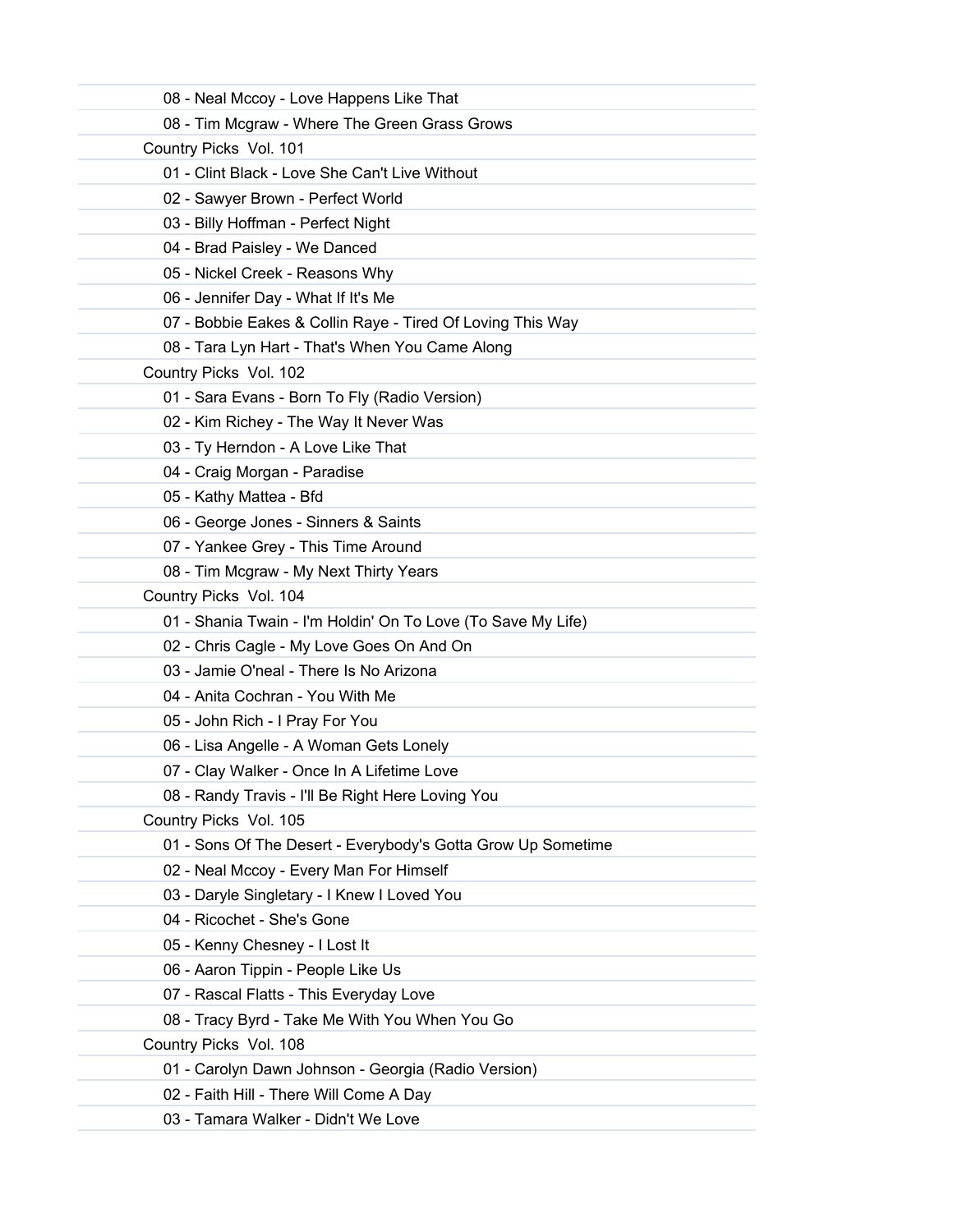| 08 - Neal Mccoy - Love Happens Like That                     |  |
|--------------------------------------------------------------|--|
| 08 - Tim Mcgraw - Where The Green Grass Grows                |  |
| Country Picks Vol. 101                                       |  |
| 01 - Clint Black - Love She Can't Live Without               |  |
| 02 - Sawyer Brown - Perfect World                            |  |
| 03 - Billy Hoffman - Perfect Night                           |  |
| 04 - Brad Paisley - We Danced                                |  |
| 05 - Nickel Creek - Reasons Why                              |  |
| 06 - Jennifer Day - What If It's Me                          |  |
| 07 - Bobbie Eakes & Collin Raye - Tired Of Loving This Way   |  |
| 08 - Tara Lyn Hart - That's When You Came Along              |  |
| Country Picks Vol. 102                                       |  |
| 01 - Sara Evans - Born To Fly (Radio Version)                |  |
| 02 - Kim Richey - The Way It Never Was                       |  |
| 03 - Ty Herndon - A Love Like That                           |  |
| 04 - Craig Morgan - Paradise                                 |  |
| 05 - Kathy Mattea - Bfd                                      |  |
| 06 - George Jones - Sinners & Saints                         |  |
| 07 - Yankee Grey - This Time Around                          |  |
| 08 - Tim Mcgraw - My Next Thirty Years                       |  |
| Country Picks Vol. 104                                       |  |
| 01 - Shania Twain - I'm Holdin' On To Love (To Save My Life) |  |
| 02 - Chris Cagle - My Love Goes On And On                    |  |
| 03 - Jamie O'neal - There Is No Arizona                      |  |
| 04 - Anita Cochran - You With Me                             |  |
| 05 - John Rich - I Pray For You                              |  |
| 06 - Lisa Angelle - A Woman Gets Lonely                      |  |
| 07 - Clay Walker - Once In A Lifetime Love                   |  |
| 08 - Randy Travis - I'll Be Right Here Loving You            |  |
| Country Picks Vol. 105                                       |  |
| 01 - Sons Of The Desert - Everybody's Gotta Grow Up Sometime |  |
| 02 - Neal Mccoy - Every Man For Himself                      |  |
| 03 - Daryle Singletary - I Knew I Loved You                  |  |
| 04 - Ricochet - She's Gone                                   |  |
| 05 - Kenny Chesney - I Lost It                               |  |
| 06 - Aaron Tippin - People Like Us                           |  |
| 07 - Rascal Flatts - This Everyday Love                      |  |
| 08 - Tracy Byrd - Take Me With You When You Go               |  |
| Country Picks Vol. 108                                       |  |
| 01 - Carolyn Dawn Johnson - Georgia (Radio Version)          |  |
| 02 - Faith Hill - There Will Come A Day                      |  |
| 03 - Tamara Walker - Didn't We Love                          |  |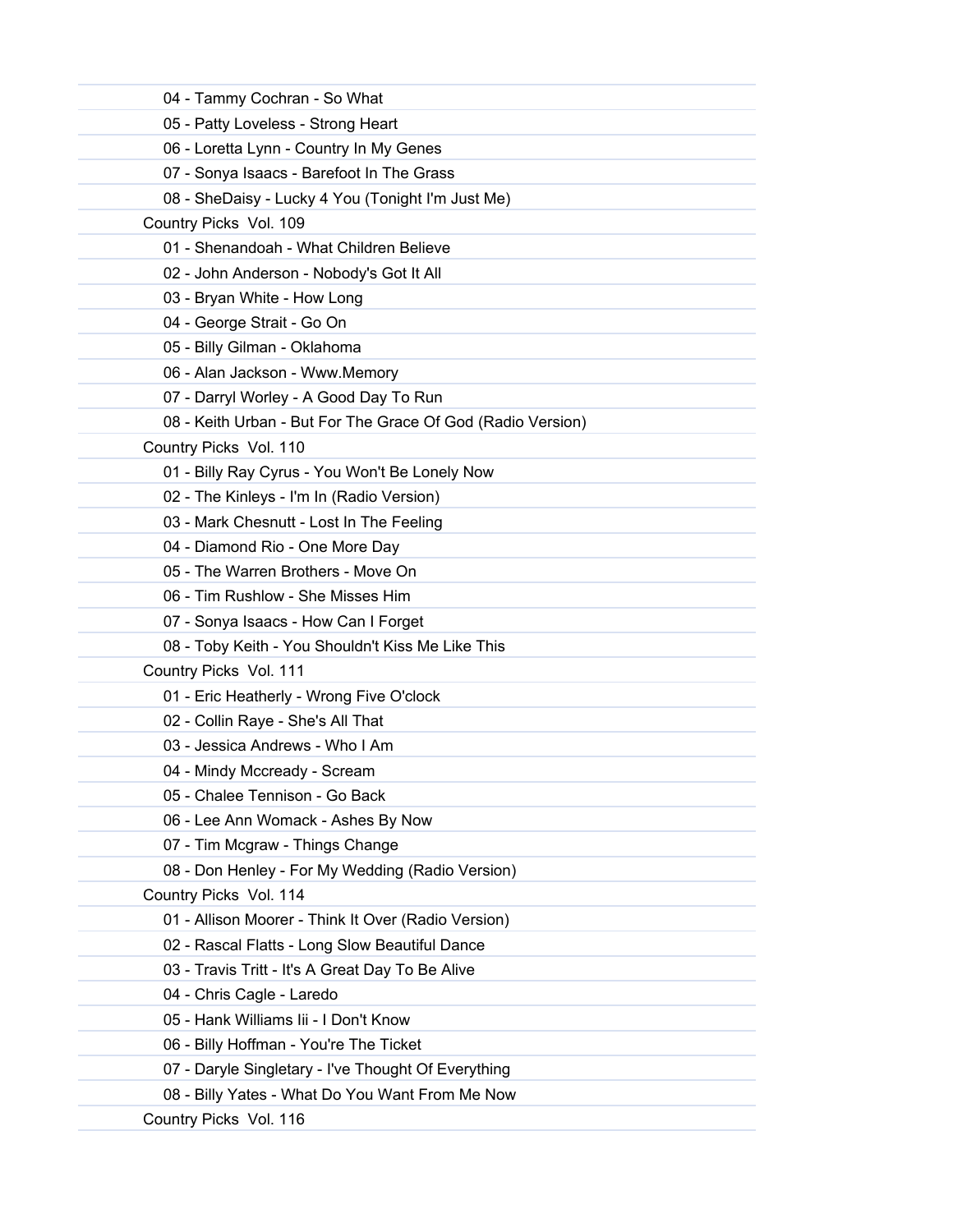| 04 - Tammy Cochran - So What                                |
|-------------------------------------------------------------|
| 05 - Patty Loveless - Strong Heart                          |
| 06 - Loretta Lynn - Country In My Genes                     |
| 07 - Sonya Isaacs - Barefoot In The Grass                   |
| 08 - SheDaisy - Lucky 4 You (Tonight I'm Just Me)           |
| Country Picks Vol. 109                                      |
| 01 - Shenandoah - What Children Believe                     |
| 02 - John Anderson - Nobody's Got It All                    |
| 03 - Bryan White - How Long                                 |
| 04 - George Strait - Go On                                  |
| 05 - Billy Gilman - Oklahoma                                |
| 06 - Alan Jackson - Www.Memory                              |
| 07 - Darryl Worley - A Good Day To Run                      |
| 08 - Keith Urban - But For The Grace Of God (Radio Version) |
| Country Picks Vol. 110                                      |
| 01 - Billy Ray Cyrus - You Won't Be Lonely Now              |
| 02 - The Kinleys - I'm In (Radio Version)                   |
| 03 - Mark Chesnutt - Lost In The Feeling                    |
| 04 - Diamond Rio - One More Day                             |
| 05 - The Warren Brothers - Move On                          |
| 06 - Tim Rushlow - She Misses Him                           |
| 07 - Sonya Isaacs - How Can I Forget                        |
| 08 - Toby Keith - You Shouldn't Kiss Me Like This           |
| Country Picks Vol. 111                                      |
| 01 - Eric Heatherly - Wrong Five O'clock                    |
| 02 - Collin Raye - She's All That                           |
| 03 - Jessica Andrews - Who I Am                             |
| 04 - Mindy Mccready - Scream                                |
| 05 - Chalee Tennison - Go Back                              |
| 06 - Lee Ann Womack - Ashes By Now                          |
| 07 - Tim Mcgraw - Things Change                             |
| 08 - Don Henley - For My Wedding (Radio Version)            |
| Country Picks Vol. 114                                      |
| 01 - Allison Moorer - Think It Over (Radio Version)         |
| 02 - Rascal Flatts - Long Slow Beautiful Dance              |
| 03 - Travis Tritt - It's A Great Day To Be Alive            |
| 04 - Chris Cagle - Laredo                                   |
| 05 - Hank Williams Iii - I Don't Know                       |
| 06 - Billy Hoffman - You're The Ticket                      |
| 07 - Daryle Singletary - I've Thought Of Everything         |
| 08 - Billy Yates - What Do You Want From Me Now             |
| Country Picks Vol. 116                                      |
|                                                             |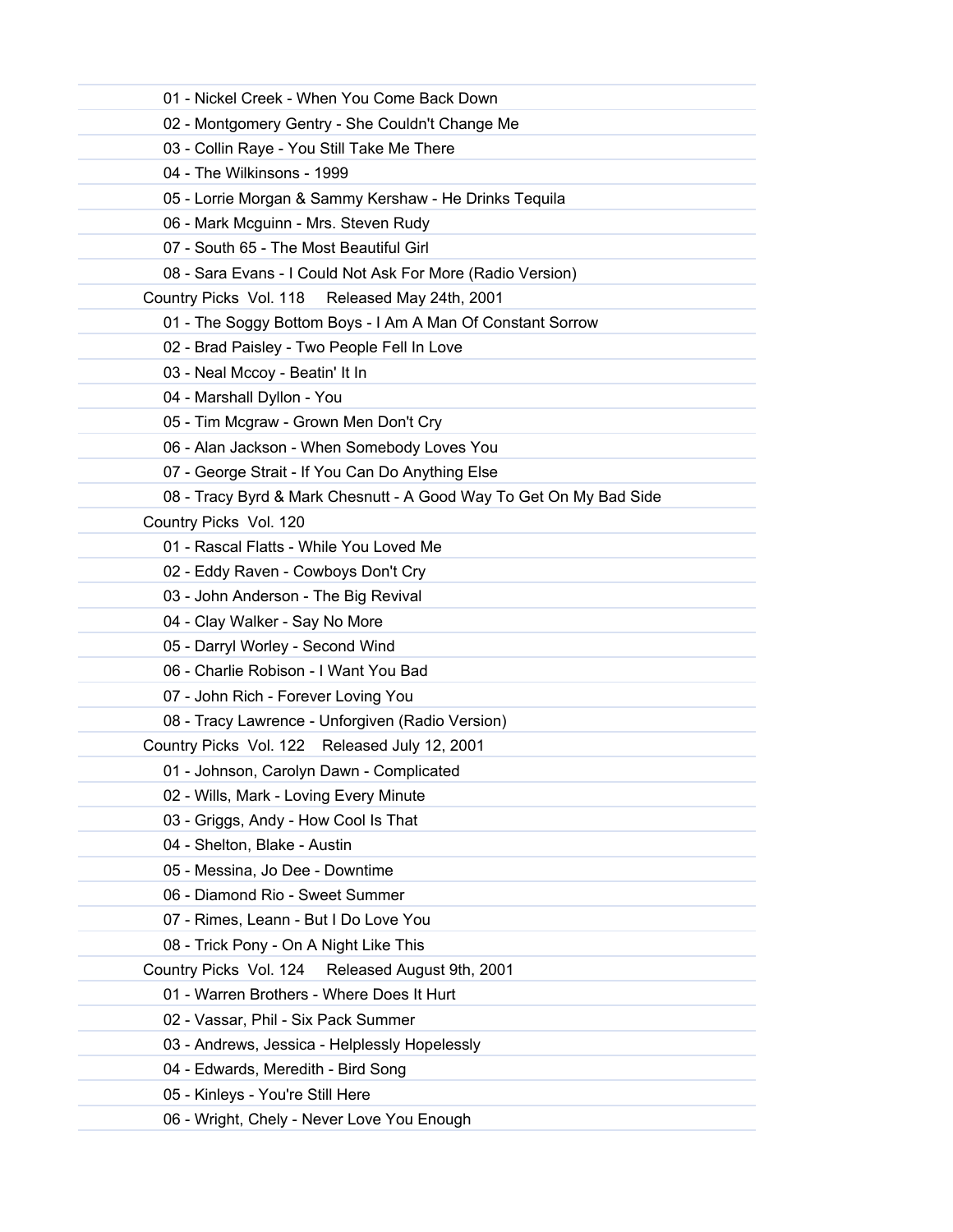| 01 - Nickel Creek - When You Come Back Down                        |
|--------------------------------------------------------------------|
| 02 - Montgomery Gentry - She Couldn't Change Me                    |
| 03 - Collin Raye - You Still Take Me There                         |
| 04 - The Wilkinsons - 1999                                         |
| 05 - Lorrie Morgan & Sammy Kershaw - He Drinks Tequila             |
| 06 - Mark Mcguinn - Mrs. Steven Rudy                               |
| 07 - South 65 - The Most Beautiful Girl                            |
| 08 - Sara Evans - I Could Not Ask For More (Radio Version)         |
| Country Picks Vol. 118 Released May 24th, 2001                     |
| 01 - The Soggy Bottom Boys - I Am A Man Of Constant Sorrow         |
| 02 - Brad Paisley - Two People Fell In Love                        |
| 03 - Neal Mccoy - Beatin' It In                                    |
| 04 - Marshall Dyllon - You                                         |
| 05 - Tim Mcgraw - Grown Men Don't Cry                              |
| 06 - Alan Jackson - When Somebody Loves You                        |
| 07 - George Strait - If You Can Do Anything Else                   |
| 08 - Tracy Byrd & Mark Chesnutt - A Good Way To Get On My Bad Side |
| Country Picks Vol. 120                                             |
| 01 - Rascal Flatts - While You Loved Me                            |
| 02 - Eddy Raven - Cowboys Don't Cry                                |
| 03 - John Anderson - The Big Revival                               |
| 04 - Clay Walker - Say No More                                     |
| 05 - Darryl Worley - Second Wind                                   |
| 06 - Charlie Robison - I Want You Bad                              |
| 07 - John Rich - Forever Loving You                                |
| 08 - Tracy Lawrence - Unforgiven (Radio Version)                   |
| Country Picks Vol. 122 Released July 12, 2001                      |
| 01 - Johnson, Carolyn Dawn - Complicated                           |
| 02 - Wills, Mark - Loving Every Minute                             |
| 03 - Griggs, Andy - How Cool Is That                               |
| 04 - Shelton, Blake - Austin                                       |
| 05 - Messina, Jo Dee - Downtime                                    |
| 06 - Diamond Rio - Sweet Summer                                    |
| 07 - Rimes, Leann - But I Do Love You                              |
| 08 - Trick Pony - On A Night Like This                             |
| Country Picks Vol. 124<br>Released August 9th, 2001                |
| 01 - Warren Brothers - Where Does It Hurt                          |
| 02 - Vassar, Phil - Six Pack Summer                                |
| 03 - Andrews, Jessica - Helplessly Hopelessly                      |
| 04 - Edwards, Meredith - Bird Song                                 |
| 05 - Kinleys - You're Still Here                                   |
| 06 - Wright, Chely - Never Love You Enough                         |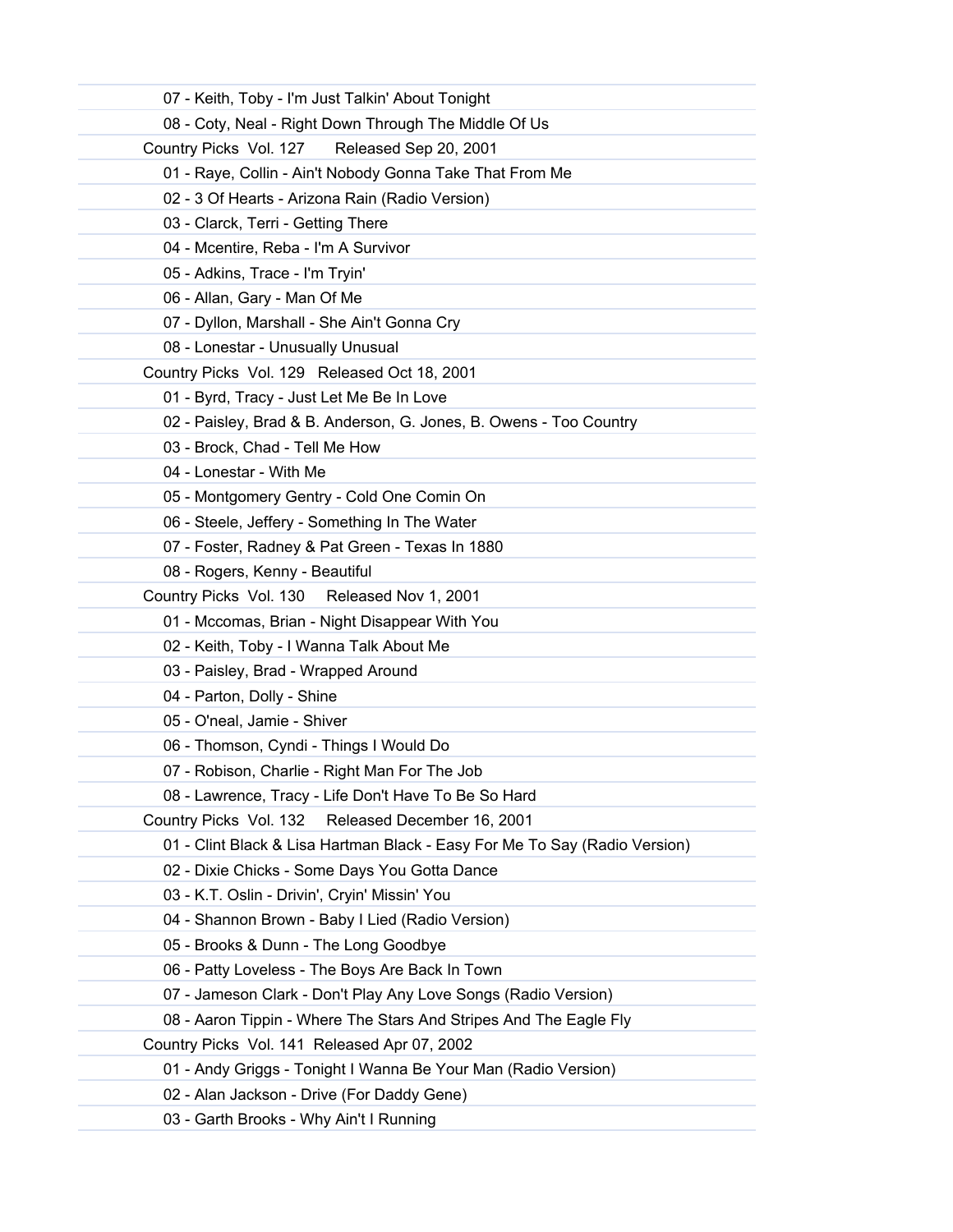| 07 - Keith, Toby - I'm Just Talkin' About Tonight                          |
|----------------------------------------------------------------------------|
| 08 - Coty, Neal - Right Down Through The Middle Of Us                      |
| Country Picks Vol. 127 Released Sep 20, 2001                               |
| 01 - Raye, Collin - Ain't Nobody Gonna Take That From Me                   |
| 02 - 3 Of Hearts - Arizona Rain (Radio Version)                            |
| 03 - Clarck, Terri - Getting There                                         |
| 04 - Mcentire, Reba - I'm A Survivor                                       |
| 05 - Adkins, Trace - I'm Tryin'                                            |
| 06 - Allan, Gary - Man Of Me                                               |
| 07 - Dyllon, Marshall - She Ain't Gonna Cry                                |
| 08 - Lonestar - Unusually Unusual                                          |
| Country Picks Vol. 129 Released Oct 18, 2001                               |
| 01 - Byrd, Tracy - Just Let Me Be In Love                                  |
| 02 - Paisley, Brad & B. Anderson, G. Jones, B. Owens - Too Country         |
| 03 - Brock, Chad - Tell Me How                                             |
| 04 - Lonestar - With Me                                                    |
| 05 - Montgomery Gentry - Cold One Comin On                                 |
| 06 - Steele, Jeffery - Something In The Water                              |
| 07 - Foster, Radney & Pat Green - Texas In 1880                            |
| 08 - Rogers, Kenny - Beautiful                                             |
| Country Picks Vol. 130 Released Nov 1, 2001                                |
| 01 - Mccomas, Brian - Night Disappear With You                             |
| 02 - Keith, Toby - I Wanna Talk About Me                                   |
| 03 - Paisley, Brad - Wrapped Around                                        |
| 04 - Parton, Dolly - Shine                                                 |
| 05 - O'neal, Jamie - Shiver                                                |
| 06 - Thomson, Cyndi - Things I Would Do                                    |
| 07 - Robison, Charlie - Right Man For The Job                              |
| 08 - Lawrence, Tracy - Life Don't Have To Be So Hard                       |
| Country Picks Vol. 132<br>Released December 16, 2001                       |
| 01 - Clint Black & Lisa Hartman Black - Easy For Me To Say (Radio Version) |
| 02 - Dixie Chicks - Some Days You Gotta Dance                              |
| 03 - K.T. Oslin - Drivin', Cryin' Missin' You                              |
| 04 - Shannon Brown - Baby I Lied (Radio Version)                           |
| 05 - Brooks & Dunn - The Long Goodbye                                      |
| 06 - Patty Loveless - The Boys Are Back In Town                            |
| 07 - Jameson Clark - Don't Play Any Love Songs (Radio Version)             |
| 08 - Aaron Tippin - Where The Stars And Stripes And The Eagle Fly          |
| Country Picks Vol. 141 Released Apr 07, 2002                               |
| 01 - Andy Griggs - Tonight I Wanna Be Your Man (Radio Version)             |
| 02 - Alan Jackson - Drive (For Daddy Gene)                                 |
| 03 - Garth Brooks - Why Ain't I Running                                    |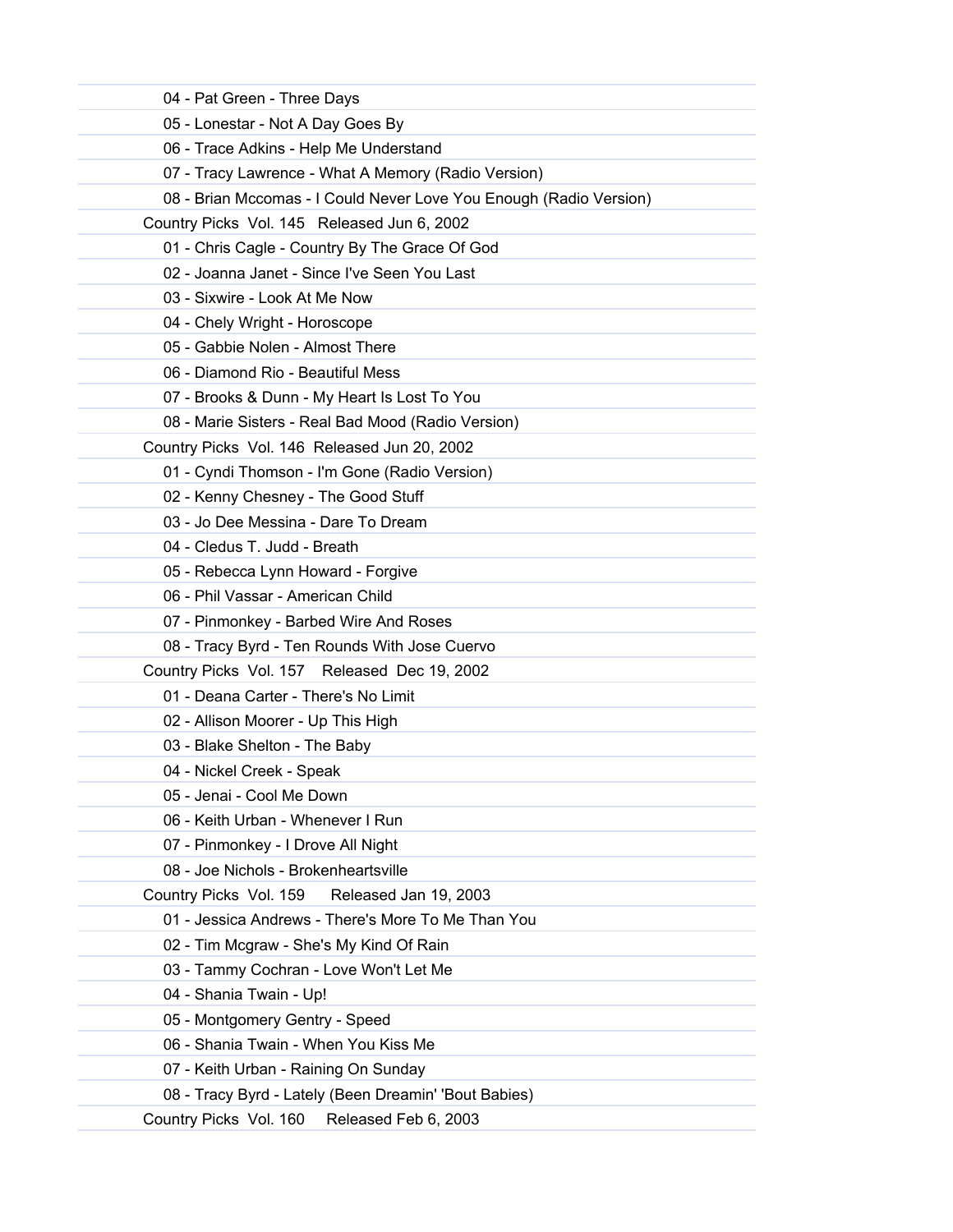| 04 - Pat Green - Three Days                                        |  |
|--------------------------------------------------------------------|--|
| 05 - Lonestar - Not A Day Goes By                                  |  |
| 06 - Trace Adkins - Help Me Understand                             |  |
| 07 - Tracy Lawrence - What A Memory (Radio Version)                |  |
| 08 - Brian Mccomas - I Could Never Love You Enough (Radio Version) |  |
| Country Picks Vol. 145 Released Jun 6, 2002                        |  |
| 01 - Chris Cagle - Country By The Grace Of God                     |  |
| 02 - Joanna Janet - Since I've Seen You Last                       |  |
| 03 - Sixwire - Look At Me Now                                      |  |
| 04 - Chely Wright - Horoscope                                      |  |
| 05 - Gabbie Nolen - Almost There                                   |  |
| 06 - Diamond Rio - Beautiful Mess                                  |  |
| 07 - Brooks & Dunn - My Heart Is Lost To You                       |  |
| 08 - Marie Sisters - Real Bad Mood (Radio Version)                 |  |
| Country Picks Vol. 146 Released Jun 20, 2002                       |  |
| 01 - Cyndi Thomson - I'm Gone (Radio Version)                      |  |
| 02 - Kenny Chesney - The Good Stuff                                |  |
| 03 - Jo Dee Messina - Dare To Dream                                |  |
| 04 - Cledus T. Judd - Breath                                       |  |
| 05 - Rebecca Lynn Howard - Forgive                                 |  |
| 06 - Phil Vassar - American Child                                  |  |
| 07 - Pinmonkey - Barbed Wire And Roses                             |  |
| 08 - Tracy Byrd - Ten Rounds With Jose Cuervo                      |  |
| Country Picks Vol. 157 Released Dec 19, 2002                       |  |
| 01 - Deana Carter - There's No Limit                               |  |
| 02 - Allison Moorer - Up This High                                 |  |
| 03 - Blake Shelton - The Baby                                      |  |
| 04 - Nickel Creek - Speak                                          |  |
| 05 - Jenai - Cool Me Down                                          |  |
| 06 - Keith Urban - Whenever I Run                                  |  |
| 07 - Pinmonkey - I Drove All Night                                 |  |
| 08 - Joe Nichols - Brokenheartsville                               |  |
| Country Picks Vol. 159<br>Released Jan 19, 2003                    |  |
| 01 - Jessica Andrews - There's More To Me Than You                 |  |
| 02 - Tim Mcgraw - She's My Kind Of Rain                            |  |
| 03 - Tammy Cochran - Love Won't Let Me                             |  |
| 04 - Shania Twain - Up!                                            |  |
| 05 - Montgomery Gentry - Speed                                     |  |
| 06 - Shania Twain - When You Kiss Me                               |  |
| 07 - Keith Urban - Raining On Sunday                               |  |
| 08 - Tracy Byrd - Lately (Been Dreamin' 'Bout Babies)              |  |
| Country Picks Vol. 160<br>Released Feb 6, 2003                     |  |
|                                                                    |  |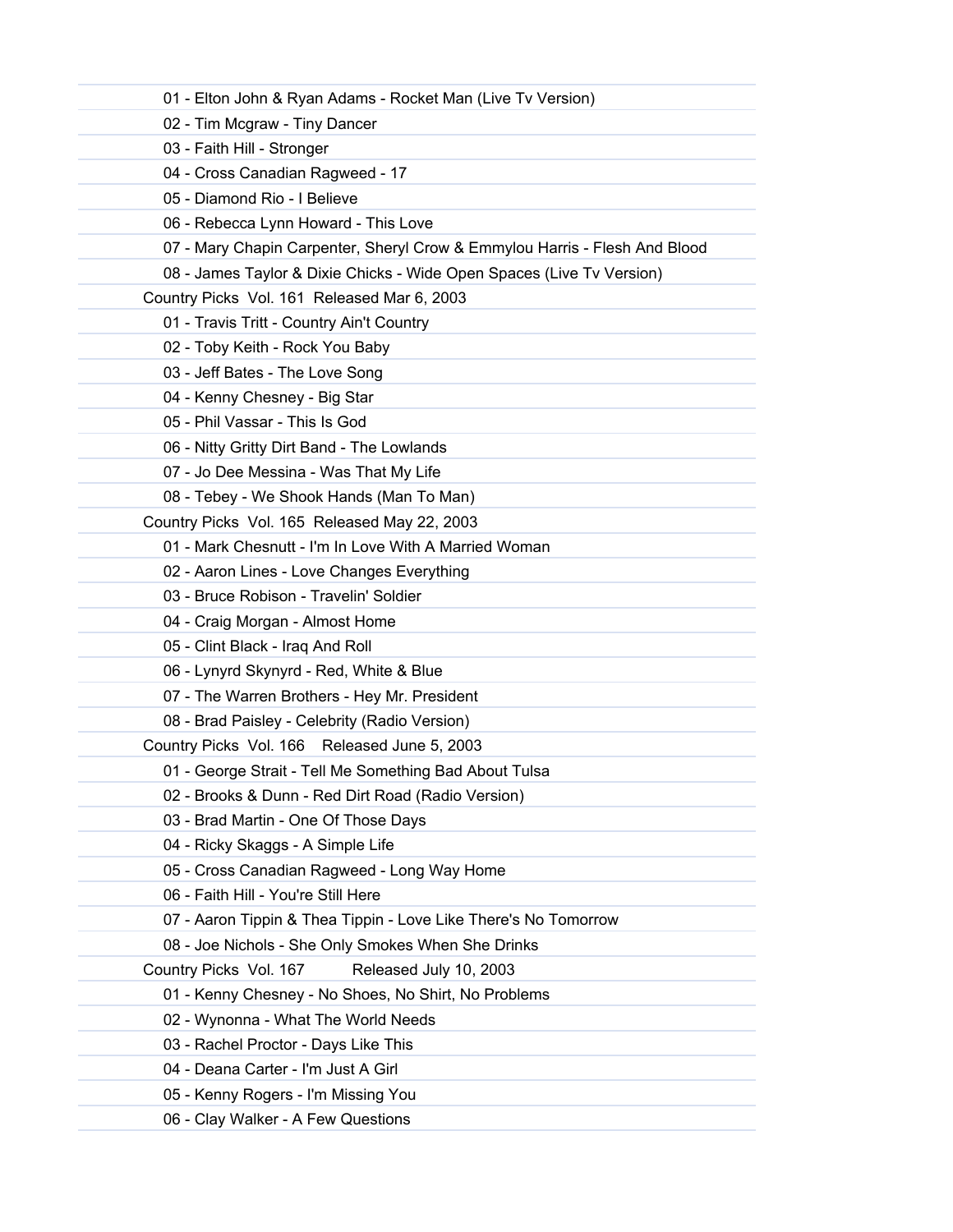| 01 - Elton John & Ryan Adams - Rocket Man (Live Tv Version)                |
|----------------------------------------------------------------------------|
| 02 - Tim Mcgraw - Tiny Dancer                                              |
| 03 - Faith Hill - Stronger                                                 |
| 04 - Cross Canadian Ragweed - 17                                           |
| 05 - Diamond Rio - I Believe                                               |
| 06 - Rebecca Lynn Howard - This Love                                       |
| 07 - Mary Chapin Carpenter, Sheryl Crow & Emmylou Harris - Flesh And Blood |
| 08 - James Taylor & Dixie Chicks - Wide Open Spaces (Live Tv Version)      |
| Country Picks Vol. 161 Released Mar 6, 2003                                |
| 01 - Travis Tritt - Country Ain't Country                                  |
| 02 - Toby Keith - Rock You Baby                                            |
| 03 - Jeff Bates - The Love Song                                            |
| 04 - Kenny Chesney - Big Star                                              |
| 05 - Phil Vassar - This Is God                                             |
| 06 - Nitty Gritty Dirt Band - The Lowlands                                 |
| 07 - Jo Dee Messina - Was That My Life                                     |
| 08 - Tebey - We Shook Hands (Man To Man)                                   |
| Country Picks Vol. 165 Released May 22, 2003                               |
| 01 - Mark Chesnutt - I'm In Love With A Married Woman                      |
| 02 - Aaron Lines - Love Changes Everything                                 |
| 03 - Bruce Robison - Travelin' Soldier                                     |
| 04 - Craig Morgan - Almost Home                                            |
| 05 - Clint Black - Iraq And Roll                                           |
| 06 - Lynyrd Skynyrd - Red, White & Blue                                    |
| 07 - The Warren Brothers - Hey Mr. President                               |
| 08 - Brad Paisley - Celebrity (Radio Version)                              |
| Country Picks Vol. 166 Released June 5, 2003                               |
| 01 - George Strait - Tell Me Something Bad About Tulsa                     |
| 02 - Brooks & Dunn - Red Dirt Road (Radio Version)                         |
| 03 - Brad Martin - One Of Those Days                                       |
| 04 - Ricky Skaggs - A Simple Life                                          |
| 05 - Cross Canadian Ragweed - Long Way Home                                |
| 06 - Faith Hill - You're Still Here                                        |
| 07 - Aaron Tippin & Thea Tippin - Love Like There's No Tomorrow            |
| 08 - Joe Nichols - She Only Smokes When She Drinks                         |
| Released July 10, 2003<br>Country Picks Vol. 167                           |
| 01 - Kenny Chesney - No Shoes, No Shirt, No Problems                       |
| 02 - Wynonna - What The World Needs                                        |
| 03 - Rachel Proctor - Days Like This                                       |
| 04 - Deana Carter - I'm Just A Girl                                        |
| 05 - Kenny Rogers - I'm Missing You                                        |
| 06 - Clay Walker - A Few Questions                                         |
|                                                                            |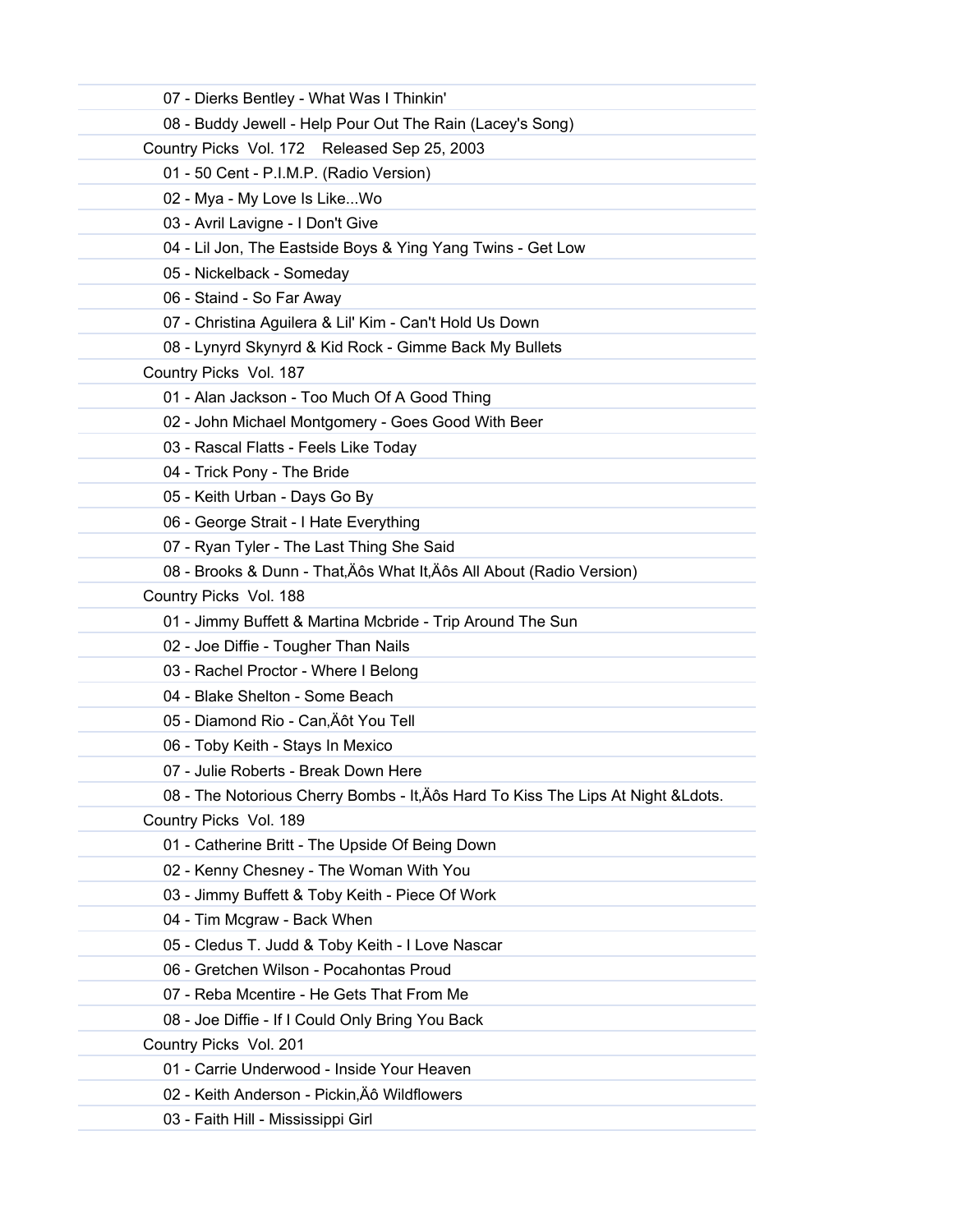| 07 - Dierks Bentley - What Was I Thinkin'                                         |
|-----------------------------------------------------------------------------------|
| 08 - Buddy Jewell - Help Pour Out The Rain (Lacey's Song)                         |
| Country Picks Vol. 172 Released Sep 25, 2003                                      |
| 01 - 50 Cent - P.I.M.P. (Radio Version)                                           |
| 02 - Mya - My Love Is LikeWo                                                      |
| 03 - Avril Lavigne - I Don't Give                                                 |
| 04 - Lil Jon, The Eastside Boys & Ying Yang Twins - Get Low                       |
| 05 - Nickelback - Someday                                                         |
| 06 - Staind - So Far Away                                                         |
| 07 - Christina Aguilera & Lil' Kim - Can't Hold Us Down                           |
| 08 - Lynyrd Skynyrd & Kid Rock - Gimme Back My Bullets                            |
| Country Picks Vol. 187                                                            |
| 01 - Alan Jackson - Too Much Of A Good Thing                                      |
| 02 - John Michael Montgomery - Goes Good With Beer                                |
| 03 - Rascal Flatts - Feels Like Today                                             |
| 04 - Trick Pony - The Bride                                                       |
| 05 - Keith Urban - Days Go By                                                     |
| 06 - George Strait - I Hate Everything                                            |
| 07 - Ryan Tyler - The Last Thing She Said                                         |
| 08 - Brooks & Dunn - That, Äôs What It, Äôs All About (Radio Version)             |
| Country Picks Vol. 188                                                            |
| 01 - Jimmy Buffett & Martina Mcbride - Trip Around The Sun                        |
| 02 - Joe Diffie - Tougher Than Nails                                              |
| 03 - Rachel Proctor - Where I Belong                                              |
| 04 - Blake Shelton - Some Beach                                                   |
| 05 - Diamond Rio - Can, Äôt You Tell                                              |
| 06 - Toby Keith - Stays In Mexico                                                 |
| 07 - Julie Roberts - Break Down Here                                              |
| 08 - The Notorious Cherry Bombs - It, Äôs Hard To Kiss The Lips At Night & Ldots. |
| Country Picks Vol. 189                                                            |
| 01 - Catherine Britt - The Upside Of Being Down                                   |
| 02 - Kenny Chesney - The Woman With You                                           |
| 03 - Jimmy Buffett & Toby Keith - Piece Of Work                                   |
| 04 - Tim Mcgraw - Back When                                                       |
| 05 - Cledus T. Judd & Toby Keith - I Love Nascar                                  |
| 06 - Gretchen Wilson - Pocahontas Proud                                           |
| 07 - Reba Mcentire - He Gets That From Me                                         |
| 08 - Joe Diffie - If I Could Only Bring You Back                                  |
| Country Picks Vol. 201                                                            |
| 01 - Carrie Underwood - Inside Your Heaven                                        |
| 02 - Keith Anderson - Pickin, Äô Wildflowers                                      |
| 03 - Faith Hill - Mississippi Girl                                                |
|                                                                                   |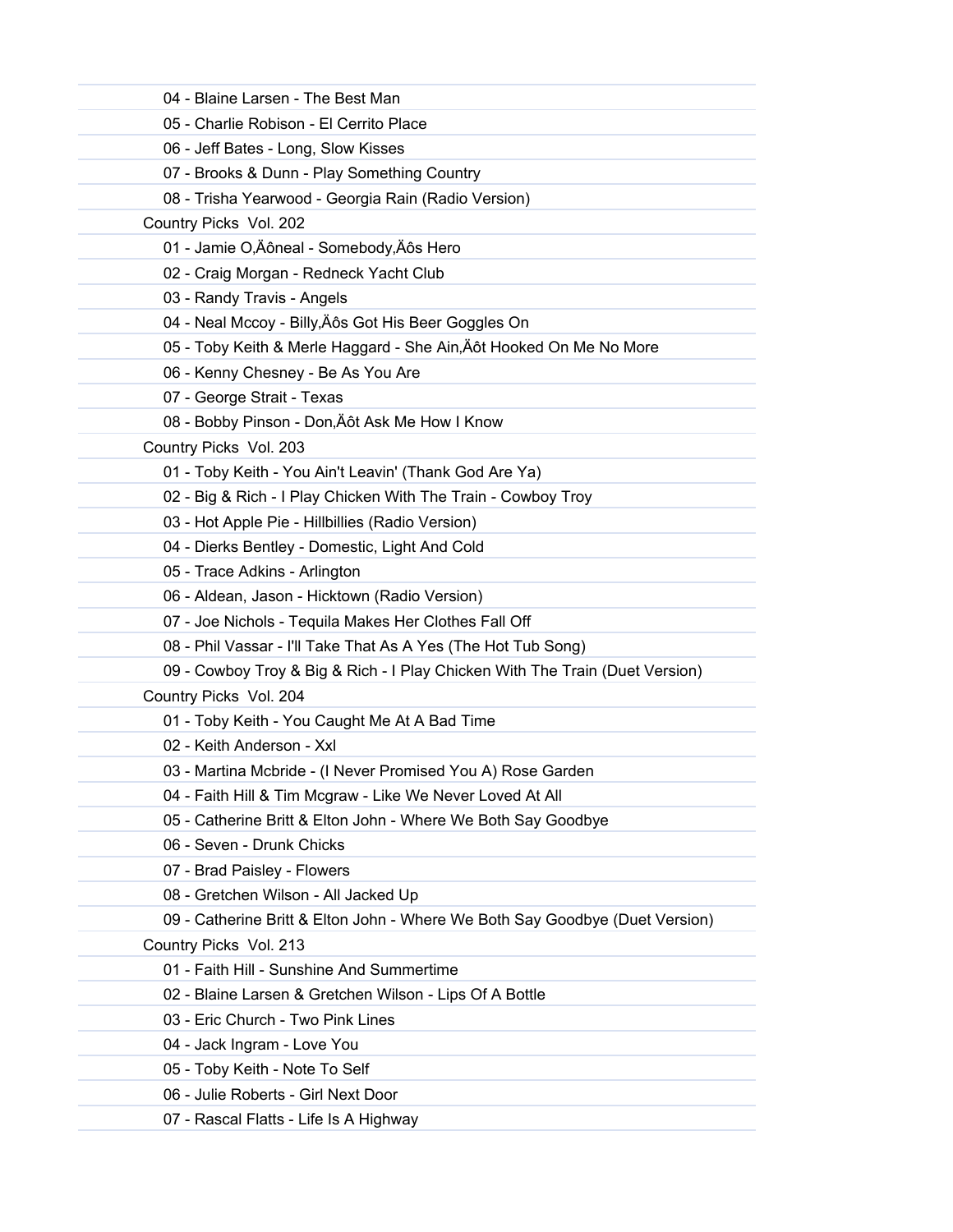| 04 - Blaine Larsen - The Best Man                                            |
|------------------------------------------------------------------------------|
| 05 - Charlie Robison - El Cerrito Place                                      |
| 06 - Jeff Bates - Long, Slow Kisses                                          |
| 07 - Brooks & Dunn - Play Something Country                                  |
| 08 - Trisha Yearwood - Georgia Rain (Radio Version)                          |
| Country Picks Vol. 202                                                       |
| 01 - Jamie O,Äôneal - Somebody,Äôs Hero                                      |
| 02 - Craig Morgan - Redneck Yacht Club                                       |
| 03 - Randy Travis - Angels                                                   |
| 04 - Neal Mccoy - Billy, Äôs Got His Beer Goggles On                         |
| 05 - Toby Keith & Merle Haggard - She Ain, Äôt Hooked On Me No More          |
| 06 - Kenny Chesney - Be As You Are                                           |
| 07 - George Strait - Texas                                                   |
| 08 - Bobby Pinson - Don, Äôt Ask Me How I Know                               |
| Country Picks Vol. 203                                                       |
| 01 - Toby Keith - You Ain't Leavin' (Thank God Are Ya)                       |
| 02 - Big & Rich - I Play Chicken With The Train - Cowboy Troy                |
| 03 - Hot Apple Pie - Hillbillies (Radio Version)                             |
| 04 - Dierks Bentley - Domestic, Light And Cold                               |
| 05 - Trace Adkins - Arlington                                                |
| 06 - Aldean, Jason - Hicktown (Radio Version)                                |
| 07 - Joe Nichols - Tequila Makes Her Clothes Fall Off                        |
| 08 - Phil Vassar - I'll Take That As A Yes (The Hot Tub Song)                |
| 09 - Cowboy Troy & Big & Rich - I Play Chicken With The Train (Duet Version) |
| Country Picks Vol. 204                                                       |
| 01 - Toby Keith - You Caught Me At A Bad Time                                |
| 02 - Keith Anderson - Xxl                                                    |
| 03 - Martina Mcbride - (I Never Promised You A) Rose Garden                  |
| 04 - Faith Hill & Tim Mcgraw - Like We Never Loved At All                    |
| 05 - Catherine Britt & Elton John - Where We Both Say Goodbye                |
| 06 - Seven - Drunk Chicks                                                    |
| 07 - Brad Paisley - Flowers                                                  |
| 08 - Gretchen Wilson - All Jacked Up                                         |
| 09 - Catherine Britt & Elton John - Where We Both Say Goodbye (Duet Version) |
| Country Picks Vol. 213                                                       |
| 01 - Faith Hill - Sunshine And Summertime                                    |
| 02 - Blaine Larsen & Gretchen Wilson - Lips Of A Bottle                      |
| 03 - Eric Church - Two Pink Lines                                            |
| 04 - Jack Ingram - Love You                                                  |
| 05 - Toby Keith - Note To Self                                               |
| 06 - Julie Roberts - Girl Next Door                                          |
| 07 - Rascal Flatts - Life Is A Highway                                       |
|                                                                              |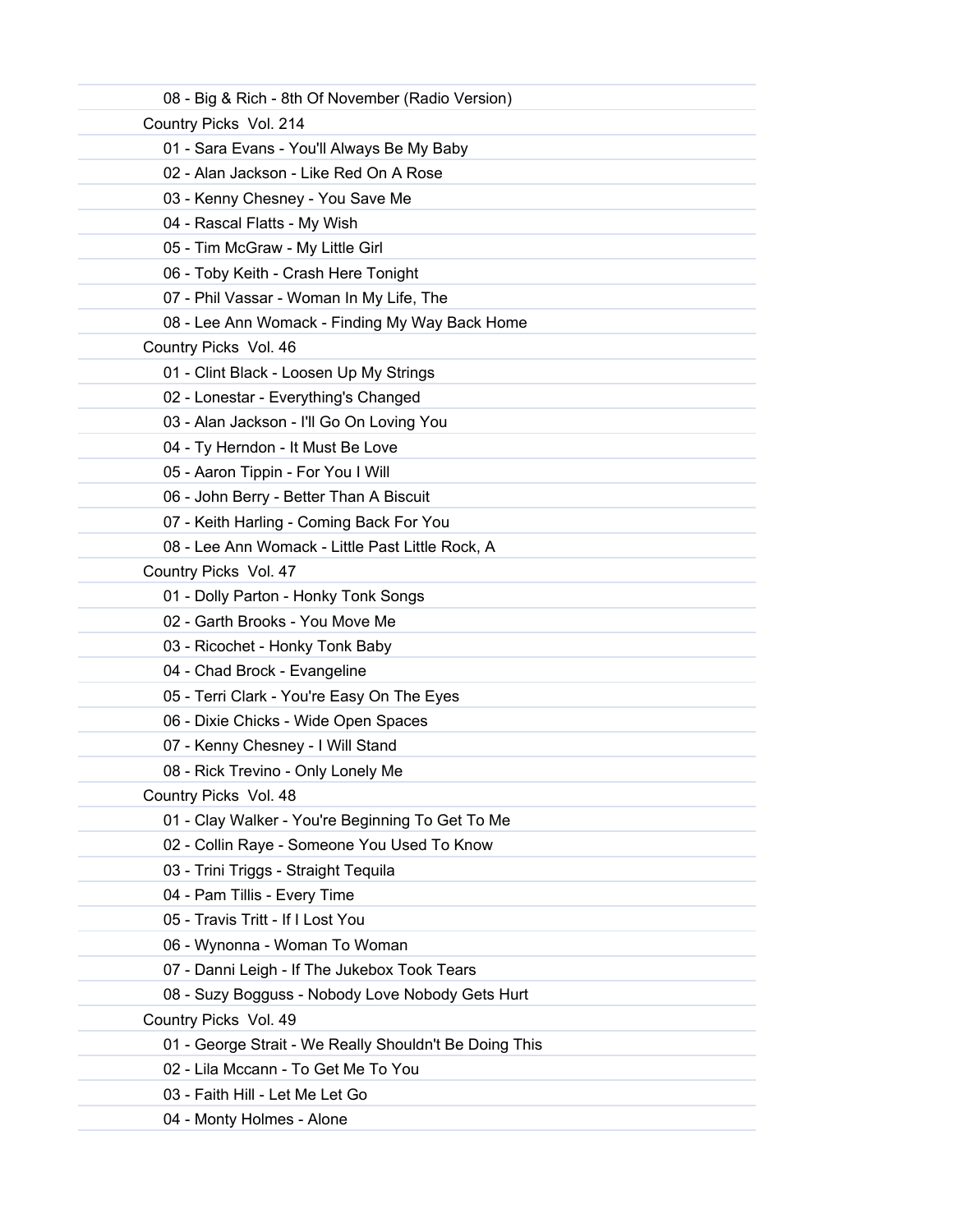| 08 - Big & Rich - 8th Of November (Radio Version)      |
|--------------------------------------------------------|
| Country Picks Vol. 214                                 |
| 01 - Sara Evans - You'll Always Be My Baby             |
| 02 - Alan Jackson - Like Red On A Rose                 |
| 03 - Kenny Chesney - You Save Me                       |
| 04 - Rascal Flatts - My Wish                           |
| 05 - Tim McGraw - My Little Girl                       |
| 06 - Toby Keith - Crash Here Tonight                   |
| 07 - Phil Vassar - Woman In My Life, The               |
| 08 - Lee Ann Womack - Finding My Way Back Home         |
| Country Picks Vol. 46                                  |
| 01 - Clint Black - Loosen Up My Strings                |
| 02 - Lonestar - Everything's Changed                   |
| 03 - Alan Jackson - I'll Go On Loving You              |
| 04 - Ty Herndon - It Must Be Love                      |
| 05 - Aaron Tippin - For You I Will                     |
| 06 - John Berry - Better Than A Biscuit                |
| 07 - Keith Harling - Coming Back For You               |
| 08 - Lee Ann Womack - Little Past Little Rock, A       |
| Country Picks Vol. 47                                  |
| 01 - Dolly Parton - Honky Tonk Songs                   |
| 02 - Garth Brooks - You Move Me                        |
| 03 - Ricochet - Honky Tonk Baby                        |
| 04 - Chad Brock - Evangeline                           |
| 05 - Terri Clark - You're Easy On The Eyes             |
| 06 - Dixie Chicks - Wide Open Spaces                   |
| 07 - Kenny Chesney - I Will Stand                      |
| 08 - Rick Trevino - Only Lonely Me                     |
| Country Picks Vol. 48                                  |
| 01 - Clay Walker - You're Beginning To Get To Me       |
| 02 - Collin Raye - Someone You Used To Know            |
| 03 - Trini Triggs - Straight Tequila                   |
| 04 - Pam Tillis - Every Time                           |
| 05 - Travis Tritt - If I Lost You                      |
| 06 - Wynonna - Woman To Woman                          |
| 07 - Danni Leigh - If The Jukebox Took Tears           |
| 08 - Suzy Bogguss - Nobody Love Nobody Gets Hurt       |
| Country Picks Vol. 49                                  |
| 01 - George Strait - We Really Shouldn't Be Doing This |
| 02 - Lila Mccann - To Get Me To You                    |
| 03 - Faith Hill - Let Me Let Go                        |
| 04 - Monty Holmes - Alone                              |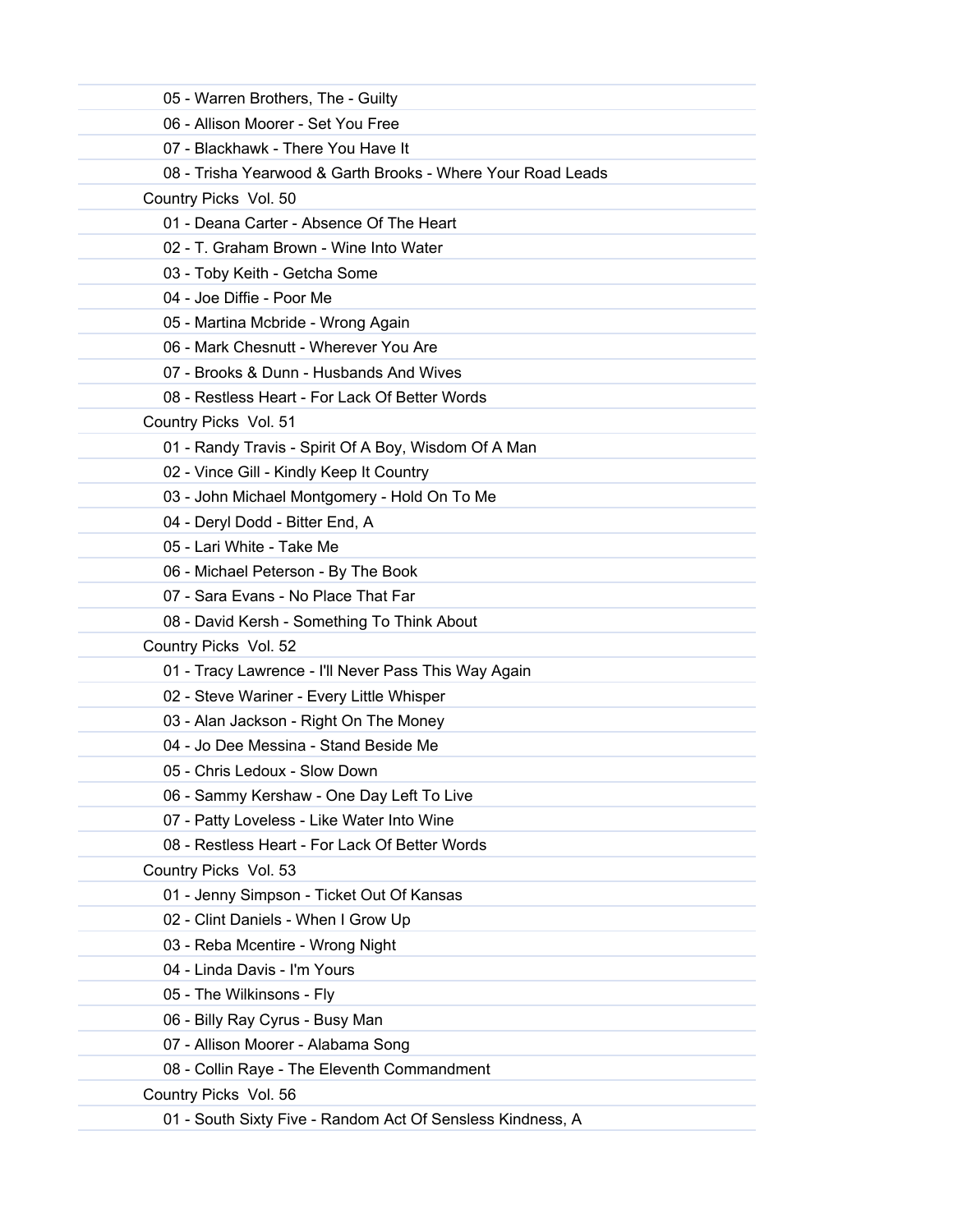| 05 - Warren Brothers, The - Guilty                          |
|-------------------------------------------------------------|
| 06 - Allison Moorer - Set You Free                          |
| 07 - Blackhawk - There You Have It                          |
| 08 - Trisha Yearwood & Garth Brooks - Where Your Road Leads |
| Country Picks Vol. 50                                       |
| 01 - Deana Carter - Absence Of The Heart                    |
| 02 - T. Graham Brown - Wine Into Water                      |
| 03 - Toby Keith - Getcha Some                               |
| 04 - Joe Diffie - Poor Me                                   |
| 05 - Martina Mcbride - Wrong Again                          |
| 06 - Mark Chesnutt - Wherever You Are                       |
| 07 - Brooks & Dunn - Husbands And Wives                     |
| 08 - Restless Heart - For Lack Of Better Words              |
| Country Picks Vol. 51                                       |
| 01 - Randy Travis - Spirit Of A Boy, Wisdom Of A Man        |
| 02 - Vince Gill - Kindly Keep It Country                    |
| 03 - John Michael Montgomery - Hold On To Me                |
| 04 - Deryl Dodd - Bitter End, A                             |
| 05 - Lari White - Take Me                                   |
| 06 - Michael Peterson - By The Book                         |
| 07 - Sara Evans - No Place That Far                         |
| 08 - David Kersh - Something To Think About                 |
| Country Picks Vol. 52                                       |
| 01 - Tracy Lawrence - I'll Never Pass This Way Again        |
| 02 - Steve Wariner - Every Little Whisper                   |
| 03 - Alan Jackson - Right On The Money                      |
| 04 - Jo Dee Messina - Stand Beside Me                       |
| 05 - Chris Ledoux - Slow Down                               |
| 06 - Sammy Kershaw - One Day Left To Live                   |
| 07 - Patty Loveless - Like Water Into Wine                  |
| 08 - Restless Heart - For Lack Of Better Words              |
| Country Picks Vol. 53                                       |
| 01 - Jenny Simpson - Ticket Out Of Kansas                   |
| 02 - Clint Daniels - When I Grow Up                         |
| 03 - Reba Mcentire - Wrong Night                            |
| 04 - Linda Davis - I'm Yours                                |
| 05 - The Wilkinsons - Fly                                   |
| 06 - Billy Ray Cyrus - Busy Man                             |
| 07 - Allison Moorer - Alabama Song                          |
| 08 - Collin Raye - The Eleventh Commandment                 |
| Country Picks Vol. 56                                       |
| 01 - South Sixty Five - Random Act Of Sensless Kindness, A  |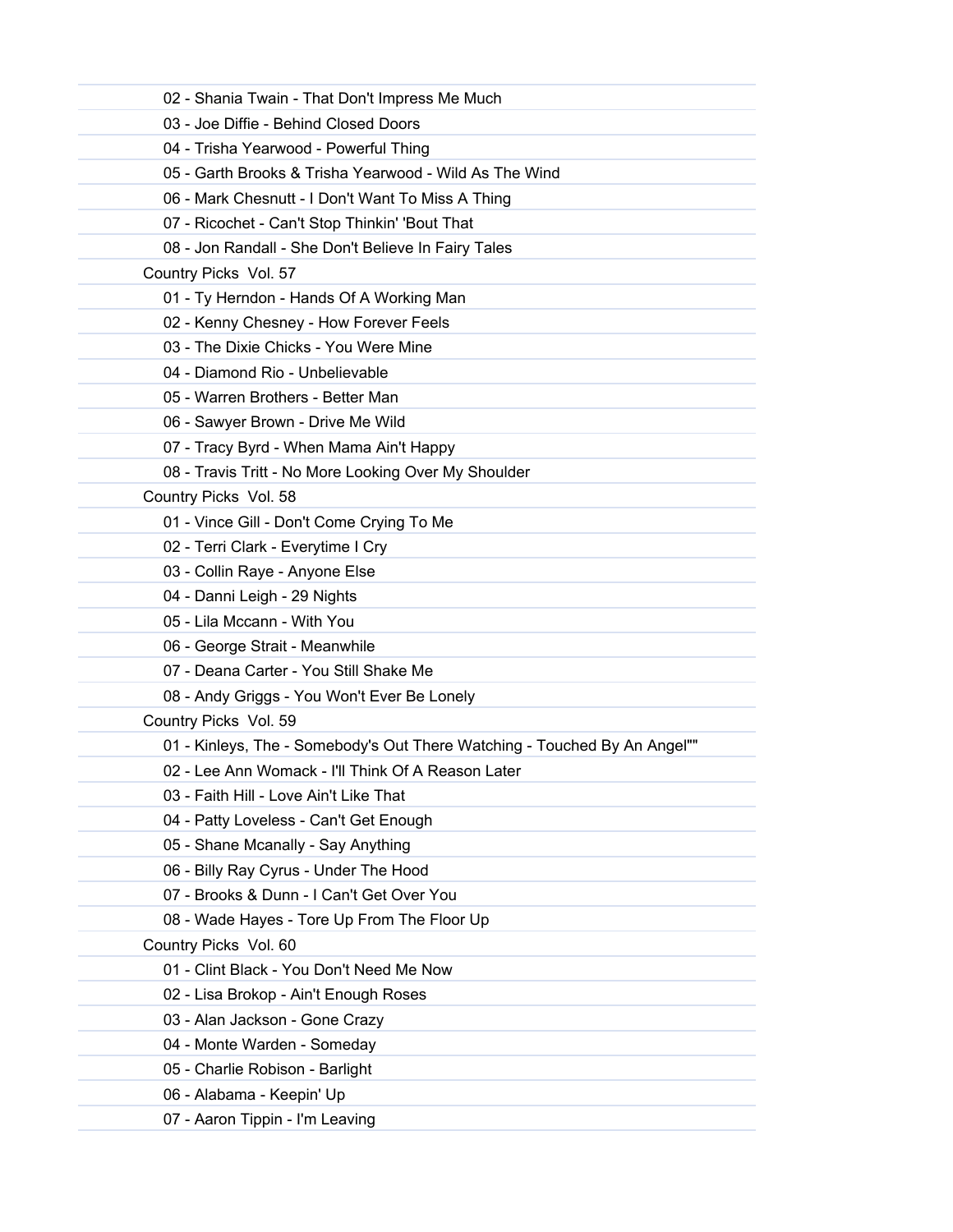| 02 - Shania Twain - That Don't Impress Me Much                            |  |
|---------------------------------------------------------------------------|--|
| 03 - Joe Diffie - Behind Closed Doors                                     |  |
| 04 - Trisha Yearwood - Powerful Thing                                     |  |
| 05 - Garth Brooks & Trisha Yearwood - Wild As The Wind                    |  |
| 06 - Mark Chesnutt - I Don't Want To Miss A Thing                         |  |
| 07 - Ricochet - Can't Stop Thinkin' 'Bout That                            |  |
| 08 - Jon Randall - She Don't Believe In Fairy Tales                       |  |
| Country Picks Vol. 57                                                     |  |
| 01 - Ty Herndon - Hands Of A Working Man                                  |  |
| 02 - Kenny Chesney - How Forever Feels                                    |  |
| 03 - The Dixie Chicks - You Were Mine                                     |  |
| 04 - Diamond Rio - Unbelievable                                           |  |
| 05 - Warren Brothers - Better Man                                         |  |
| 06 - Sawyer Brown - Drive Me Wild                                         |  |
| 07 - Tracy Byrd - When Mama Ain't Happy                                   |  |
| 08 - Travis Tritt - No More Looking Over My Shoulder                      |  |
| Country Picks Vol. 58                                                     |  |
| 01 - Vince Gill - Don't Come Crying To Me                                 |  |
| 02 - Terri Clark - Everytime I Cry                                        |  |
| 03 - Collin Raye - Anyone Else                                            |  |
| 04 - Danni Leigh - 29 Nights                                              |  |
| 05 - Lila Mccann - With You                                               |  |
| 06 - George Strait - Meanwhile                                            |  |
| 07 - Deana Carter - You Still Shake Me                                    |  |
| 08 - Andy Griggs - You Won't Ever Be Lonely                               |  |
| Country Picks Vol. 59                                                     |  |
| 01 - Kinleys, The - Somebody's Out There Watching - Touched By An Angel"" |  |
| 02 - Lee Ann Womack - I'll Think Of A Reason Later                        |  |
| 03 - Faith Hill - Love Ain't Like That                                    |  |
| 04 - Patty Loveless - Can't Get Enough                                    |  |
| 05 - Shane Mcanally - Say Anything                                        |  |
| 06 - Billy Ray Cyrus - Under The Hood                                     |  |
| 07 - Brooks & Dunn - I Can't Get Over You                                 |  |
| 08 - Wade Hayes - Tore Up From The Floor Up                               |  |
| Country Picks Vol. 60                                                     |  |
| 01 - Clint Black - You Don't Need Me Now                                  |  |
| 02 - Lisa Brokop - Ain't Enough Roses                                     |  |
| 03 - Alan Jackson - Gone Crazy                                            |  |
| 04 - Monte Warden - Someday                                               |  |
| 05 - Charlie Robison - Barlight                                           |  |
| 06 - Alabama - Keepin' Up                                                 |  |
| 07 - Aaron Tippin - I'm Leaving                                           |  |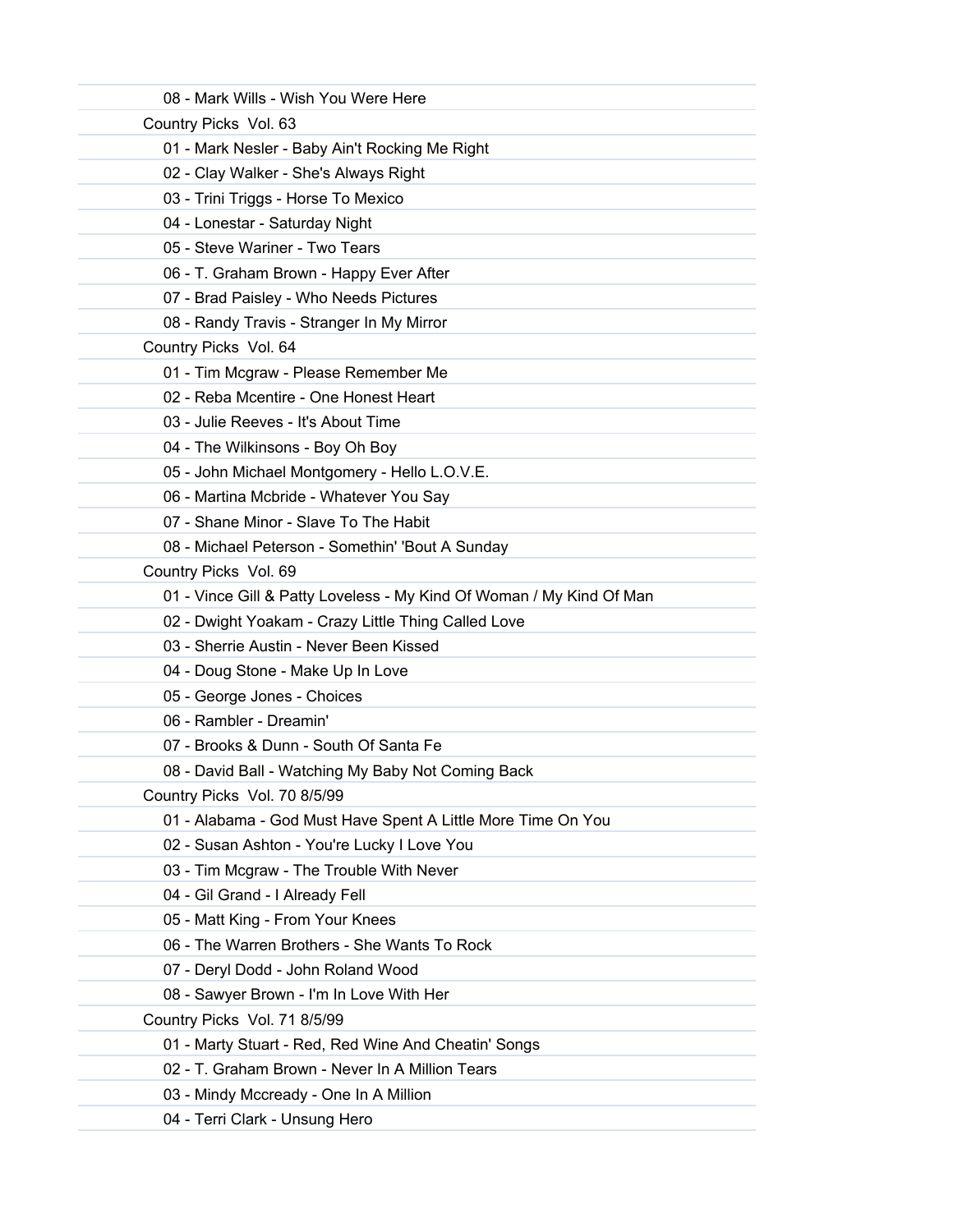| 08 - Mark Wills - Wish You Were Here                                 |  |
|----------------------------------------------------------------------|--|
| Country Picks Vol. 63                                                |  |
| 01 - Mark Nesler - Baby Ain't Rocking Me Right                       |  |
| 02 - Clay Walker - She's Always Right                                |  |
| 03 - Trini Triggs - Horse To Mexico                                  |  |
| 04 - Lonestar - Saturday Night                                       |  |
| 05 - Steve Wariner - Two Tears                                       |  |
| 06 - T. Graham Brown - Happy Ever After                              |  |
| 07 - Brad Paisley - Who Needs Pictures                               |  |
| 08 - Randy Travis - Stranger In My Mirror                            |  |
| Country Picks Vol. 64                                                |  |
| 01 - Tim Mcgraw - Please Remember Me                                 |  |
| 02 - Reba Mcentire - One Honest Heart                                |  |
| 03 - Julie Reeves - It's About Time                                  |  |
| 04 - The Wilkinsons - Boy Oh Boy                                     |  |
| 05 - John Michael Montgomery - Hello L.O.V.E.                        |  |
| 06 - Martina Mcbride - Whatever You Say                              |  |
| 07 - Shane Minor - Slave To The Habit                                |  |
| 08 - Michael Peterson - Somethin' 'Bout A Sunday                     |  |
| Country Picks Vol. 69                                                |  |
| 01 - Vince Gill & Patty Loveless - My Kind Of Woman / My Kind Of Man |  |
| 02 - Dwight Yoakam - Crazy Little Thing Called Love                  |  |
| 03 - Sherrie Austin - Never Been Kissed                              |  |
| 04 - Doug Stone - Make Up In Love                                    |  |
| 05 - George Jones - Choices                                          |  |
| 06 - Rambler - Dreamin'                                              |  |
| 07 - Brooks & Dunn - South Of Santa Fe                               |  |
| 08 - David Ball - Watching My Baby Not Coming Back                   |  |
| Country Picks Vol. 70 8/5/99                                         |  |
| 01 - Alabama - God Must Have Spent A Little More Time On You         |  |
| 02 - Susan Ashton - You're Lucky I Love You                          |  |
| 03 - Tim Mcgraw - The Trouble With Never                             |  |
| 04 - Gil Grand - I Already Fell                                      |  |
| 05 - Matt King - From Your Knees                                     |  |
| 06 - The Warren Brothers - She Wants To Rock                         |  |
| 07 - Deryl Dodd - John Roland Wood                                   |  |
| 08 - Sawyer Brown - I'm In Love With Her                             |  |
| Country Picks Vol. 71 8/5/99                                         |  |
| 01 - Marty Stuart - Red, Red Wine And Cheatin' Songs                 |  |
| 02 - T. Graham Brown - Never In A Million Tears                      |  |
| 03 - Mindy Mccready - One In A Million                               |  |
| 04 - Terri Clark - Unsung Hero                                       |  |
|                                                                      |  |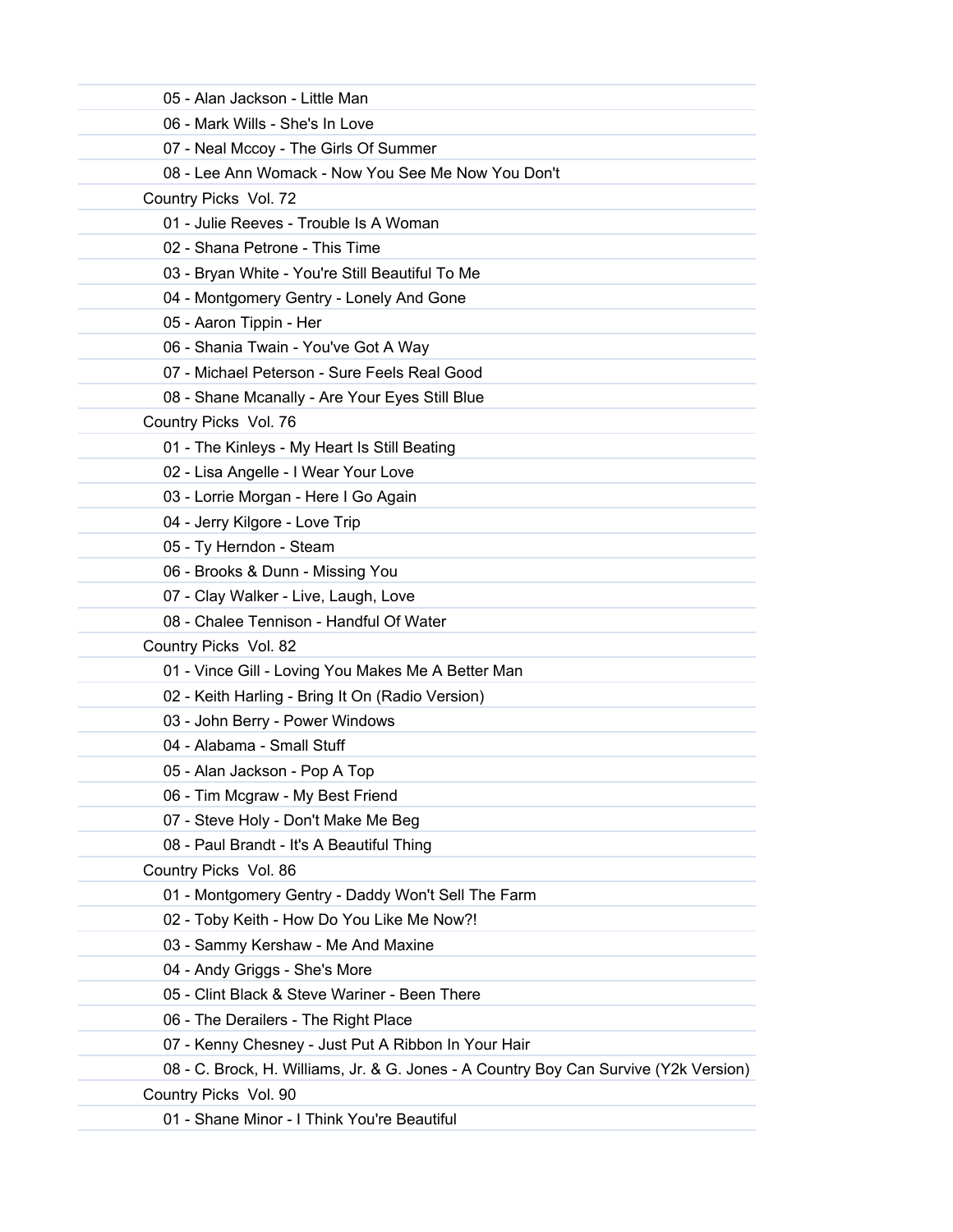| 05 - Alan Jackson - Little Man                                                       |
|--------------------------------------------------------------------------------------|
| 06 - Mark Wills - She's In Love                                                      |
| 07 - Neal Mccoy - The Girls Of Summer                                                |
| 08 - Lee Ann Womack - Now You See Me Now You Don't                                   |
| Country Picks Vol. 72                                                                |
| 01 - Julie Reeves - Trouble Is A Woman                                               |
| 02 - Shana Petrone - This Time                                                       |
| 03 - Bryan White - You're Still Beautiful To Me                                      |
| 04 - Montgomery Gentry - Lonely And Gone                                             |
| 05 - Aaron Tippin - Her                                                              |
| 06 - Shania Twain - You've Got A Way                                                 |
| 07 - Michael Peterson - Sure Feels Real Good                                         |
| 08 - Shane Mcanally - Are Your Eyes Still Blue                                       |
| Country Picks Vol. 76                                                                |
| 01 - The Kinleys - My Heart Is Still Beating                                         |
| 02 - Lisa Angelle - I Wear Your Love                                                 |
| 03 - Lorrie Morgan - Here I Go Again                                                 |
| 04 - Jerry Kilgore - Love Trip                                                       |
| 05 - Ty Herndon - Steam                                                              |
| 06 - Brooks & Dunn - Missing You                                                     |
| 07 - Clay Walker - Live, Laugh, Love                                                 |
| 08 - Chalee Tennison - Handful Of Water                                              |
| Country Picks Vol. 82                                                                |
| 01 - Vince Gill - Loving You Makes Me A Better Man                                   |
| 02 - Keith Harling - Bring It On (Radio Version)                                     |
| 03 - John Berry - Power Windows                                                      |
| 04 - Alabama - Small Stuff                                                           |
| 05 - Alan Jackson - Pop A Top                                                        |
| 06 - Tim Mcgraw - My Best Friend                                                     |
| 07 - Steve Holy - Don't Make Me Beg                                                  |
| 08 - Paul Brandt - It's A Beautiful Thing                                            |
| Country Picks Vol. 86                                                                |
| 01 - Montgomery Gentry - Daddy Won't Sell The Farm                                   |
| 02 - Toby Keith - How Do You Like Me Now?!                                           |
| 03 - Sammy Kershaw - Me And Maxine                                                   |
| 04 - Andy Griggs - She's More                                                        |
| 05 - Clint Black & Steve Wariner - Been There                                        |
| 06 - The Derailers - The Right Place                                                 |
| 07 - Kenny Chesney - Just Put A Ribbon In Your Hair                                  |
| 08 - C. Brock, H. Williams, Jr. & G. Jones - A Country Boy Can Survive (Y2k Version) |
| Country Picks Vol. 90                                                                |
| 01 - Shane Minor - I Think You're Beautiful                                          |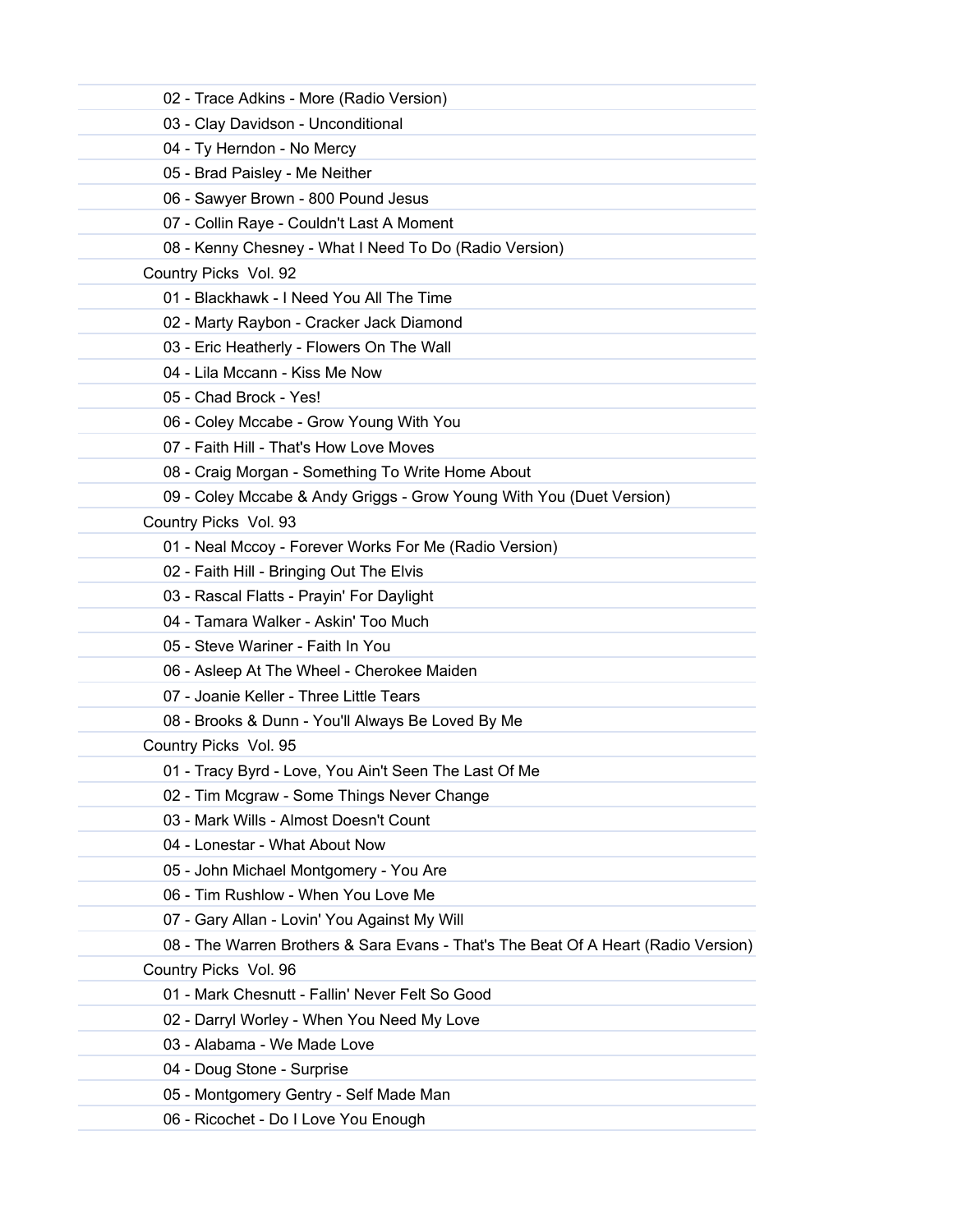| 02 - Trace Adkins - More (Radio Version)                                           |
|------------------------------------------------------------------------------------|
| 03 - Clay Davidson - Unconditional                                                 |
| 04 - Ty Herndon - No Mercy                                                         |
| 05 - Brad Paisley - Me Neither                                                     |
| 06 - Sawyer Brown - 800 Pound Jesus                                                |
| 07 - Collin Raye - Couldn't Last A Moment                                          |
| 08 - Kenny Chesney - What I Need To Do (Radio Version)                             |
| Country Picks Vol. 92                                                              |
| 01 - Blackhawk - I Need You All The Time                                           |
| 02 - Marty Raybon - Cracker Jack Diamond                                           |
| 03 - Eric Heatherly - Flowers On The Wall                                          |
| 04 - Lila Mccann - Kiss Me Now                                                     |
| 05 - Chad Brock - Yes!                                                             |
| 06 - Coley Mccabe - Grow Young With You                                            |
| 07 - Faith Hill - That's How Love Moves                                            |
| 08 - Craig Morgan - Something To Write Home About                                  |
| 09 - Coley Mccabe & Andy Griggs - Grow Young With You (Duet Version)               |
| Country Picks Vol. 93                                                              |
| 01 - Neal Mccoy - Forever Works For Me (Radio Version)                             |
| 02 - Faith Hill - Bringing Out The Elvis                                           |
| 03 - Rascal Flatts - Prayin' For Daylight                                          |
| 04 - Tamara Walker - Askin' Too Much                                               |
| 05 - Steve Wariner - Faith In You                                                  |
| 06 - Asleep At The Wheel - Cherokee Maiden                                         |
| 07 - Joanie Keller - Three Little Tears                                            |
| 08 - Brooks & Dunn - You'll Always Be Loved By Me                                  |
| Country Picks Vol. 95                                                              |
| 01 - Tracy Byrd - Love, You Ain't Seen The Last Of Me                              |
| 02 - Tim Mcgraw - Some Things Never Change                                         |
| 03 - Mark Wills - Almost Doesn't Count                                             |
| 04 - Lonestar - What About Now                                                     |
| 05 - John Michael Montgomery - You Are                                             |
| 06 - Tim Rushlow - When You Love Me                                                |
| 07 - Gary Allan - Lovin' You Against My Will                                       |
| 08 - The Warren Brothers & Sara Evans - That's The Beat Of A Heart (Radio Version) |
| Country Picks Vol. 96                                                              |
| 01 - Mark Chesnutt - Fallin' Never Felt So Good                                    |
| 02 - Darryl Worley - When You Need My Love                                         |
| 03 - Alabama - We Made Love                                                        |
| 04 - Doug Stone - Surprise                                                         |
| 05 - Montgomery Gentry - Self Made Man                                             |
| 06 - Ricochet - Do I Love You Enough                                               |
|                                                                                    |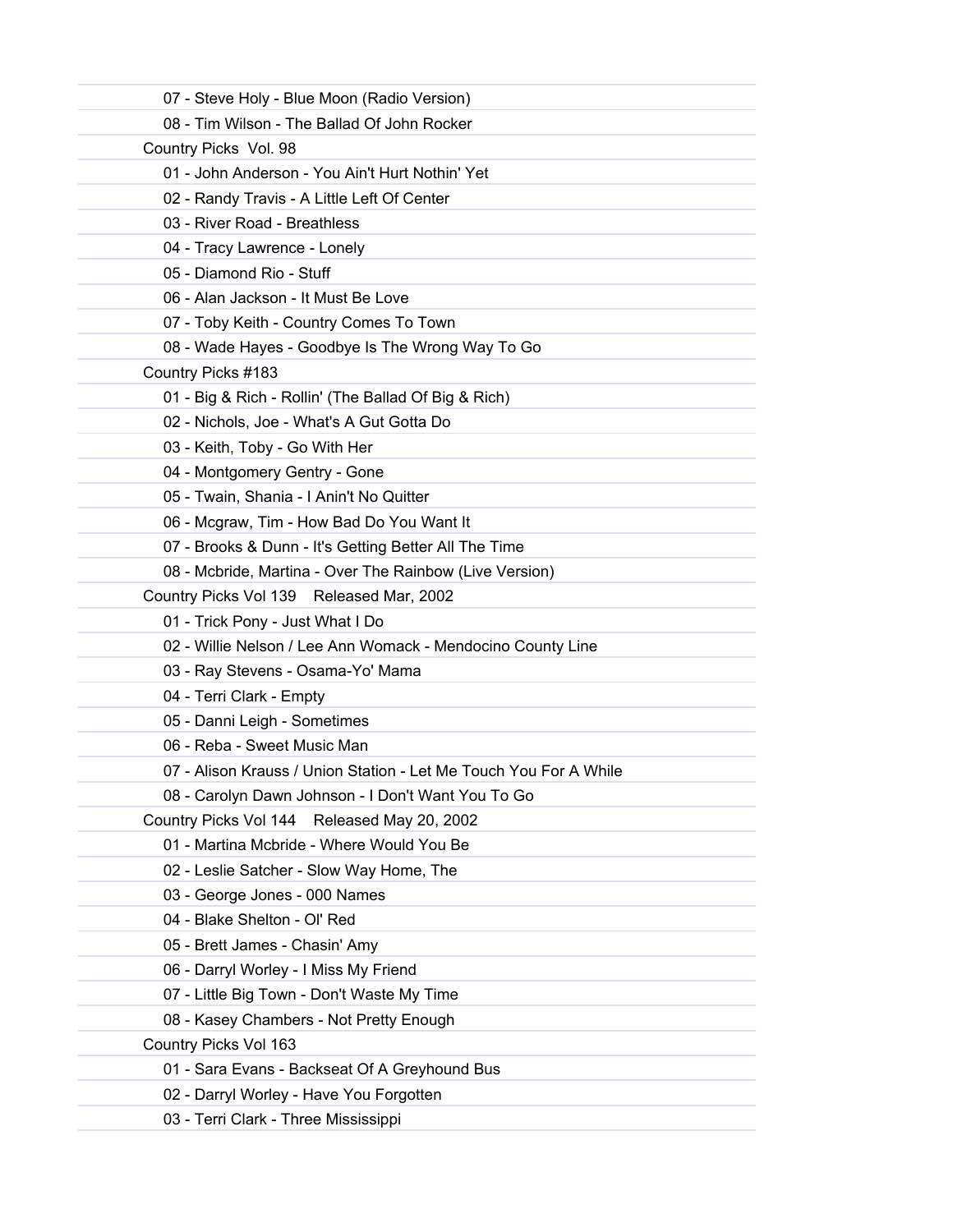| 07 - Steve Holy - Blue Moon (Radio Version)                       |
|-------------------------------------------------------------------|
| 08 - Tim Wilson - The Ballad Of John Rocker                       |
| Country Picks Vol. 98                                             |
| 01 - John Anderson - You Ain't Hurt Nothin' Yet                   |
| 02 - Randy Travis - A Little Left Of Center                       |
| 03 - River Road - Breathless                                      |
| 04 - Tracy Lawrence - Lonely                                      |
| 05 - Diamond Rio - Stuff                                          |
| 06 - Alan Jackson - It Must Be Love                               |
| 07 - Toby Keith - Country Comes To Town                           |
| 08 - Wade Hayes - Goodbye Is The Wrong Way To Go                  |
| Country Picks #183                                                |
| 01 - Big & Rich - Rollin' (The Ballad Of Big & Rich)              |
| 02 - Nichols, Joe - What's A Gut Gotta Do                         |
| 03 - Keith, Toby - Go With Her                                    |
| 04 - Montgomery Gentry - Gone                                     |
| 05 - Twain, Shania - I Anin't No Quitter                          |
| 06 - Mcgraw, Tim - How Bad Do You Want It                         |
| 07 - Brooks & Dunn - It's Getting Better All The Time             |
| 08 - Mcbride, Martina - Over The Rainbow (Live Version)           |
| Country Picks Vol 139 Released Mar, 2002                          |
| 01 - Trick Pony - Just What I Do                                  |
| 02 - Willie Nelson / Lee Ann Womack - Mendocino County Line       |
| 03 - Ray Stevens - Osama-Yo' Mama                                 |
| 04 - Terri Clark - Empty                                          |
| 05 - Danni Leigh - Sometimes                                      |
| 06 - Reba - Sweet Music Man                                       |
| 07 - Alison Krauss / Union Station - Let Me Touch You For A While |
| 08 - Carolyn Dawn Johnson - I Don't Want You To Go                |
| Country Picks Vol 144 Released May 20, 2002                       |
| 01 - Martina Mcbride - Where Would You Be                         |
| 02 - Leslie Satcher - Slow Way Home, The                          |
| 03 - George Jones - 000 Names                                     |
| 04 - Blake Shelton - Ol' Red                                      |
| 05 - Brett James - Chasin' Amy                                    |
| 06 - Darryl Worley - I Miss My Friend                             |
| 07 - Little Big Town - Don't Waste My Time                        |
| 08 - Kasey Chambers - Not Pretty Enough                           |
| Country Picks Vol 163                                             |
| 01 - Sara Evans - Backseat Of A Greyhound Bus                     |
| 02 - Darryl Worley - Have You Forgotten                           |
| 03 - Terri Clark - Three Mississippi                              |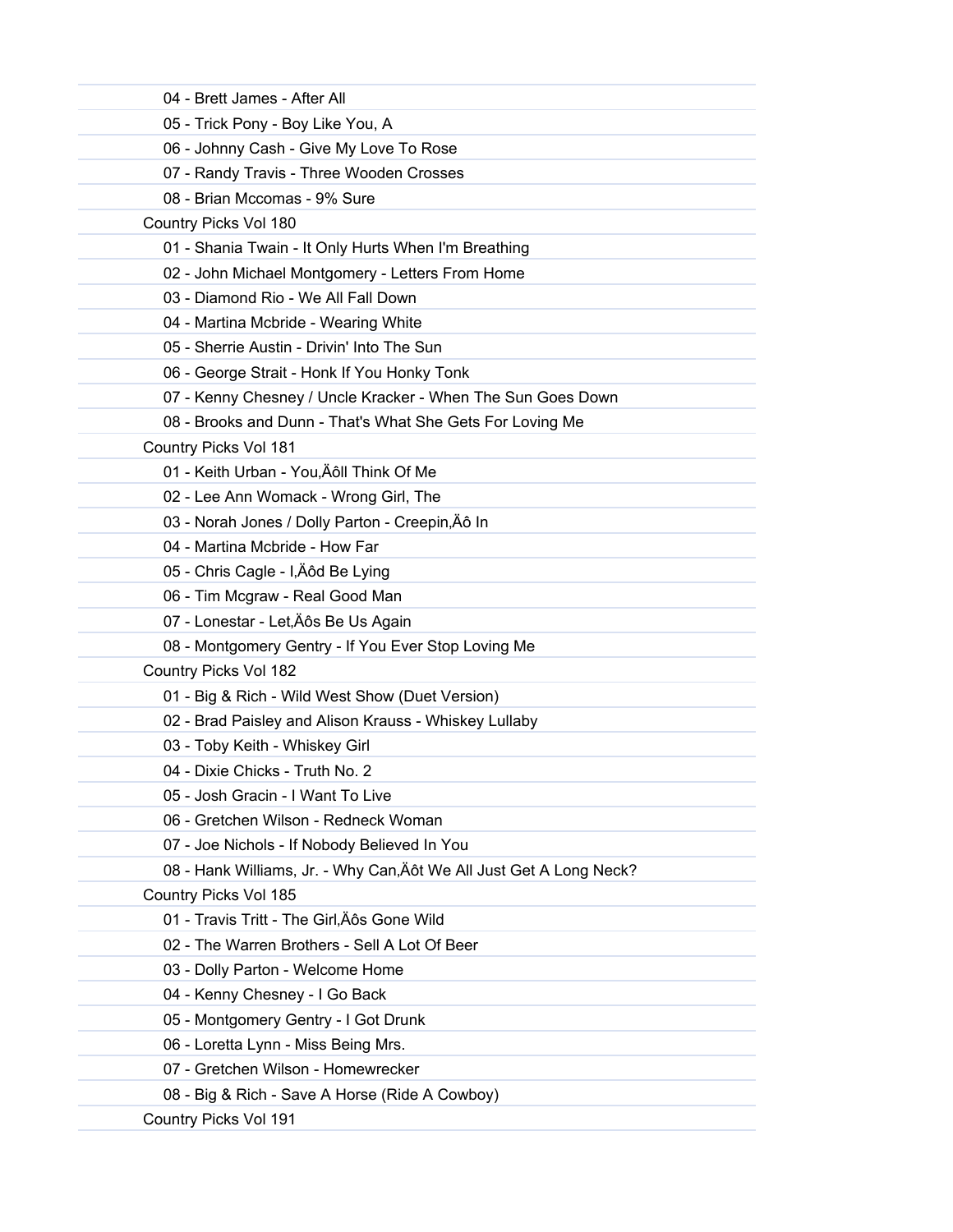| 04 - Brett James - After All                                        |
|---------------------------------------------------------------------|
| 05 - Trick Pony - Boy Like You, A                                   |
| 06 - Johnny Cash - Give My Love To Rose                             |
| 07 - Randy Travis - Three Wooden Crosses                            |
| 08 - Brian Mccomas - 9% Sure                                        |
| Country Picks Vol 180                                               |
| 01 - Shania Twain - It Only Hurts When I'm Breathing                |
| 02 - John Michael Montgomery - Letters From Home                    |
| 03 - Diamond Rio - We All Fall Down                                 |
| 04 - Martina Mcbride - Wearing White                                |
| 05 - Sherrie Austin - Drivin' Into The Sun                          |
| 06 - George Strait - Honk If You Honky Tonk                         |
| 07 - Kenny Chesney / Uncle Kracker - When The Sun Goes Down         |
| 08 - Brooks and Dunn - That's What She Gets For Loving Me           |
| Country Picks Vol 181                                               |
| 01 - Keith Urban - You, Äôll Think Of Me                            |
| 02 - Lee Ann Womack - Wrong Girl, The                               |
| 03 - Norah Jones / Dolly Parton - Creepin, Äô In                    |
| 04 - Martina Mcbride - How Far                                      |
| 05 - Chris Cagle - I, Äôd Be Lying                                  |
| 06 - Tim Mcgraw - Real Good Man                                     |
| 07 - Lonestar - Let, Äôs Be Us Again                                |
| 08 - Montgomery Gentry - If You Ever Stop Loving Me                 |
| Country Picks Vol 182                                               |
| 01 - Big & Rich - Wild West Show (Duet Version)                     |
| 02 - Brad Paisley and Alison Krauss - Whiskey Lullaby               |
| 03 - Toby Keith - Whiskey Girl                                      |
| 04 - Dixie Chicks - Truth No. 2.                                    |
| 05 - Josh Gracin - I Want To Live                                   |
| 06 - Gretchen Wilson - Redneck Woman                                |
| 07 - Joe Nichols - If Nobody Believed In You                        |
| 08 - Hank Williams, Jr. - Why Can, Äôt We All Just Get A Long Neck? |
| Country Picks Vol 185                                               |
| 01 - Travis Tritt - The Girl, Äôs Gone Wild                         |
| 02 - The Warren Brothers - Sell A Lot Of Beer                       |
| 03 - Dolly Parton - Welcome Home                                    |
| 04 - Kenny Chesney - I Go Back                                      |
| 05 - Montgomery Gentry - I Got Drunk                                |
| 06 - Loretta Lynn - Miss Being Mrs.                                 |
| 07 - Gretchen Wilson - Homewrecker                                  |
| 08 - Big & Rich - Save A Horse (Ride A Cowboy)                      |
| Country Picks Vol 191                                               |
|                                                                     |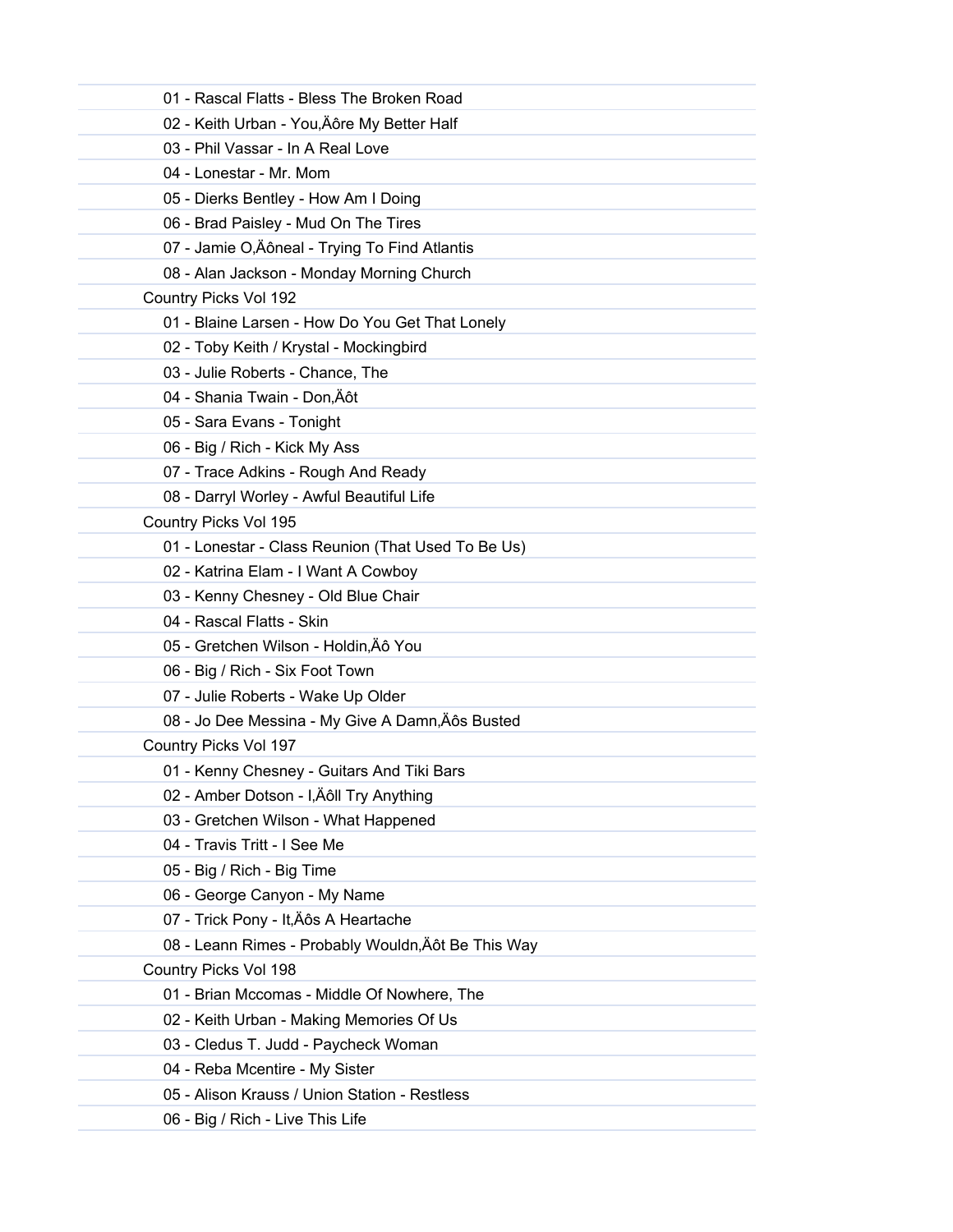| 01 - Rascal Flatts - Bless The Broken Road          |
|-----------------------------------------------------|
| 02 - Keith Urban - You, Äôre My Better Half         |
| 03 - Phil Vassar - In A Real Love                   |
| 04 - Lonestar - Mr. Mom                             |
| 05 - Dierks Bentley - How Am I Doing                |
| 06 - Brad Paisley - Mud On The Tires                |
| 07 - Jamie O, Äôneal - Trying To Find Atlantis      |
| 08 - Alan Jackson - Monday Morning Church           |
| Country Picks Vol 192                               |
| 01 - Blaine Larsen - How Do You Get That Lonely     |
| 02 - Toby Keith / Krystal - Mockingbird             |
| 03 - Julie Roberts - Chance, The                    |
| 04 - Shania Twain - Don, Äôt                        |
| 05 - Sara Evans - Tonight                           |
| 06 - Big / Rich - Kick My Ass                       |
| 07 - Trace Adkins - Rough And Ready                 |
| 08 - Darryl Worley - Awful Beautiful Life           |
| Country Picks Vol 195                               |
| 01 - Lonestar - Class Reunion (That Used To Be Us)  |
| 02 - Katrina Elam - I Want A Cowboy                 |
| 03 - Kenny Chesney - Old Blue Chair                 |
| 04 - Rascal Flatts - Skin                           |
| 05 - Gretchen Wilson - Holdin, Äô You               |
| 06 - Big / Rich - Six Foot Town                     |
| 07 - Julie Roberts - Wake Up Older                  |
| 08 - Jo Dee Messina - My Give A Damn, Äôs Busted    |
| Country Picks Vol 197                               |
| 01 - Kenny Chesney - Guitars And Tiki Bars          |
| 02 - Amber Dotson - I,Äôll Try Anything             |
| 03 - Gretchen Wilson - What Happened                |
| 04 - Travis Tritt - I See Me                        |
| 05 - Big / Rich - Big Time                          |
| 06 - George Canyon - My Name                        |
| 07 - Trick Pony - It, Äôs A Heartache               |
| 08 - Leann Rimes - Probably Wouldn, Äôt Be This Way |
| Country Picks Vol 198                               |
| 01 - Brian Mccomas - Middle Of Nowhere, The         |
| 02 - Keith Urban - Making Memories Of Us            |
| 03 - Cledus T. Judd - Paycheck Woman                |
| 04 - Reba Mcentire - My Sister                      |
| 05 - Alison Krauss / Union Station - Restless       |
| 06 - Big / Rich - Live This Life                    |
|                                                     |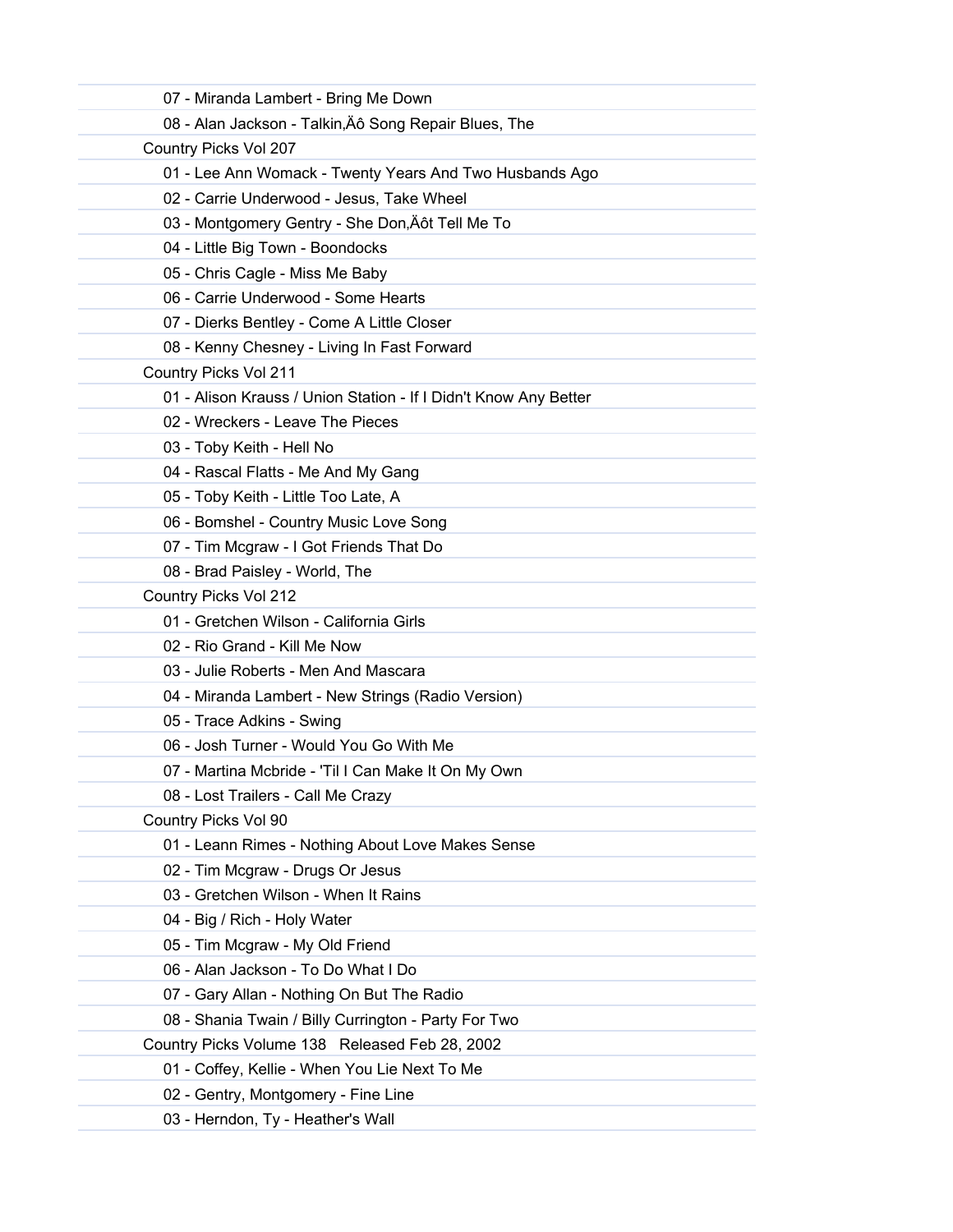| 07 - Miranda Lambert - Bring Me Down                             |  |
|------------------------------------------------------------------|--|
| 08 - Alan Jackson - Talkin, Äô Song Repair Blues, The            |  |
| Country Picks Vol 207                                            |  |
| 01 - Lee Ann Womack - Twenty Years And Two Husbands Ago          |  |
| 02 - Carrie Underwood - Jesus, Take Wheel                        |  |
| 03 - Montgomery Gentry - She Don, Äôt Tell Me To                 |  |
| 04 - Little Big Town - Boondocks                                 |  |
| 05 - Chris Cagle - Miss Me Baby                                  |  |
| 06 - Carrie Underwood - Some Hearts                              |  |
| 07 - Dierks Bentley - Come A Little Closer                       |  |
| 08 - Kenny Chesney - Living In Fast Forward                      |  |
| Country Picks Vol 211                                            |  |
| 01 - Alison Krauss / Union Station - If I Didn't Know Any Better |  |
| 02 - Wreckers - Leave The Pieces                                 |  |
| 03 - Toby Keith - Hell No                                        |  |
| 04 - Rascal Flatts - Me And My Gang                              |  |
| 05 - Toby Keith - Little Too Late, A                             |  |
| 06 - Bomshel - Country Music Love Song                           |  |
| 07 - Tim Mcgraw - I Got Friends That Do                          |  |
| 08 - Brad Paisley - World, The                                   |  |
| Country Picks Vol 212                                            |  |
| 01 - Gretchen Wilson - California Girls                          |  |
| 02 - Rio Grand - Kill Me Now                                     |  |
| 03 - Julie Roberts - Men And Mascara                             |  |
| 04 - Miranda Lambert - New Strings (Radio Version)               |  |
| 05 - Trace Adkins - Swing                                        |  |
| 06 - Josh Turner - Would You Go With Me                          |  |
| 07 - Martina Mcbride - 'Til I Can Make It On My Own              |  |
| 08 - Lost Trailers - Call Me Crazy                               |  |
| Country Picks Vol 90                                             |  |
| 01 - Leann Rimes - Nothing About Love Makes Sense                |  |
| 02 - Tim Mcgraw - Drugs Or Jesus                                 |  |
| 03 - Gretchen Wilson - When It Rains                             |  |
| 04 - Big / Rich - Holy Water                                     |  |
| 05 - Tim Mcgraw - My Old Friend                                  |  |
| 06 - Alan Jackson - To Do What I Do                              |  |
| 07 - Gary Allan - Nothing On But The Radio                       |  |
| 08 - Shania Twain / Billy Currington - Party For Two             |  |
| Country Picks Volume 138 Released Feb 28, 2002                   |  |
| 01 - Coffey, Kellie - When You Lie Next To Me                    |  |
| 02 - Gentry, Montgomery - Fine Line                              |  |
| 03 - Herndon, Ty - Heather's Wall                                |  |
|                                                                  |  |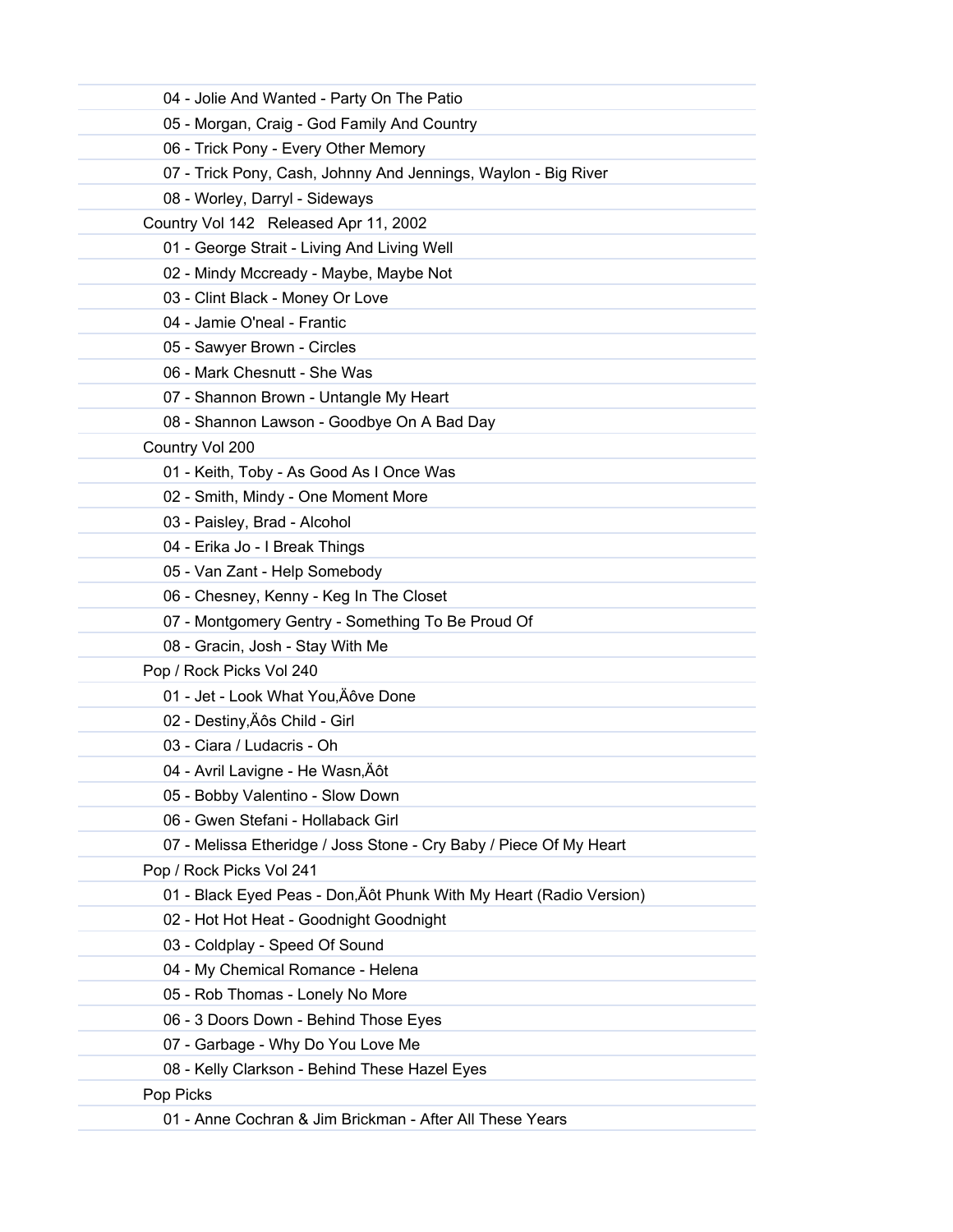| 04 - Jolie And Wanted - Party On The Patio                          |
|---------------------------------------------------------------------|
| 05 - Morgan, Craig - God Family And Country                         |
| 06 - Trick Pony - Every Other Memory                                |
| 07 - Trick Pony, Cash, Johnny And Jennings, Waylon - Big River      |
| 08 - Worley, Darryl - Sideways                                      |
| Country Vol 142 Released Apr 11, 2002                               |
| 01 - George Strait - Living And Living Well                         |
| 02 - Mindy Mccready - Maybe, Maybe Not                              |
| 03 - Clint Black - Money Or Love                                    |
| 04 - Jamie O'neal - Frantic                                         |
| 05 - Sawyer Brown - Circles                                         |
| 06 - Mark Chesnutt - She Was                                        |
| 07 - Shannon Brown - Untangle My Heart                              |
| 08 - Shannon Lawson - Goodbye On A Bad Day                          |
| Country Vol 200                                                     |
| 01 - Keith, Toby - As Good As I Once Was                            |
| 02 - Smith, Mindy - One Moment More                                 |
| 03 - Paisley, Brad - Alcohol                                        |
| 04 - Erika Jo - I Break Things                                      |
| 05 - Van Zant - Help Somebody                                       |
| 06 - Chesney, Kenny - Keg In The Closet                             |
| 07 - Montgomery Gentry - Something To Be Proud Of                   |
| 08 - Gracin, Josh - Stay With Me                                    |
| Pop / Rock Picks Vol 240                                            |
| 01 - Jet - Look What You, Äôve Done                                 |
| 02 - Destiny, Äôs Child - Girl                                      |
| 03 - Ciara / Ludacris - Oh                                          |
| 04 - Avril Lavigne - He Wasn, Äôt                                   |
| 05 - Bobby Valentino - Slow Down                                    |
| 06 - Gwen Stefani - Hollaback Girl                                  |
| 07 - Melissa Etheridge / Joss Stone - Cry Baby / Piece Of My Heart  |
| Pop / Rock Picks Vol 241                                            |
| 01 - Black Eyed Peas - Don, Äôt Phunk With My Heart (Radio Version) |
| 02 - Hot Hot Heat - Goodnight Goodnight                             |
| 03 - Coldplay - Speed Of Sound                                      |
| 04 - My Chemical Romance - Helena                                   |
| 05 - Rob Thomas - Lonely No More                                    |
| 06 - 3 Doors Down - Behind Those Eyes                               |
| 07 - Garbage - Why Do You Love Me                                   |
| 08 - Kelly Clarkson - Behind These Hazel Eyes                       |
| Pop Picks                                                           |
| 01 - Anne Cochran & Jim Brickman - After All These Years            |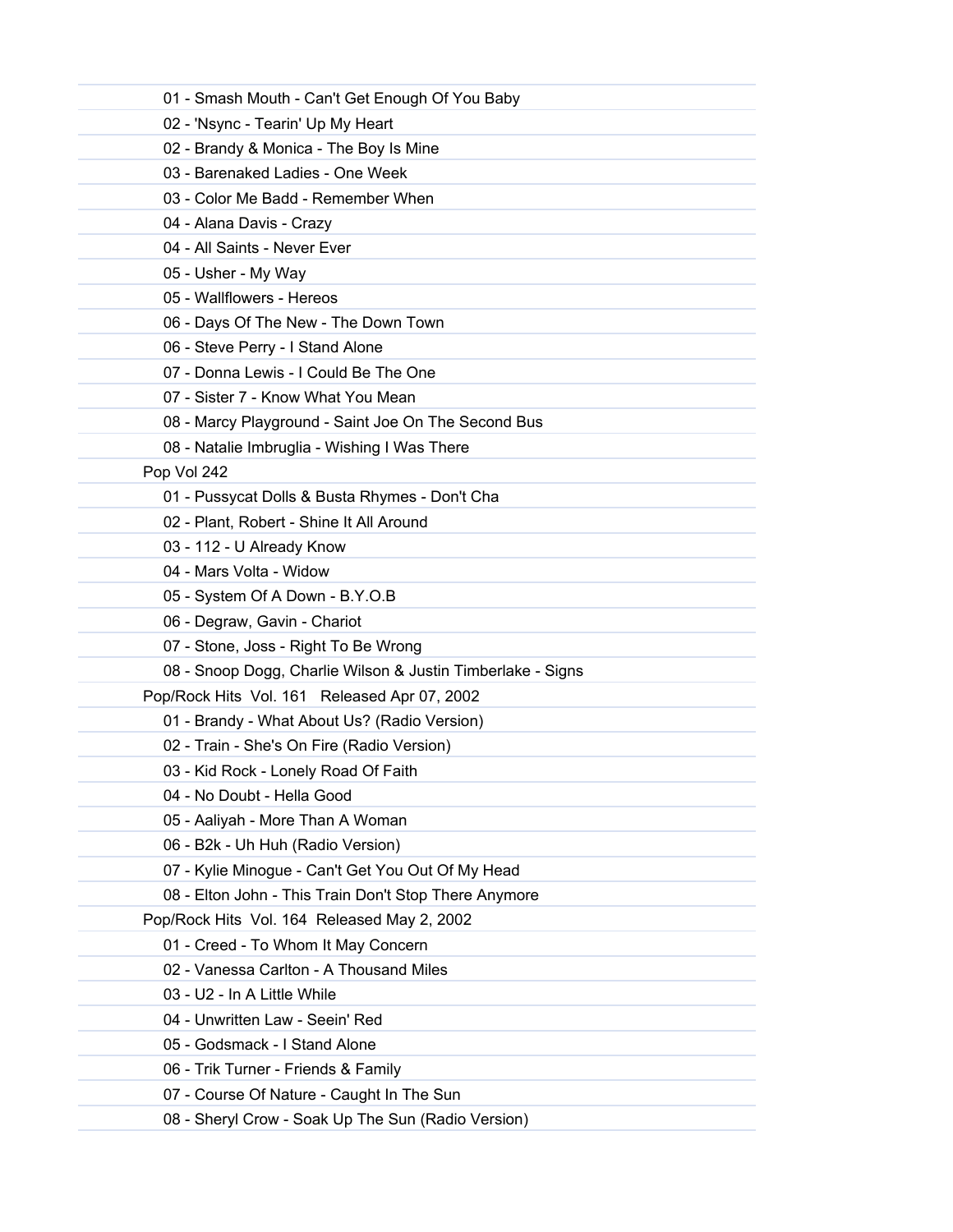| 01 - Smash Mouth - Can't Get Enough Of You Baby             |
|-------------------------------------------------------------|
| 02 - 'Nsync - Tearin' Up My Heart                           |
| 02 - Brandy & Monica - The Boy Is Mine                      |
| 03 - Barenaked Ladies - One Week                            |
| 03 - Color Me Badd - Remember When                          |
| 04 - Alana Davis - Crazy                                    |
| 04 - All Saints - Never Ever                                |
| 05 - Usher - My Way                                         |
| 05 - Wallflowers - Hereos                                   |
| 06 - Days Of The New - The Down Town                        |
| 06 - Steve Perry - I Stand Alone                            |
| 07 - Donna Lewis - I Could Be The One                       |
| 07 - Sister 7 - Know What You Mean                          |
| 08 - Marcy Playground - Saint Joe On The Second Bus         |
| 08 - Natalie Imbruglia - Wishing I Was There                |
| Pop Vol 242                                                 |
| 01 - Pussycat Dolls & Busta Rhymes - Don't Cha              |
| 02 - Plant, Robert - Shine It All Around                    |
| 03 - 112 - U Already Know                                   |
| 04 - Mars Volta - Widow                                     |
| 05 - System Of A Down - B.Y.O.B                             |
| 06 - Degraw, Gavin - Chariot                                |
| 07 - Stone, Joss - Right To Be Wrong                        |
| 08 - Snoop Dogg, Charlie Wilson & Justin Timberlake - Signs |
| Pop/Rock Hits Vol. 161 Released Apr 07, 2002                |
| 01 - Brandy - What About Us? (Radio Version)                |
| 02 - Train - She's On Fire (Radio Version)                  |
| 03 - Kid Rock - Lonely Road Of Faith                        |
| 04 - No Doubt - Hella Good                                  |
| 05 - Aaliyah - More Than A Woman                            |
| 06 - B2k - Uh Huh (Radio Version)                           |
| 07 - Kylie Minogue - Can't Get You Out Of My Head           |
| 08 - Elton John - This Train Don't Stop There Anymore       |
| Pop/Rock Hits Vol. 164 Released May 2, 2002                 |
| 01 - Creed - To Whom It May Concern                         |
| 02 - Vanessa Carlton - A Thousand Miles                     |
| 03 - U2 - In A Little While                                 |
| 04 - Unwritten Law - Seein' Red                             |
| 05 - Godsmack - I Stand Alone                               |
| 06 - Trik Turner - Friends & Family                         |
| 07 - Course Of Nature - Caught In The Sun                   |
| 08 - Sheryl Crow - Soak Up The Sun (Radio Version)          |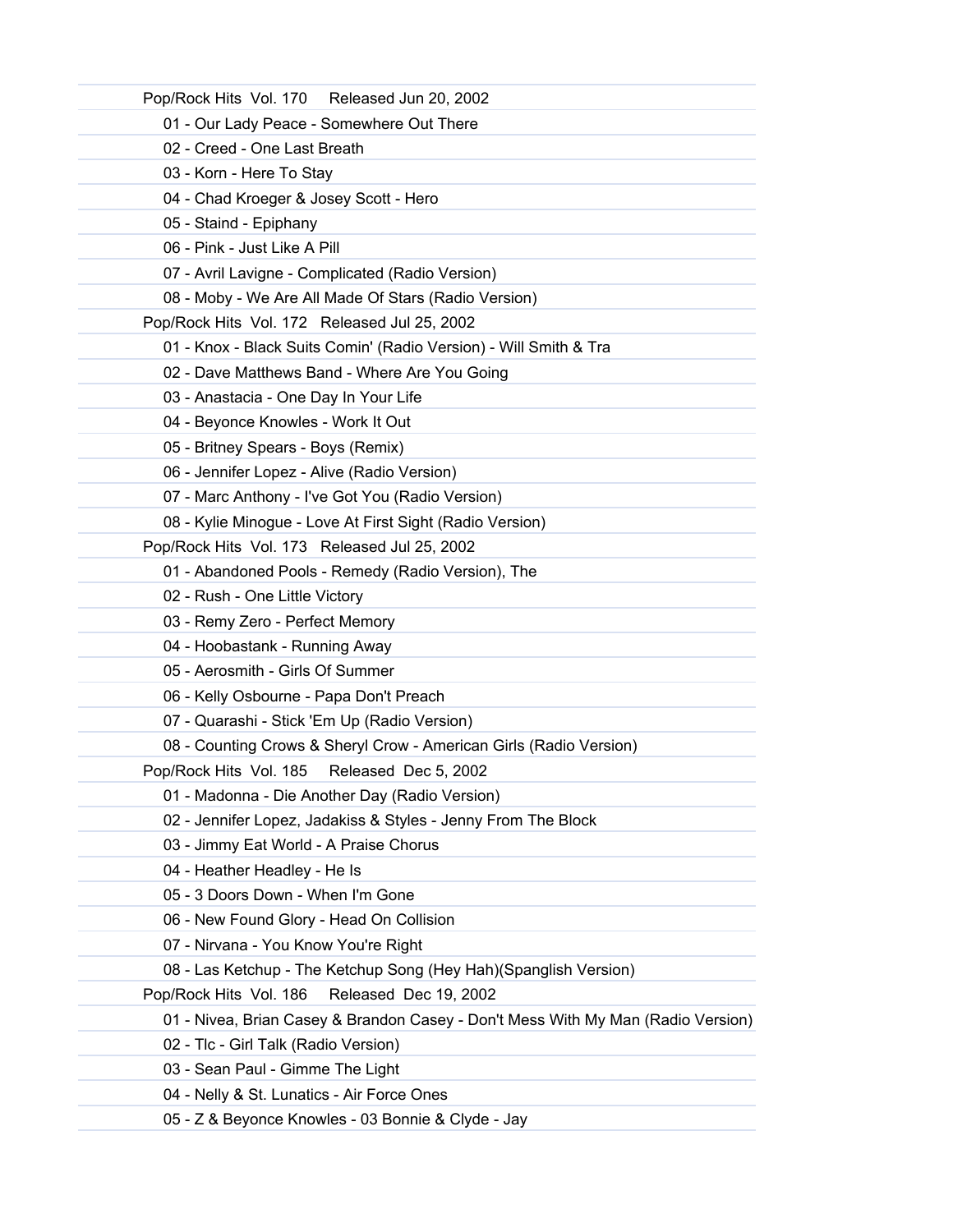| Pop/Rock Hits Vol. 170 Released Jun 20, 2002                                     |
|----------------------------------------------------------------------------------|
| 01 - Our Lady Peace - Somewhere Out There                                        |
| 02 - Creed - One Last Breath                                                     |
| 03 - Korn - Here To Stay                                                         |
| 04 - Chad Kroeger & Josey Scott - Hero                                           |
| 05 - Staind - Epiphany                                                           |
| 06 - Pink - Just Like A Pill                                                     |
| 07 - Avril Lavigne - Complicated (Radio Version)                                 |
| 08 - Moby - We Are All Made Of Stars (Radio Version)                             |
| Pop/Rock Hits Vol. 172 Released Jul 25, 2002                                     |
| 01 - Knox - Black Suits Comin' (Radio Version) - Will Smith & Tra                |
| 02 - Dave Matthews Band - Where Are You Going                                    |
| 03 - Anastacia - One Day In Your Life                                            |
| 04 - Beyonce Knowles - Work It Out                                               |
| 05 - Britney Spears - Boys (Remix)                                               |
| 06 - Jennifer Lopez - Alive (Radio Version)                                      |
| 07 - Marc Anthony - I've Got You (Radio Version)                                 |
| 08 - Kylie Minogue - Love At First Sight (Radio Version)                         |
| Pop/Rock Hits Vol. 173 Released Jul 25, 2002                                     |
| 01 - Abandoned Pools - Remedy (Radio Version), The                               |
| 02 - Rush - One Little Victory                                                   |
| 03 - Remy Zero - Perfect Memory                                                  |
| 04 - Hoobastank - Running Away                                                   |
| 05 - Aerosmith - Girls Of Summer                                                 |
| 06 - Kelly Osbourne - Papa Don't Preach                                          |
| 07 - Quarashi - Stick 'Em Up (Radio Version)                                     |
| 08 - Counting Crows & Sheryl Crow - American Girls (Radio Version)               |
| Pop/Rock Hits Vol. 185 Released Dec 5, 2002                                      |
| 01 - Madonna - Die Another Day (Radio Version)                                   |
| 02 - Jennifer Lopez, Jadakiss & Styles - Jenny From The Block                    |
| 03 - Jimmy Eat World - A Praise Chorus                                           |
| 04 - Heather Headley - He Is                                                     |
| 05 - 3 Doors Down - When I'm Gone                                                |
| 06 - New Found Glory - Head On Collision                                         |
| 07 - Nirvana - You Know You're Right                                             |
| 08 - Las Ketchup - The Ketchup Song (Hey Hah)(Spanglish Version)                 |
| Released Dec 19, 2002<br>Pop/Rock Hits Vol. 186                                  |
| 01 - Nivea, Brian Casey & Brandon Casey - Don't Mess With My Man (Radio Version) |
| 02 - Tlc - Girl Talk (Radio Version)                                             |
| 03 - Sean Paul - Gimme The Light                                                 |
| 04 - Nelly & St. Lunatics - Air Force Ones                                       |
| 05 - Z & Beyonce Knowles - 03 Bonnie & Clyde - Jay                               |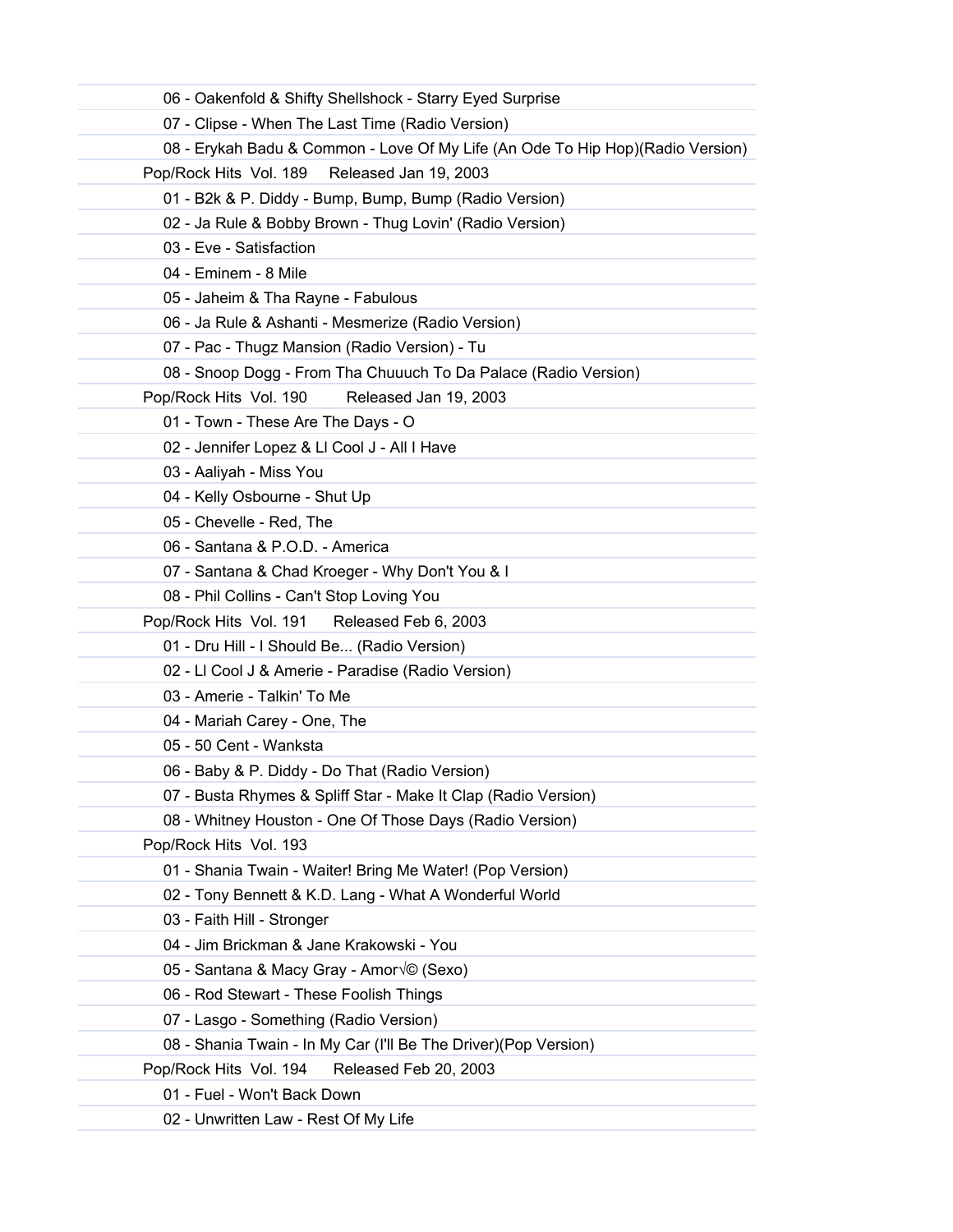| 06 - Oakenfold & Shifty Shellshock - Starry Eyed Surprise                      |
|--------------------------------------------------------------------------------|
| 07 - Clipse - When The Last Time (Radio Version)                               |
| 08 - Erykah Badu & Common - Love Of My Life (An Ode To Hip Hop)(Radio Version) |
| Pop/Rock Hits Vol. 189<br>Released Jan 19, 2003                                |
| 01 - B2k & P. Diddy - Bump, Bump, Bump (Radio Version)                         |
| 02 - Ja Rule & Bobby Brown - Thug Lovin' (Radio Version)                       |
| 03 - Eve - Satisfaction                                                        |
| 04 - Eminem - 8 Mile                                                           |
| 05 - Jaheim & Tha Rayne - Fabulous                                             |
| 06 - Ja Rule & Ashanti - Mesmerize (Radio Version)                             |
| 07 - Pac - Thugz Mansion (Radio Version) - Tu                                  |
| 08 - Snoop Dogg - From Tha Chuuuch To Da Palace (Radio Version)                |
| Pop/Rock Hits Vol. 190<br>Released Jan 19, 2003                                |
| 01 - Town - These Are The Days - O                                             |
| 02 - Jennifer Lopez & Ll Cool J - All I Have                                   |
| 03 - Aaliyah - Miss You                                                        |
| 04 - Kelly Osbourne - Shut Up                                                  |
| 05 - Chevelle - Red, The                                                       |
| 06 - Santana & P.O.D. - America                                                |
| 07 - Santana & Chad Kroeger - Why Don't You & I                                |
| 08 - Phil Collins - Can't Stop Loving You                                      |
| Pop/Rock Hits Vol. 191 Released Feb 6, 2003                                    |
| 01 - Dru Hill - I Should Be (Radio Version)                                    |
| 02 - Ll Cool J & Amerie - Paradise (Radio Version)                             |
| 03 - Amerie - Talkin' To Me                                                    |
| 04 - Mariah Carey - One, The                                                   |
| 05 - 50 Cent - Wanksta                                                         |
| 06 - Baby & P. Diddy - Do That (Radio Version)                                 |
| 07 - Busta Rhymes & Spliff Star - Make It Clap (Radio Version)                 |
| 08 - Whitney Houston - One Of Those Days (Radio Version)                       |
| Pop/Rock Hits Vol. 193                                                         |
| 01 - Shania Twain - Waiter! Bring Me Water! (Pop Version)                      |
| 02 - Tony Bennett & K.D. Lang - What A Wonderful World                         |
| 03 - Faith Hill - Stronger                                                     |
| 04 - Jim Brickman & Jane Krakowski - You                                       |
| 05 - Santana & Macy Gray - Amor $\sqrt{\circ}$ (Sexo)                          |
| 06 - Rod Stewart - These Foolish Things                                        |
| 07 - Lasgo - Something (Radio Version)                                         |
| 08 - Shania Twain - In My Car (I'll Be The Driver) (Pop Version)               |
| Pop/Rock Hits Vol. 194<br>Released Feb 20, 2003                                |
| 01 - Fuel - Won't Back Down                                                    |
| 02 - Unwritten Law - Rest Of My Life                                           |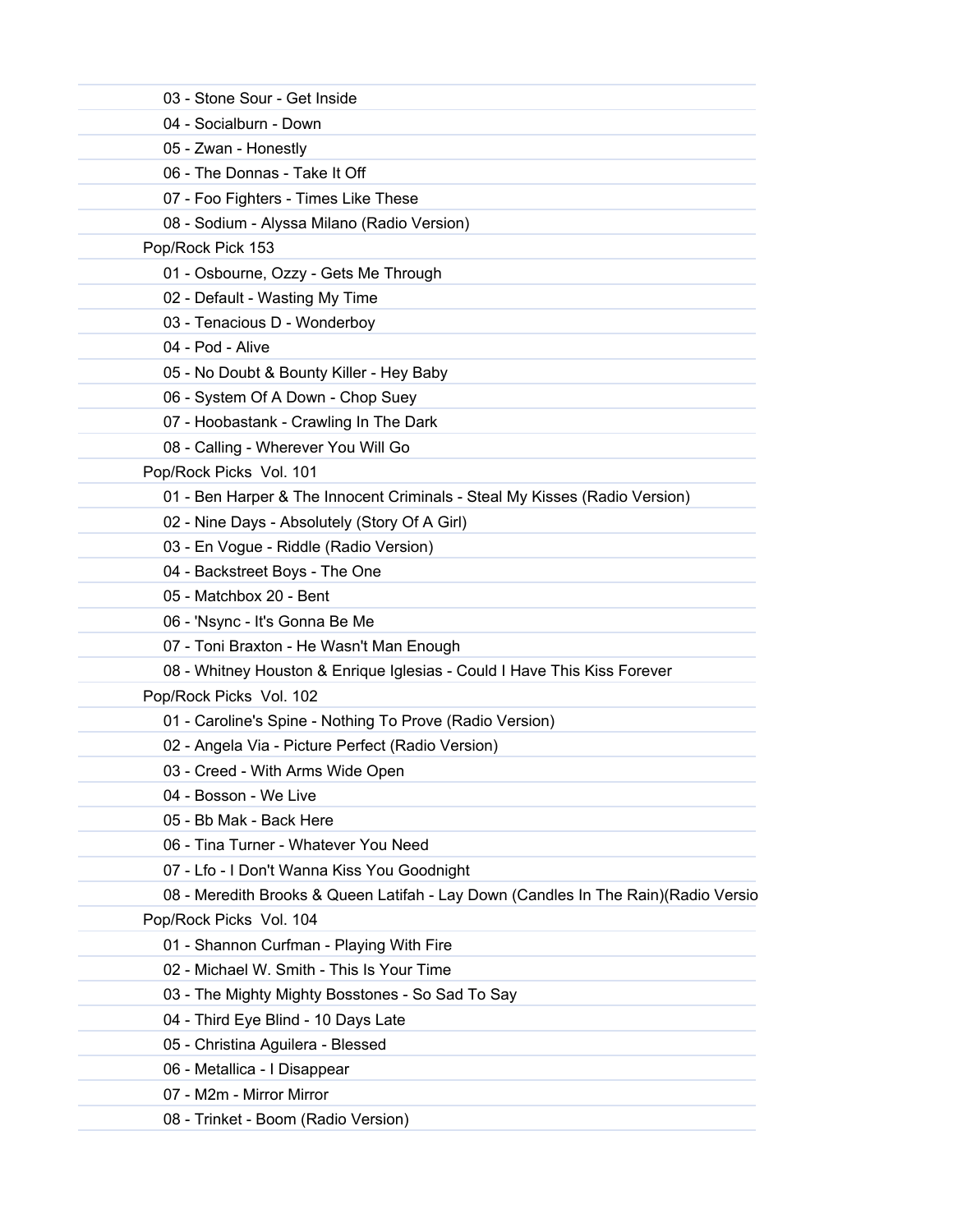| 03 - Stone Sour - Get Inside                                                       |
|------------------------------------------------------------------------------------|
| 04 - Socialburn - Down                                                             |
|                                                                                    |
| 05 - Zwan - Honestly<br>06 - The Donnas - Take It Off                              |
|                                                                                    |
| 07 - Foo Fighters - Times Like These                                               |
| 08 - Sodium - Alyssa Milano (Radio Version)<br>Pop/Rock Pick 153                   |
| 01 - Osbourne, Ozzy - Gets Me Through                                              |
| 02 - Default - Wasting My Time                                                     |
|                                                                                    |
| 03 - Tenacious D - Wonderboy<br>04 - Pod - Alive                                   |
|                                                                                    |
| 05 - No Doubt & Bounty Killer - Hey Baby                                           |
| 06 - System Of A Down - Chop Suey                                                  |
| 07 - Hoobastank - Crawling In The Dark                                             |
| 08 - Calling - Wherever You Will Go                                                |
| Pop/Rock Picks Vol. 101                                                            |
| 01 - Ben Harper & The Innocent Criminals - Steal My Kisses (Radio Version)         |
| 02 - Nine Days - Absolutely (Story Of A Girl)                                      |
| 03 - En Vogue - Riddle (Radio Version)                                             |
| 04 - Backstreet Boys - The One                                                     |
| 05 - Matchbox 20 - Bent                                                            |
| 06 - 'Nsync - It's Gonna Be Me                                                     |
| 07 - Toni Braxton - He Wasn't Man Enough                                           |
| 08 - Whitney Houston & Enrique Iglesias - Could I Have This Kiss Forever           |
| Pop/Rock Picks Vol. 102                                                            |
| 01 - Caroline's Spine - Nothing To Prove (Radio Version)                           |
| 02 - Angela Via - Picture Perfect (Radio Version)                                  |
| 03 - Creed - With Arms Wide Open                                                   |
| 04 - Bosson - We Live                                                              |
| 05 - Bb Mak - Back Here                                                            |
| 06 - Tina Turner - Whatever You Need                                               |
| 07 - Lfo - I Don't Wanna Kiss You Goodnight                                        |
| 08 - Meredith Brooks & Queen Latifah - Lay Down (Candles In The Rain)(Radio Versio |
| Pop/Rock Picks Vol. 104                                                            |
| 01 - Shannon Curfman - Playing With Fire                                           |
| 02 - Michael W. Smith - This Is Your Time                                          |
| 03 - The Mighty Mighty Bosstones - So Sad To Say                                   |
| 04 - Third Eye Blind - 10 Days Late                                                |
| 05 - Christina Aguilera - Blessed                                                  |
| 06 - Metallica - I Disappear                                                       |
| 07 - M2m - Mirror Mirror                                                           |
| 08 - Trinket - Boom (Radio Version)                                                |
|                                                                                    |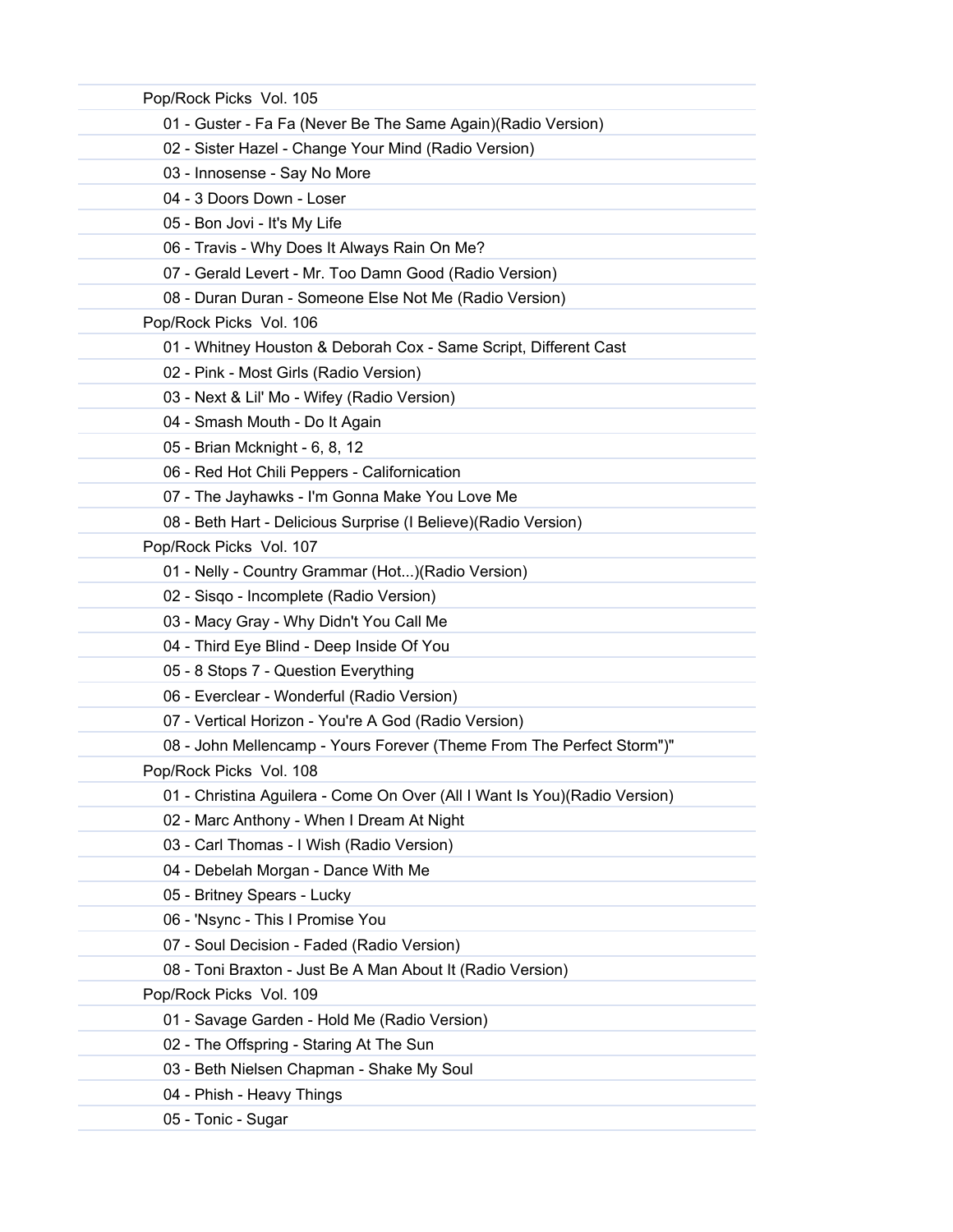| Pop/Rock Picks Vol. 105                                                    |
|----------------------------------------------------------------------------|
| 01 - Guster - Fa Fa (Never Be The Same Again) (Radio Version)              |
| 02 - Sister Hazel - Change Your Mind (Radio Version)                       |
| 03 - Innosense - Say No More                                               |
| 04 - 3 Doors Down - Loser                                                  |
| 05 - Bon Jovi - It's My Life                                               |
| 06 - Travis - Why Does It Always Rain On Me?                               |
| 07 - Gerald Levert - Mr. Too Damn Good (Radio Version)                     |
| 08 - Duran Duran - Someone Else Not Me (Radio Version)                     |
| Pop/Rock Picks Vol. 106                                                    |
| 01 - Whitney Houston & Deborah Cox - Same Script, Different Cast           |
| 02 - Pink - Most Girls (Radio Version)                                     |
| 03 - Next & Lil' Mo - Wifey (Radio Version)                                |
| 04 - Smash Mouth - Do It Again                                             |
| 05 - Brian Mcknight - 6, 8, 12                                             |
| 06 - Red Hot Chili Peppers - Californication                               |
| 07 - The Jayhawks - I'm Gonna Make You Love Me                             |
| 08 - Beth Hart - Delicious Surprise (I Believe) (Radio Version)            |
| Pop/Rock Picks Vol. 107                                                    |
| 01 - Nelly - Country Grammar (Hot) (Radio Version)                         |
| 02 - Sisqo - Incomplete (Radio Version)                                    |
| 03 - Macy Gray - Why Didn't You Call Me                                    |
| 04 - Third Eye Blind - Deep Inside Of You                                  |
| 05 - 8 Stops 7 - Question Everything                                       |
| 06 - Everclear - Wonderful (Radio Version)                                 |
| 07 - Vertical Horizon - You're A God (Radio Version)                       |
| 08 - John Mellencamp - Yours Forever (Theme From The Perfect Storm")"      |
| Pop/Rock Picks Vol. 108                                                    |
| 01 - Christina Aguilera - Come On Over (All I Want Is You) (Radio Version) |
| 02 - Marc Anthony - When I Dream At Night                                  |
| 03 - Carl Thomas - I Wish (Radio Version)                                  |
| 04 - Debelah Morgan - Dance With Me                                        |
| 05 - Britney Spears - Lucky                                                |
| 06 - 'Nsync - This I Promise You                                           |
| 07 - Soul Decision - Faded (Radio Version)                                 |
| 08 - Toni Braxton - Just Be A Man About It (Radio Version)                 |
| Pop/Rock Picks Vol. 109                                                    |
| 01 - Savage Garden - Hold Me (Radio Version)                               |
| 02 - The Offspring - Staring At The Sun                                    |
| 03 - Beth Nielsen Chapman - Shake My Soul                                  |
| 04 - Phish - Heavy Things                                                  |
| 05 - Tonic - Sugar                                                         |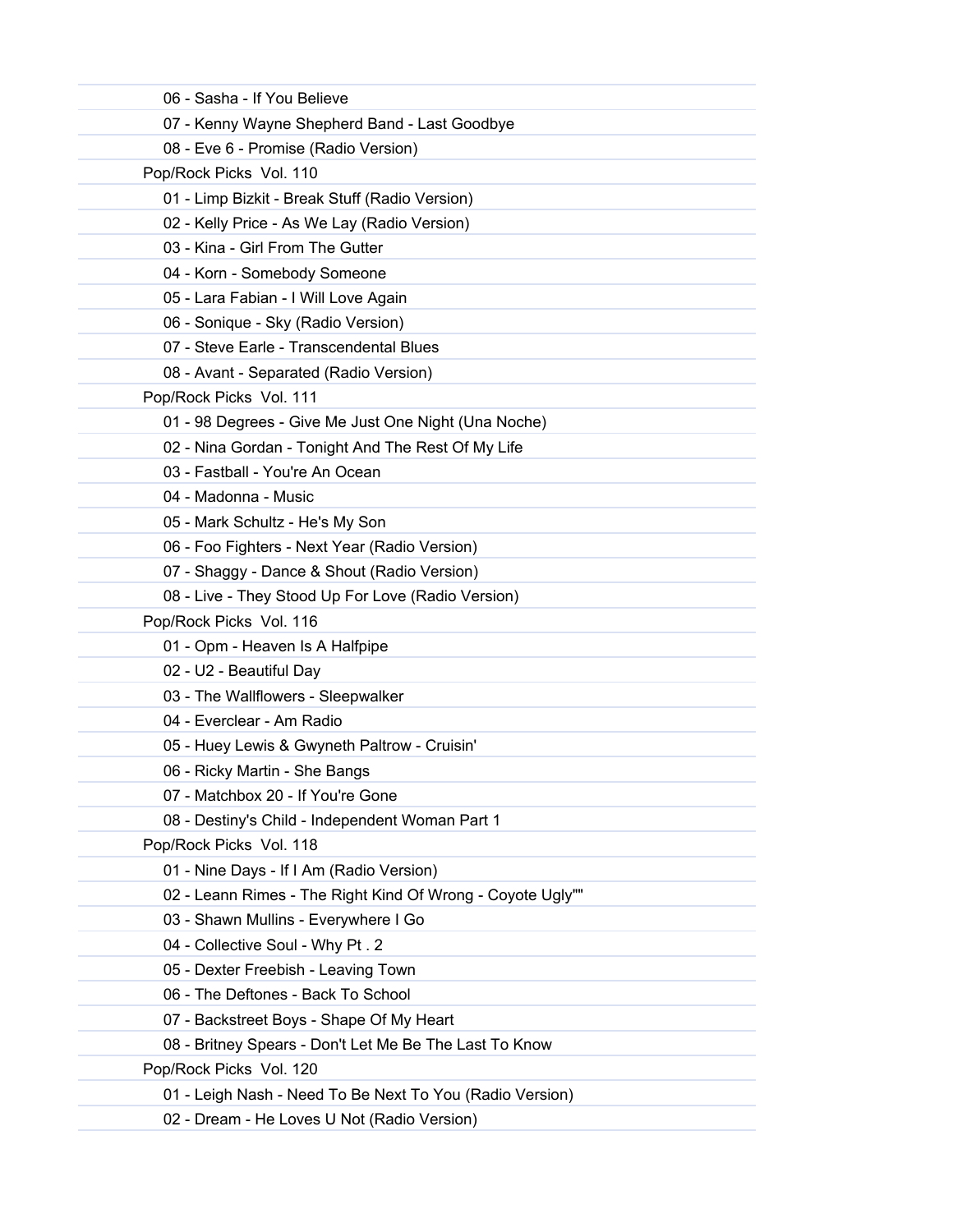| 06 - Sasha - If You Believe                                |  |
|------------------------------------------------------------|--|
| 07 - Kenny Wayne Shepherd Band - Last Goodbye              |  |
| 08 - Eve 6 - Promise (Radio Version)                       |  |
| Pop/Rock Picks Vol. 110                                    |  |
| 01 - Limp Bizkit - Break Stuff (Radio Version)             |  |
| 02 - Kelly Price - As We Lay (Radio Version)               |  |
| 03 - Kina - Girl From The Gutter                           |  |
| 04 - Korn - Somebody Someone                               |  |
| 05 - Lara Fabian - I Will Love Again                       |  |
| 06 - Sonique - Sky (Radio Version)                         |  |
| 07 - Steve Earle - Transcendental Blues                    |  |
| 08 - Avant - Separated (Radio Version)                     |  |
| Pop/Rock Picks Vol. 111                                    |  |
| 01 - 98 Degrees - Give Me Just One Night (Una Noche)       |  |
| 02 - Nina Gordan - Tonight And The Rest Of My Life         |  |
| 03 - Fastball - You're An Ocean                            |  |
| 04 - Madonna - Music                                       |  |
| 05 - Mark Schultz - He's My Son                            |  |
| 06 - Foo Fighters - Next Year (Radio Version)              |  |
| 07 - Shaggy - Dance & Shout (Radio Version)                |  |
| 08 - Live - They Stood Up For Love (Radio Version)         |  |
| Pop/Rock Picks Vol. 116                                    |  |
| 01 - Opm - Heaven Is A Halfpipe                            |  |
| 02 - U2 - Beautiful Day                                    |  |
| 03 - The Wallflowers - Sleepwalker                         |  |
| 04 - Everclear - Am Radio                                  |  |
| 05 - Huey Lewis & Gwyneth Paltrow - Cruisin'               |  |
| 06 - Ricky Martin - She Bangs                              |  |
| 07 - Matchbox 20 - If You're Gone                          |  |
| 08 - Destiny's Child - Independent Woman Part 1            |  |
| Pop/Rock Picks Vol. 118                                    |  |
| 01 - Nine Days - If I Am (Radio Version)                   |  |
| 02 - Leann Rimes - The Right Kind Of Wrong - Coyote Ugly"" |  |
| 03 - Shawn Mullins - Everywhere I Go                       |  |
| 04 - Collective Soul - Why Pt. 2                           |  |
| 05 - Dexter Freebish - Leaving Town                        |  |
| 06 - The Deftones - Back To School                         |  |
| 07 - Backstreet Boys - Shape Of My Heart                   |  |
| 08 - Britney Spears - Don't Let Me Be The Last To Know     |  |
| Pop/Rock Picks Vol. 120                                    |  |
| 01 - Leigh Nash - Need To Be Next To You (Radio Version)   |  |
| 02 - Dream - He Loves U Not (Radio Version)                |  |
|                                                            |  |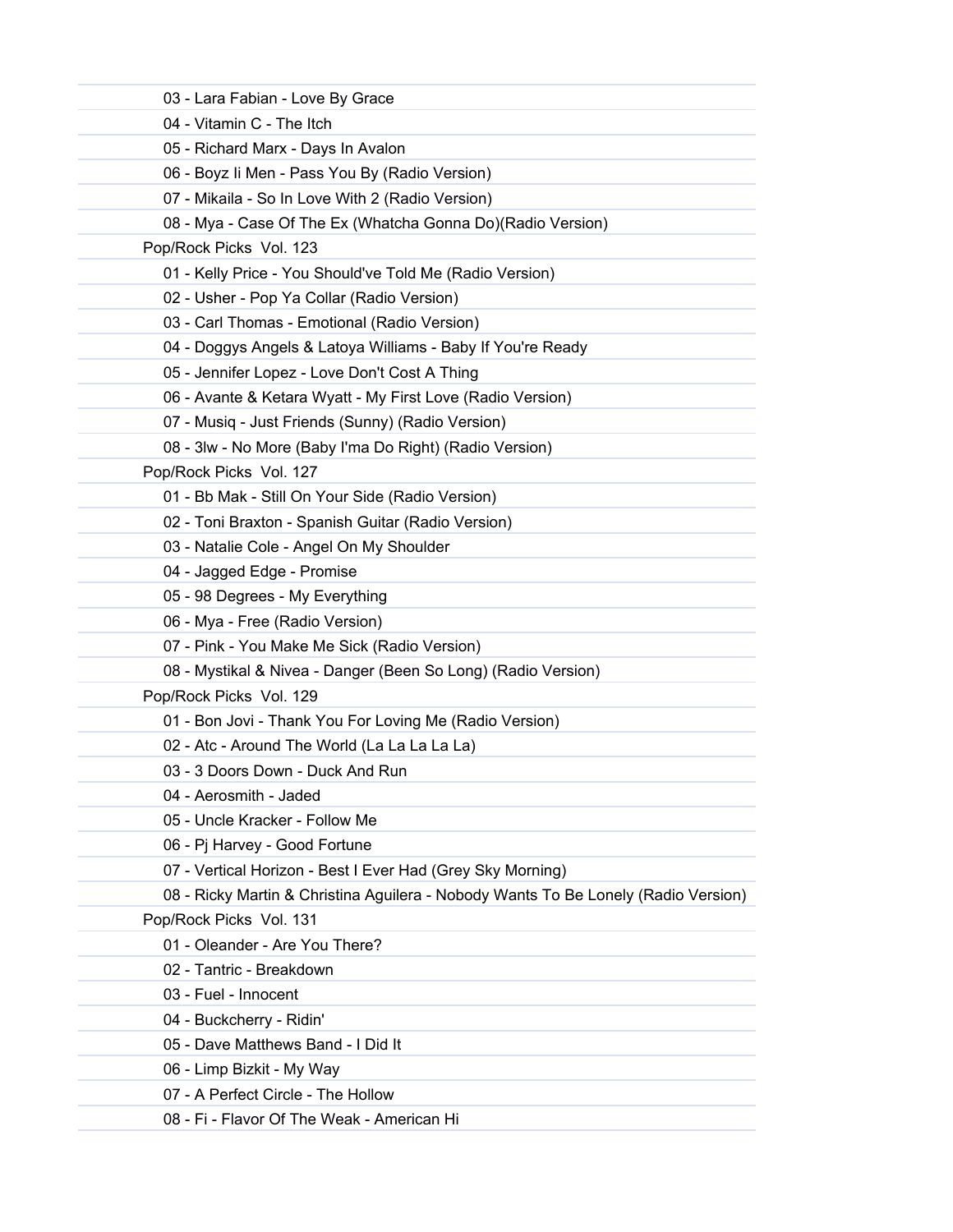| 03 - Lara Fabian - Love By Grace                                                   |
|------------------------------------------------------------------------------------|
| 04 - Vitamin C - The Itch                                                          |
| 05 - Richard Marx - Days In Avalon                                                 |
| 06 - Boyz li Men - Pass You By (Radio Version)                                     |
| 07 - Mikaila - So In Love With 2 (Radio Version)                                   |
| 08 - Mya - Case Of The Ex (Whatcha Gonna Do)(Radio Version)                        |
| Pop/Rock Picks Vol. 123                                                            |
| 01 - Kelly Price - You Should've Told Me (Radio Version)                           |
| 02 - Usher - Pop Ya Collar (Radio Version)                                         |
| 03 - Carl Thomas - Emotional (Radio Version)                                       |
| 04 - Doggys Angels & Latoya Williams - Baby If You're Ready                        |
| 05 - Jennifer Lopez - Love Don't Cost A Thing                                      |
| 06 - Avante & Ketara Wyatt - My First Love (Radio Version)                         |
| 07 - Musiq - Just Friends (Sunny) (Radio Version)                                  |
| 08 - 3lw - No More (Baby I'ma Do Right) (Radio Version)                            |
| Pop/Rock Picks Vol. 127                                                            |
| 01 - Bb Mak - Still On Your Side (Radio Version)                                   |
| 02 - Toni Braxton - Spanish Guitar (Radio Version)                                 |
| 03 - Natalie Cole - Angel On My Shoulder                                           |
| 04 - Jagged Edge - Promise                                                         |
| 05 - 98 Degrees - My Everything                                                    |
| 06 - Mya - Free (Radio Version)                                                    |
| 07 - Pink - You Make Me Sick (Radio Version)                                       |
| 08 - Mystikal & Nivea - Danger (Been So Long) (Radio Version)                      |
| Pop/Rock Picks Vol. 129                                                            |
| 01 - Bon Jovi - Thank You For Loving Me (Radio Version)                            |
| 02 - Atc - Around The World (La La La La La)                                       |
| 03 - 3 Doors Down - Duck And Run                                                   |
| 04 - Aerosmith - Jaded                                                             |
| 05 - Uncle Kracker - Follow Me                                                     |
| 06 - Pj Harvey - Good Fortune                                                      |
| 07 - Vertical Horizon - Best I Ever Had (Grey Sky Morning)                         |
| 08 - Ricky Martin & Christina Aguilera - Nobody Wants To Be Lonely (Radio Version) |
| Pop/Rock Picks Vol. 131                                                            |
| 01 - Oleander - Are You There?                                                     |
| 02 - Tantric - Breakdown                                                           |
| 03 - Fuel - Innocent                                                               |
| 04 - Buckcherry - Ridin'                                                           |
| 05 - Dave Matthews Band - I Did It                                                 |
| 06 - Limp Bizkit - My Way                                                          |
| 07 - A Perfect Circle - The Hollow                                                 |
| 08 - Fi - Flavor Of The Weak - American Hi                                         |
|                                                                                    |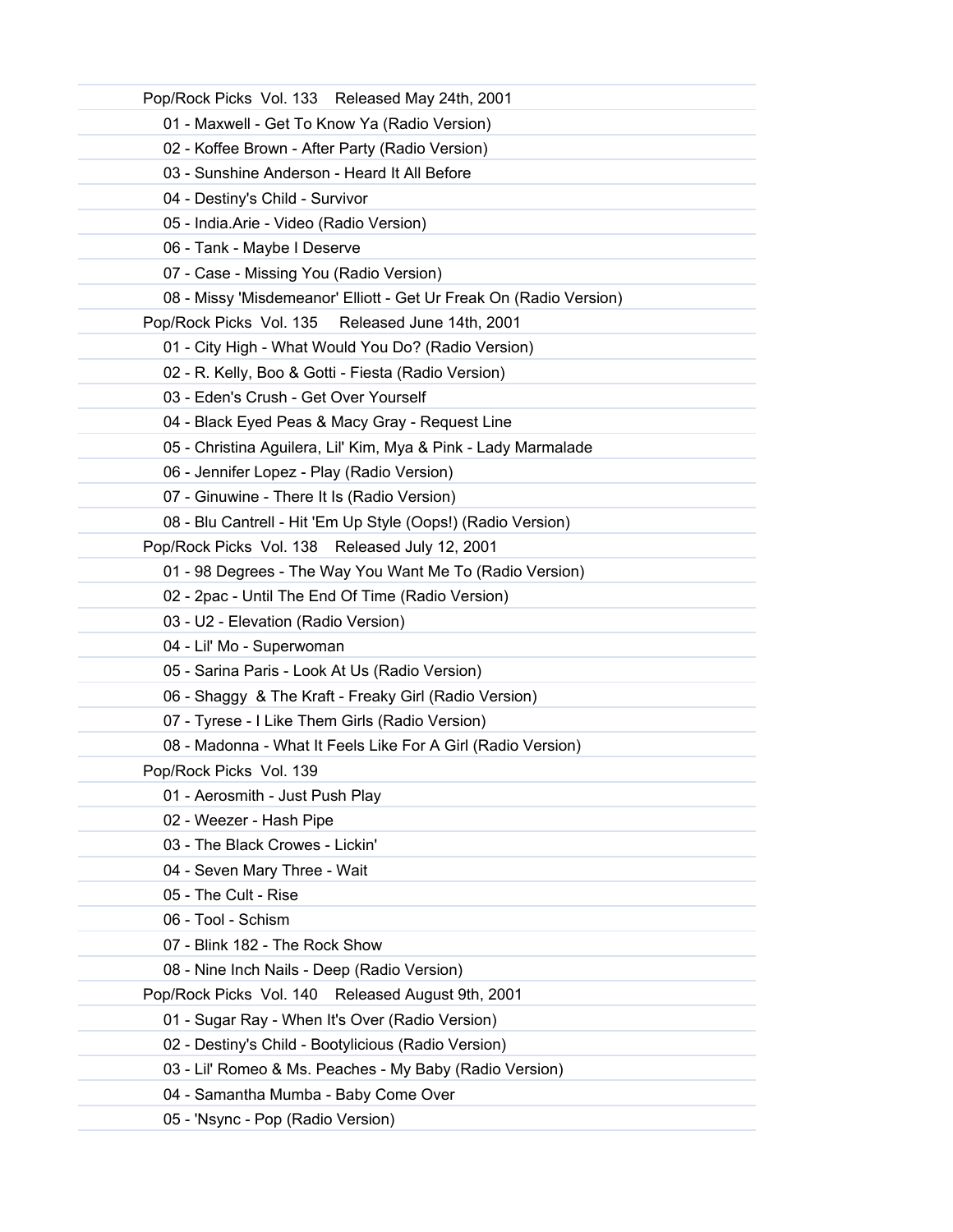| Pop/Rock Picks Vol. 133 Released May 24th, 2001                    |
|--------------------------------------------------------------------|
| 01 - Maxwell - Get To Know Ya (Radio Version)                      |
| 02 - Koffee Brown - After Party (Radio Version)                    |
| 03 - Sunshine Anderson - Heard It All Before                       |
| 04 - Destiny's Child - Survivor                                    |
| 05 - India.Arie - Video (Radio Version)                            |
| 06 - Tank - Maybe I Deserve                                        |
| 07 - Case - Missing You (Radio Version)                            |
| 08 - Missy 'Misdemeanor' Elliott - Get Ur Freak On (Radio Version) |
| Released June 14th, 2001<br>Pop/Rock Picks Vol. 135                |
| 01 - City High - What Would You Do? (Radio Version)                |
| 02 - R. Kelly, Boo & Gotti - Fiesta (Radio Version)                |
| 03 - Eden's Crush - Get Over Yourself                              |
| 04 - Black Eyed Peas & Macy Gray - Request Line                    |
| 05 - Christina Aguilera, Lil' Kim, Mya & Pink - Lady Marmalade     |
| 06 - Jennifer Lopez - Play (Radio Version)                         |
| 07 - Ginuwine - There It Is (Radio Version)                        |
| 08 - Blu Cantrell - Hit 'Em Up Style (Oops!) (Radio Version)       |
| Pop/Rock Picks Vol. 138 Released July 12, 2001                     |
| 01 - 98 Degrees - The Way You Want Me To (Radio Version)           |
| 02 - 2pac - Until The End Of Time (Radio Version)                  |
| 03 - U2 - Elevation (Radio Version)                                |
| 04 - Lil' Mo - Superwoman                                          |
| 05 - Sarina Paris - Look At Us (Radio Version)                     |
| 06 - Shaggy & The Kraft - Freaky Girl (Radio Version)              |
| 07 - Tyrese - I Like Them Girls (Radio Version)                    |
| 08 - Madonna - What It Feels Like For A Girl (Radio Version)       |
| Pop/Rock Picks Vol. 139                                            |
| 01 - Aerosmith - Just Push Play                                    |
| 02 - Weezer - Hash Pipe                                            |
| 03 - The Black Crowes - Lickin'                                    |
| 04 - Seven Mary Three - Wait                                       |
| 05 - The Cult - Rise                                               |
| 06 - Tool - Schism                                                 |
| 07 - Blink 182 - The Rock Show                                     |
| 08 - Nine Inch Nails - Deep (Radio Version)                        |
| Pop/Rock Picks Vol. 140 Released August 9th, 2001                  |
| 01 - Sugar Ray - When It's Over (Radio Version)                    |
| 02 - Destiny's Child - Bootylicious (Radio Version)                |
| 03 - Lil' Romeo & Ms. Peaches - My Baby (Radio Version)            |
| 04 - Samantha Mumba - Baby Come Over                               |
| 05 - 'Nsync - Pop (Radio Version)                                  |
|                                                                    |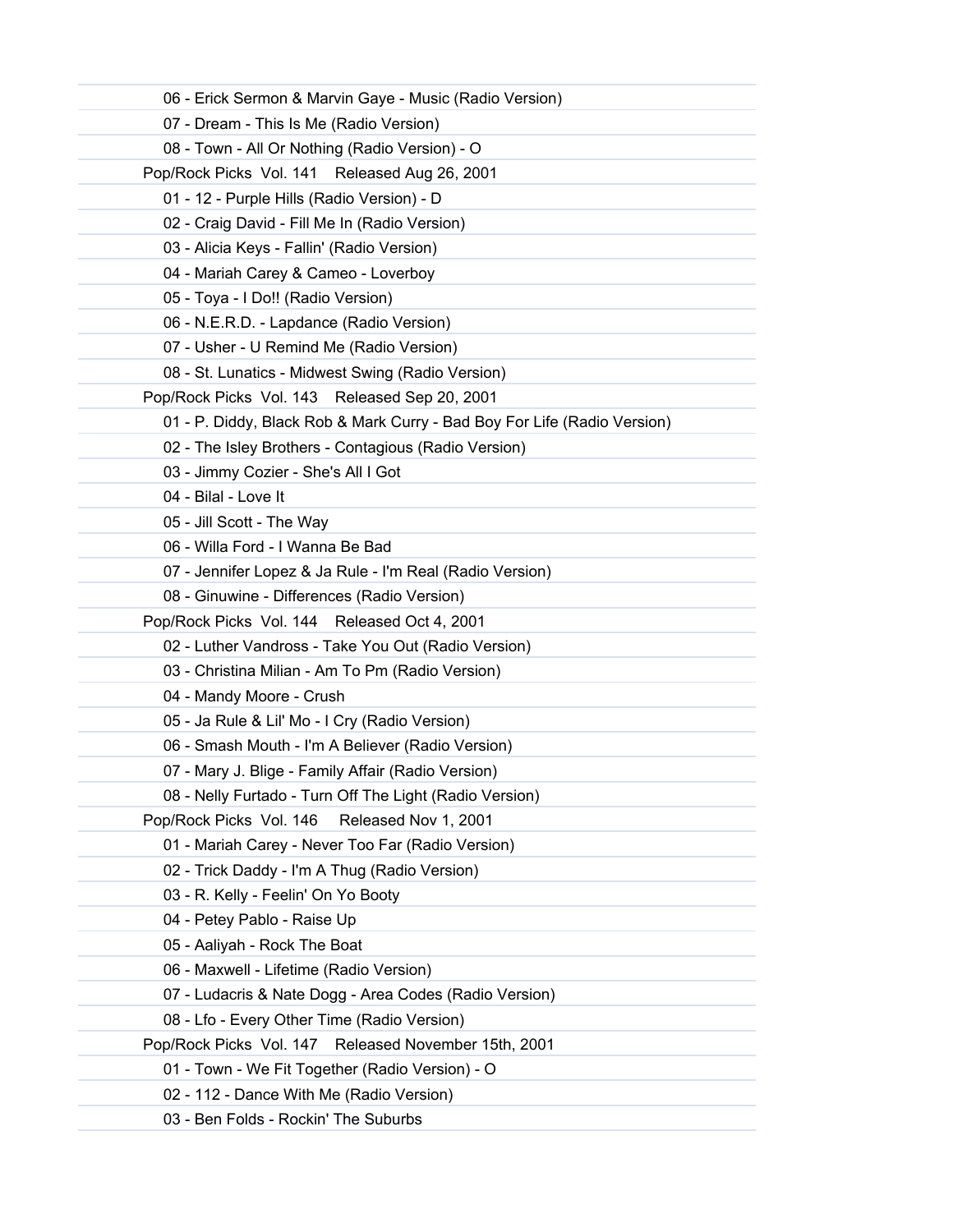| 06 - Erick Sermon & Marvin Gaye - Music (Radio Version)                  |
|--------------------------------------------------------------------------|
| 07 - Dream - This Is Me (Radio Version)                                  |
| 08 - Town - All Or Nothing (Radio Version) - O                           |
| Pop/Rock Picks Vol. 141 Released Aug 26, 2001                            |
| 01 - 12 - Purple Hills (Radio Version) - D                               |
| 02 - Craig David - Fill Me In (Radio Version)                            |
| 03 - Alicia Keys - Fallin' (Radio Version)                               |
| 04 - Mariah Carey & Cameo - Loverboy                                     |
| 05 - Toya - I Do!! (Radio Version)                                       |
| 06 - N.E.R.D. - Lapdance (Radio Version)                                 |
| 07 - Usher - U Remind Me (Radio Version)                                 |
| 08 - St. Lunatics - Midwest Swing (Radio Version)                        |
| Pop/Rock Picks Vol. 143 Released Sep 20, 2001                            |
| 01 - P. Diddy, Black Rob & Mark Curry - Bad Boy For Life (Radio Version) |
| 02 - The Isley Brothers - Contagious (Radio Version)                     |
| 03 - Jimmy Cozier - She's All I Got                                      |
| 04 - Bilal - Love It                                                     |
| 05 - Jill Scott - The Way                                                |
| 06 - Willa Ford - I Wanna Be Bad                                         |
| 07 - Jennifer Lopez & Ja Rule - I'm Real (Radio Version)                 |
| 08 - Ginuwine - Differences (Radio Version)                              |
| Pop/Rock Picks Vol. 144 Released Oct 4, 2001                             |
| 02 - Luther Vandross - Take You Out (Radio Version)                      |
| 03 - Christina Milian - Am To Pm (Radio Version)                         |
| 04 - Mandy Moore - Crush                                                 |
| 05 - Ja Rule & Lil' Mo - I Cry (Radio Version)                           |
| 06 - Smash Mouth - I'm A Believer (Radio Version)                        |
| 07 - Mary J. Blige - Family Affair (Radio Version)                       |
| 08 - Nelly Furtado - Turn Off The Light (Radio Version)                  |
| Pop/Rock Picks Vol. 146<br>Released Nov 1, 2001                          |
| 01 - Mariah Carey - Never Too Far (Radio Version)                        |
| 02 - Trick Daddy - I'm A Thug (Radio Version)                            |
| 03 - R. Kelly - Feelin' On Yo Booty                                      |
| 04 - Petey Pablo - Raise Up                                              |
| 05 - Aaliyah - Rock The Boat                                             |
| 06 - Maxwell - Lifetime (Radio Version)                                  |
| 07 - Ludacris & Nate Dogg - Area Codes (Radio Version)                   |
| 08 - Lfo - Every Other Time (Radio Version)                              |
| Pop/Rock Picks Vol. 147 Released November 15th, 2001                     |
| 01 - Town - We Fit Together (Radio Version) - O                          |
| 02 - 112 - Dance With Me (Radio Version)                                 |
| 03 - Ben Folds - Rockin' The Suburbs                                     |
|                                                                          |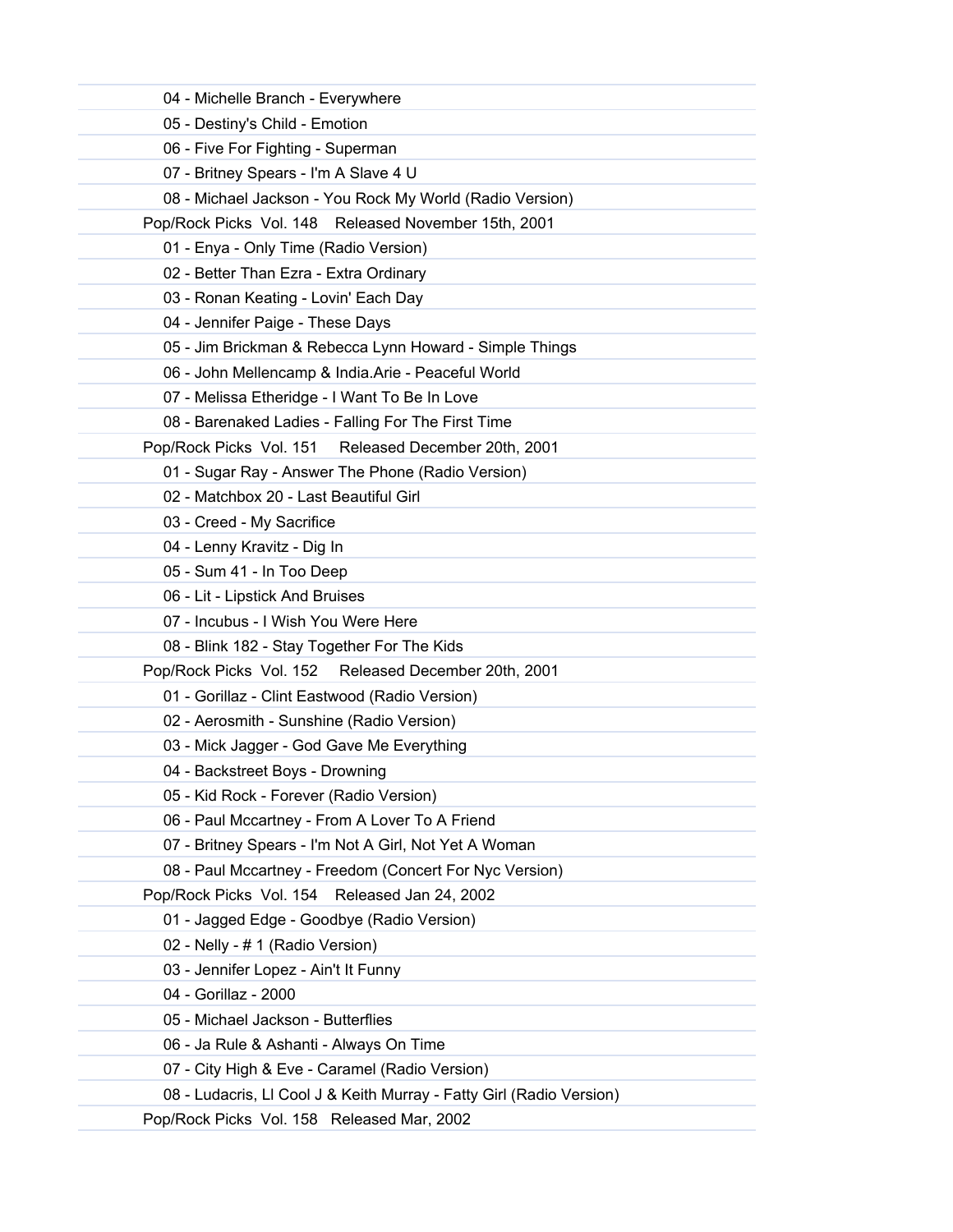| 04 - Michelle Branch - Everywhere                                    |  |
|----------------------------------------------------------------------|--|
| 05 - Destiny's Child - Emotion                                       |  |
| 06 - Five For Fighting - Superman                                    |  |
| 07 - Britney Spears - I'm A Slave 4 U                                |  |
| 08 - Michael Jackson - You Rock My World (Radio Version)             |  |
| Pop/Rock Picks Vol. 148 Released November 15th, 2001                 |  |
| 01 - Enya - Only Time (Radio Version)                                |  |
| 02 - Better Than Ezra - Extra Ordinary                               |  |
| 03 - Ronan Keating - Lovin' Each Day                                 |  |
| 04 - Jennifer Paige - These Days                                     |  |
| 05 - Jim Brickman & Rebecca Lynn Howard - Simple Things              |  |
| 06 - John Mellencamp & India.Arie - Peaceful World                   |  |
| 07 - Melissa Etheridge - I Want To Be In Love                        |  |
| 08 - Barenaked Ladies - Falling For The First Time                   |  |
| Pop/Rock Picks Vol. 151 Released December 20th, 2001                 |  |
| 01 - Sugar Ray - Answer The Phone (Radio Version)                    |  |
| 02 - Matchbox 20 - Last Beautiful Girl                               |  |
| 03 - Creed - My Sacrifice                                            |  |
| 04 - Lenny Kravitz - Dig In                                          |  |
| 05 - Sum 41 - In Too Deep                                            |  |
| 06 - Lit - Lipstick And Bruises                                      |  |
| 07 - Incubus - I Wish You Were Here                                  |  |
| 08 - Blink 182 - Stay Together For The Kids                          |  |
| Pop/Rock Picks Vol. 152 Released December 20th, 2001                 |  |
| 01 - Gorillaz - Clint Eastwood (Radio Version)                       |  |
| 02 - Aerosmith - Sunshine (Radio Version)                            |  |
| 03 - Mick Jagger - God Gave Me Everything                            |  |
| 04 - Backstreet Boys - Drowning                                      |  |
| 05 - Kid Rock - Forever (Radio Version)                              |  |
| 06 - Paul Mccartney - From A Lover To A Friend                       |  |
| 07 - Britney Spears - I'm Not A Girl, Not Yet A Woman                |  |
| 08 - Paul Mccartney - Freedom (Concert For Nyc Version)              |  |
| Pop/Rock Picks Vol. 154 Released Jan 24, 2002                        |  |
| 01 - Jagged Edge - Goodbye (Radio Version)                           |  |
| 02 - Nelly - # 1 (Radio Version)                                     |  |
| 03 - Jennifer Lopez - Ain't It Funny                                 |  |
| 04 - Gorillaz - 2000                                                 |  |
| 05 - Michael Jackson - Butterflies                                   |  |
| 06 - Ja Rule & Ashanti - Always On Time                              |  |
| 07 - City High & Eve - Caramel (Radio Version)                       |  |
| 08 - Ludacris, Ll Cool J & Keith Murray - Fatty Girl (Radio Version) |  |
| Pop/Rock Picks Vol. 158 Released Mar, 2002                           |  |
|                                                                      |  |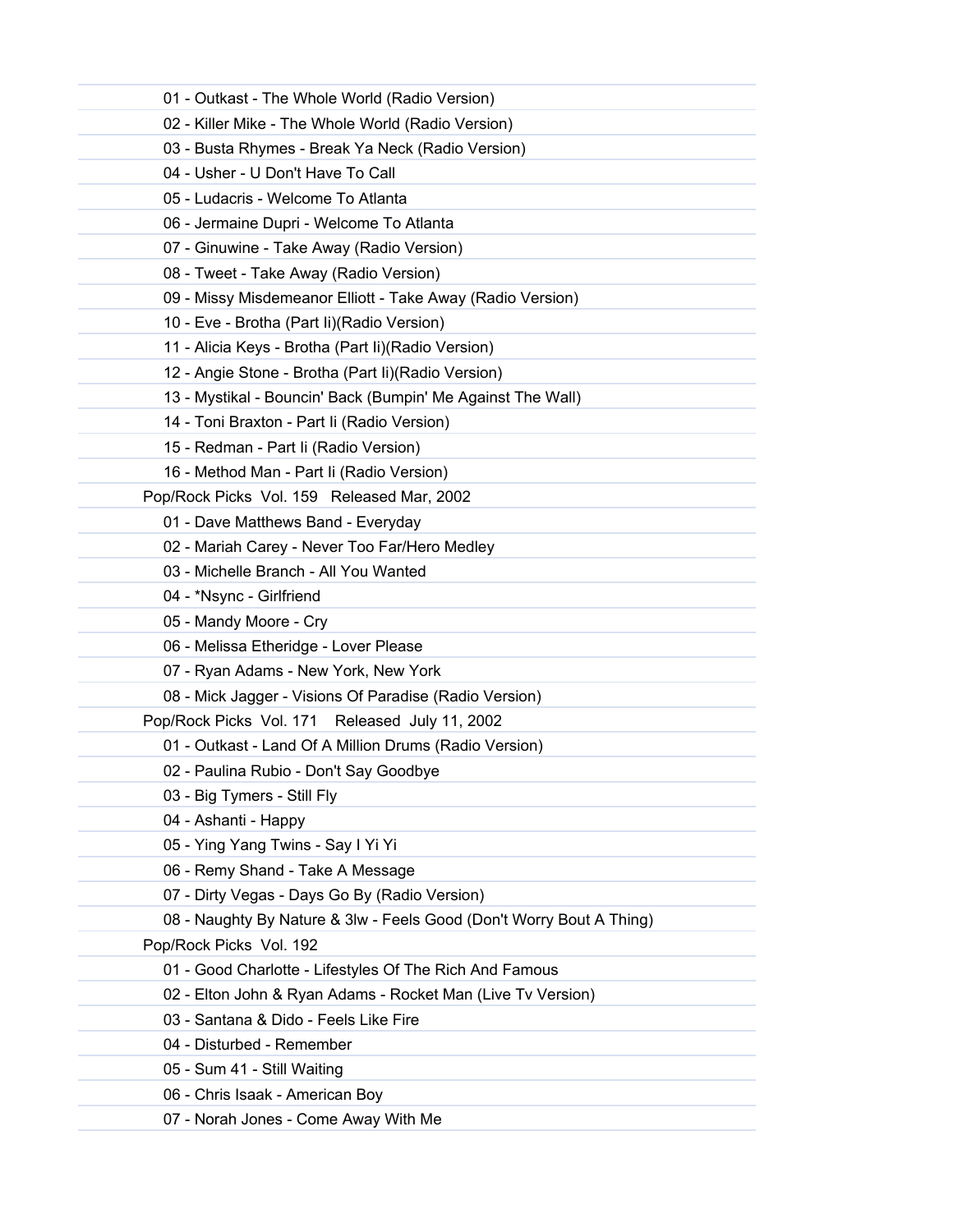| 01 - Outkast - The Whole World (Radio Version)                       |  |
|----------------------------------------------------------------------|--|
| 02 - Killer Mike - The Whole World (Radio Version)                   |  |
| 03 - Busta Rhymes - Break Ya Neck (Radio Version)                    |  |
| 04 - Usher - U Don't Have To Call                                    |  |
| 05 - Ludacris - Welcome To Atlanta                                   |  |
| 06 - Jermaine Dupri - Welcome To Atlanta                             |  |
| 07 - Ginuwine - Take Away (Radio Version)                            |  |
| 08 - Tweet - Take Away (Radio Version)                               |  |
| 09 - Missy Misdemeanor Elliott - Take Away (Radio Version)           |  |
| 10 - Eve - Brotha (Part li)(Radio Version)                           |  |
| 11 - Alicia Keys - Brotha (Part li)(Radio Version)                   |  |
| 12 - Angie Stone - Brotha (Part li)(Radio Version)                   |  |
| 13 - Mystikal - Bouncin' Back (Bumpin' Me Against The Wall)          |  |
| 14 - Toni Braxton - Part li (Radio Version)                          |  |
| 15 - Redman - Part li (Radio Version)                                |  |
| 16 - Method Man - Part Ii (Radio Version)                            |  |
| Pop/Rock Picks Vol. 159 Released Mar, 2002                           |  |
| 01 - Dave Matthews Band - Everyday                                   |  |
| 02 - Mariah Carey - Never Too Far/Hero Medley                        |  |
| 03 - Michelle Branch - All You Wanted                                |  |
| 04 - *Nsync - Girlfriend                                             |  |
| 05 - Mandy Moore - Cry                                               |  |
| 06 - Melissa Etheridge - Lover Please                                |  |
| 07 - Ryan Adams - New York, New York                                 |  |
| 08 - Mick Jagger - Visions Of Paradise (Radio Version)               |  |
| Pop/Rock Picks Vol. 171 Released July 11, 2002                       |  |
| 01 - Outkast - Land Of A Million Drums (Radio Version)               |  |
| 02 - Paulina Rubio - Don't Say Goodbye                               |  |
| 03 - Big Tymers - Still Fly                                          |  |
| 04 - Ashanti - Happy                                                 |  |
| 05 - Ying Yang Twins - Say I Yi Yi                                   |  |
| 06 - Remy Shand - Take A Message                                     |  |
| 07 - Dirty Vegas - Days Go By (Radio Version)                        |  |
| 08 - Naughty By Nature & 3lw - Feels Good (Don't Worry Bout A Thing) |  |
| Pop/Rock Picks Vol. 192                                              |  |
| 01 - Good Charlotte - Lifestyles Of The Rich And Famous              |  |
| 02 - Elton John & Ryan Adams - Rocket Man (Live Tv Version)          |  |
| 03 - Santana & Dido - Feels Like Fire                                |  |
| 04 - Disturbed - Remember                                            |  |
| 05 - Sum 41 - Still Waiting                                          |  |
| 06 - Chris Isaak - American Boy                                      |  |
| 07 - Norah Jones - Come Away With Me                                 |  |
|                                                                      |  |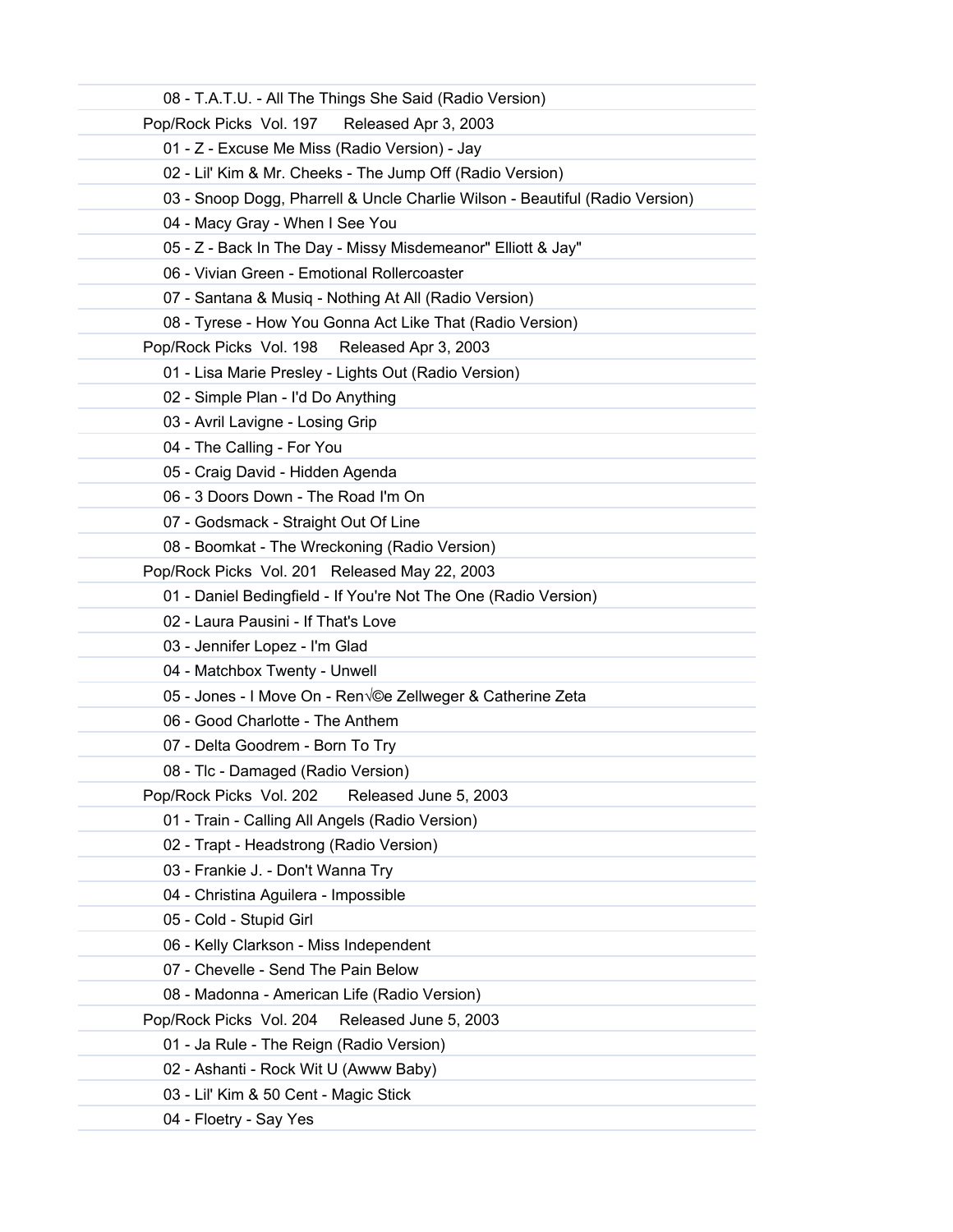| 08 - T.A.T.U. - All The Things She Said (Radio Version)                      |
|------------------------------------------------------------------------------|
| Pop/Rock Picks Vol. 197<br>Released Apr 3, 2003                              |
| 01 - Z - Excuse Me Miss (Radio Version) - Jay                                |
| 02 - Lil' Kim & Mr. Cheeks - The Jump Off (Radio Version)                    |
| 03 - Snoop Dogg, Pharrell & Uncle Charlie Wilson - Beautiful (Radio Version) |
| 04 - Macy Gray - When I See You                                              |
| 05 - Z - Back In The Day - Missy Misdemeanor" Elliott & Jay"                 |
| 06 - Vivian Green - Emotional Rollercoaster                                  |
| 07 - Santana & Musiq - Nothing At All (Radio Version)                        |
| 08 - Tyrese - How You Gonna Act Like That (Radio Version)                    |
| Pop/Rock Picks Vol. 198 Released Apr 3, 2003                                 |
| 01 - Lisa Marie Presley - Lights Out (Radio Version)                         |
| 02 - Simple Plan - I'd Do Anything                                           |
| 03 - Avril Lavigne - Losing Grip                                             |
| 04 - The Calling - For You                                                   |
| 05 - Craig David - Hidden Agenda                                             |
| 06 - 3 Doors Down - The Road I'm On                                          |
| 07 - Godsmack - Straight Out Of Line                                         |
| 08 - Boomkat - The Wreckoning (Radio Version)                                |
| Pop/Rock Picks Vol. 201 Released May 22, 2003                                |
| 01 - Daniel Bedingfield - If You're Not The One (Radio Version)              |
| 02 - Laura Pausini - If That's Love                                          |
| 03 - Jennifer Lopez - I'm Glad                                               |
| 04 - Matchbox Twenty - Unwell                                                |
| 05 - Jones - I Move On - Ren $\sqrt{ }$ ©e Zellweger & Catherine Zeta        |
| 06 - Good Charlotte - The Anthem                                             |
| 07 - Delta Goodrem - Born To Try                                             |
| 08 - Tlc - Damaged (Radio Version)                                           |
| Pop/Rock Picks Vol. 202<br>Released June 5, 2003                             |
| 01 - Train - Calling All Angels (Radio Version)                              |
| 02 - Trapt - Headstrong (Radio Version)                                      |
| 03 - Frankie J. - Don't Wanna Try                                            |
| 04 - Christina Aguilera - Impossible                                         |
| 05 - Cold - Stupid Girl                                                      |
| 06 - Kelly Clarkson - Miss Independent                                       |
| 07 - Chevelle - Send The Pain Below                                          |
| 08 - Madonna - American Life (Radio Version)                                 |
| Pop/Rock Picks Vol. 204<br>Released June 5, 2003                             |
| 01 - Ja Rule - The Reign (Radio Version)                                     |
| 02 - Ashanti - Rock Wit U (Awww Baby)                                        |
| 03 - Lil' Kim & 50 Cent - Magic Stick                                        |
| 04 - Floetry - Say Yes                                                       |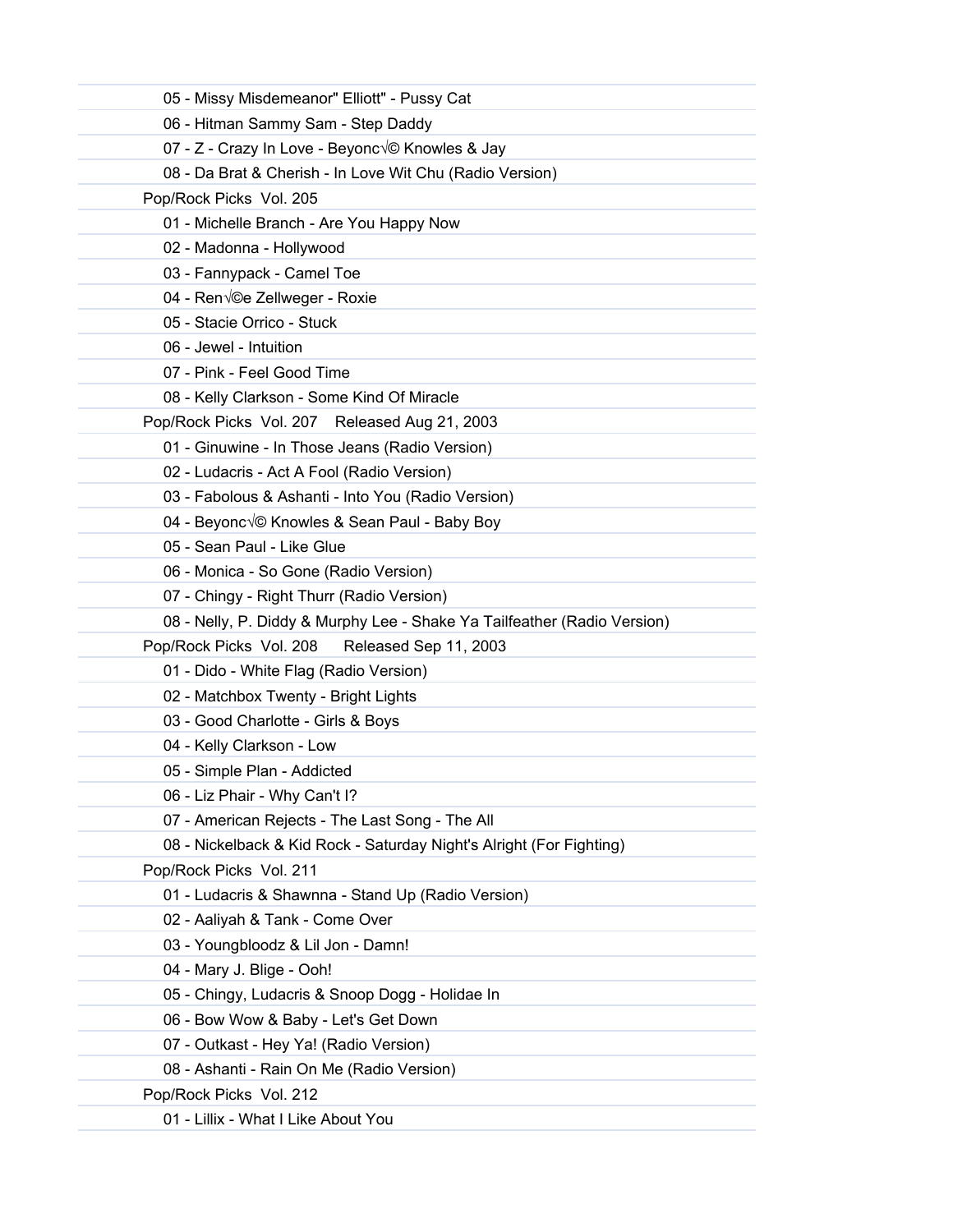| 05 - Missy Misdemeanor" Elliott" - Pussy Cat                             |
|--------------------------------------------------------------------------|
| 06 - Hitman Sammy Sam - Step Daddy                                       |
| 07 - Z - Crazy In Love - Beyoncé Knowles & Jay                           |
| 08 - Da Brat & Cherish - In Love Wit Chu (Radio Version)                 |
| Pop/Rock Picks Vol. 205                                                  |
| 01 - Michelle Branch - Are You Happy Now                                 |
| 02 - Madonna - Hollywood                                                 |
| 03 - Fannypack - Camel Toe                                               |
| 04 - Ren $\sqrt{ }$ e Zellweger - Roxie                                  |
| 05 - Stacie Orrico - Stuck                                               |
| 06 - Jewel - Intuition                                                   |
| 07 - Pink - Feel Good Time                                               |
| 08 - Kelly Clarkson - Some Kind Of Miracle                               |
| Pop/Rock Picks Vol. 207 Released Aug 21, 2003                            |
| 01 - Ginuwine - In Those Jeans (Radio Version)                           |
| 02 - Ludacris - Act A Fool (Radio Version)                               |
| 03 - Fabolous & Ashanti - Into You (Radio Version)                       |
| 04 - Beyonc $\sqrt{\circ}$ Knowles & Sean Paul - Baby Boy                |
| 05 - Sean Paul - Like Glue                                               |
| 06 - Monica - So Gone (Radio Version)                                    |
| 07 - Chingy - Right Thurr (Radio Version)                                |
| 08 - Nelly, P. Diddy & Murphy Lee - Shake Ya Tailfeather (Radio Version) |
| Pop/Rock Picks Vol. 208<br>Released Sep 11, 2003                         |
| 01 - Dido - White Flag (Radio Version)                                   |
| 02 - Matchbox Twenty - Bright Lights                                     |
| 03 - Good Charlotte - Girls & Boys                                       |
| 04 - Kelly Clarkson - Low                                                |
| 05 - Simple Plan - Addicted                                              |
| 06 - Liz Phair - Why Can't I?                                            |
| 07 - American Rejects - The Last Song - The All                          |
| 08 - Nickelback & Kid Rock - Saturday Night's Alright (For Fighting)     |
| Pop/Rock Picks Vol. 211                                                  |
| 01 - Ludacris & Shawnna - Stand Up (Radio Version)                       |
| 02 - Aaliyah & Tank - Come Over                                          |
| 03 - Youngbloodz & Lil Jon - Damn!                                       |
| 04 - Mary J. Blige - Ooh!                                                |
| 05 - Chingy, Ludacris & Snoop Dogg - Holidae In                          |
| 06 - Bow Wow & Baby - Let's Get Down                                     |
| 07 - Outkast - Hey Ya! (Radio Version)                                   |
| 08 - Ashanti - Rain On Me (Radio Version)                                |
| Pop/Rock Picks Vol. 212                                                  |
| 01 - Lillix - What I Like About You                                      |
|                                                                          |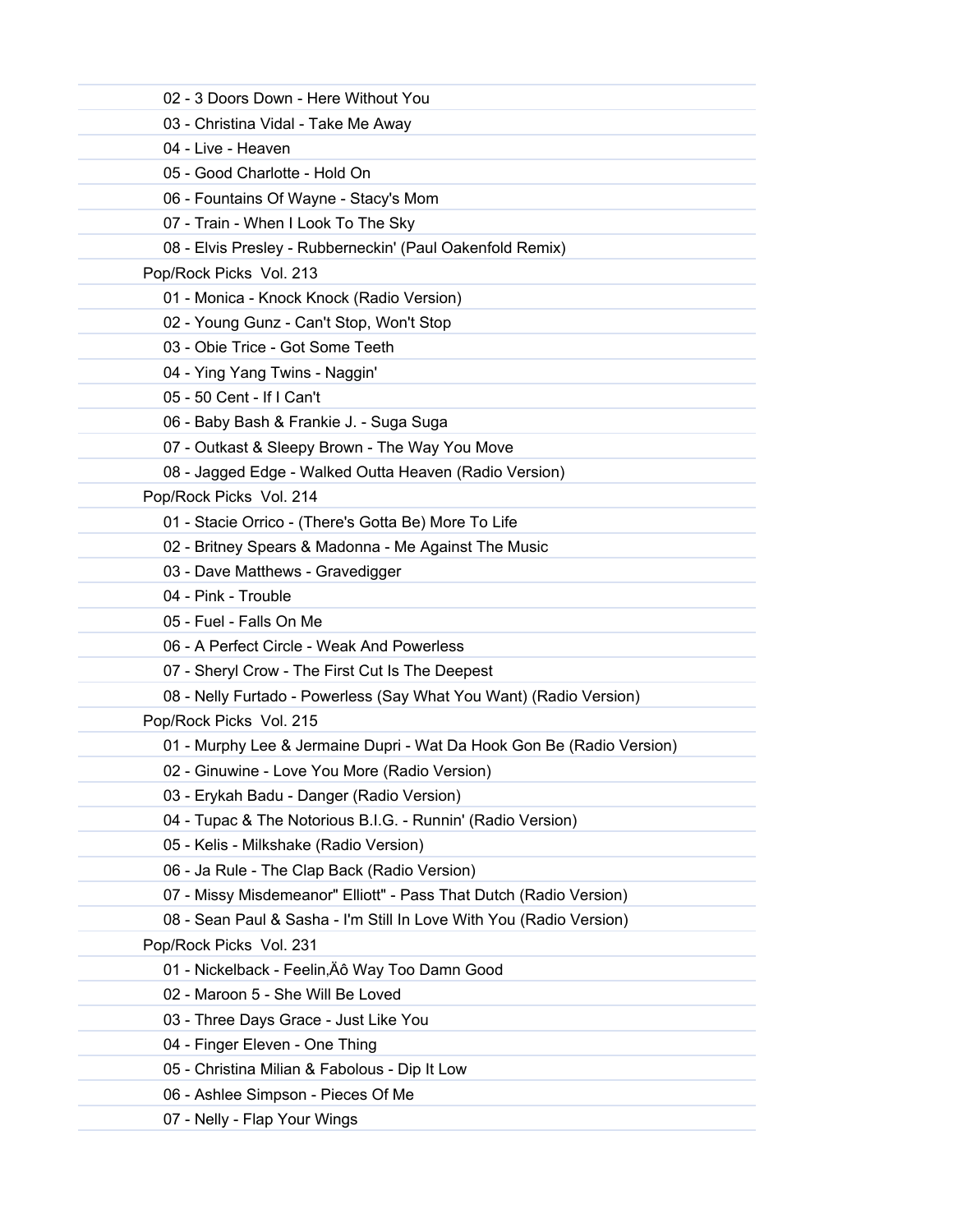| 02 - 3 Doors Down - Here Without You                                  |
|-----------------------------------------------------------------------|
| 03 - Christina Vidal - Take Me Away                                   |
| 04 - Live - Heaven                                                    |
| 05 - Good Charlotte - Hold On                                         |
| 06 - Fountains Of Wayne - Stacy's Mom                                 |
| 07 - Train - When I Look To The Sky                                   |
| 08 - Elvis Presley - Rubberneckin' (Paul Oakenfold Remix)             |
| Pop/Rock Picks Vol. 213                                               |
| 01 - Monica - Knock Knock (Radio Version)                             |
| 02 - Young Gunz - Can't Stop, Won't Stop                              |
| 03 - Obie Trice - Got Some Teeth                                      |
| 04 - Ying Yang Twins - Naggin'                                        |
| 05 - 50 Cent - If I Can't                                             |
| 06 - Baby Bash & Frankie J. - Suga Suga                               |
| 07 - Outkast & Sleepy Brown - The Way You Move                        |
| 08 - Jagged Edge - Walked Outta Heaven (Radio Version)                |
| Pop/Rock Picks Vol. 214                                               |
| 01 - Stacie Orrico - (There's Gotta Be) More To Life                  |
| 02 - Britney Spears & Madonna - Me Against The Music                  |
| 03 - Dave Matthews - Gravedigger                                      |
| 04 - Pink - Trouble                                                   |
| 05 - Fuel - Falls On Me                                               |
| 06 - A Perfect Circle - Weak And Powerless                            |
| 07 - Sheryl Crow - The First Cut Is The Deepest                       |
| 08 - Nelly Furtado - Powerless (Say What You Want) (Radio Version)    |
| Pop/Rock Picks Vol. 215                                               |
| 01 - Murphy Lee & Jermaine Dupri - Wat Da Hook Gon Be (Radio Version) |
| 02 - Ginuwine - Love You More (Radio Version)                         |
| 03 - Erykah Badu - Danger (Radio Version)                             |
| 04 - Tupac & The Notorious B.I.G. - Runnin' (Radio Version)           |
| 05 - Kelis - Milkshake (Radio Version)                                |
| 06 - Ja Rule - The Clap Back (Radio Version)                          |
| 07 - Missy Misdemeanor" Elliott" - Pass That Dutch (Radio Version)    |
| 08 - Sean Paul & Sasha - I'm Still In Love With You (Radio Version)   |
| Pop/Rock Picks Vol. 231                                               |
| 01 - Nickelback - Feelin, Äô Way Too Damn Good                        |
| 02 - Maroon 5 - She Will Be Loved                                     |
| 03 - Three Days Grace - Just Like You                                 |
| 04 - Finger Eleven - One Thing                                        |
| 05 - Christina Milian & Fabolous - Dip It Low                         |
| 06 - Ashlee Simpson - Pieces Of Me                                    |
| 07 - Nelly - Flap Your Wings                                          |
|                                                                       |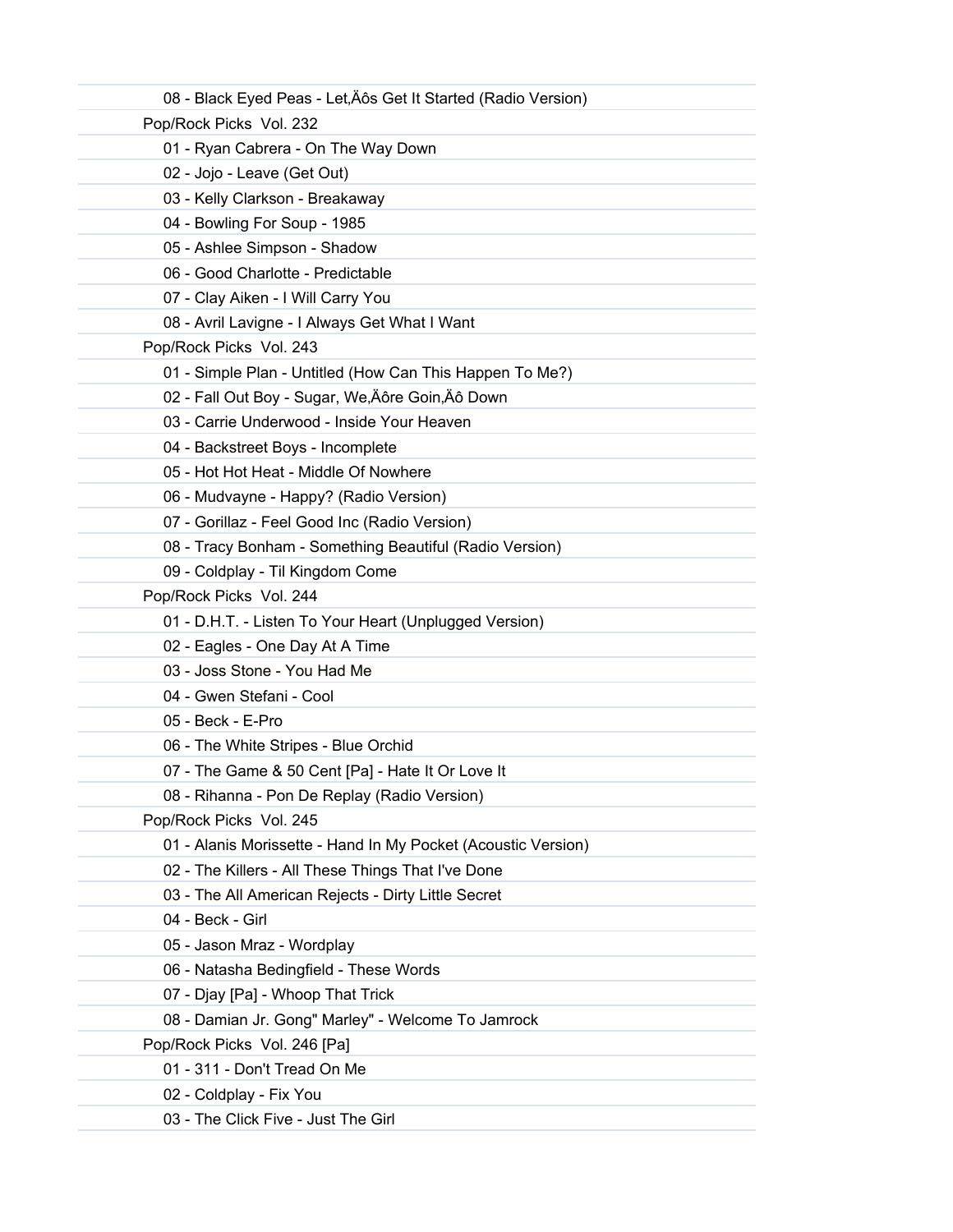| 08 - Black Eyed Peas - Let, Äôs Get It Started (Radio Version) |
|----------------------------------------------------------------|
| Pop/Rock Picks Vol. 232                                        |
| 01 - Ryan Cabrera - On The Way Down                            |
| 02 - Jojo - Leave (Get Out)                                    |
| 03 - Kelly Clarkson - Breakaway                                |
| 04 - Bowling For Soup - 1985                                   |
| 05 - Ashlee Simpson - Shadow                                   |
| 06 - Good Charlotte - Predictable                              |
| 07 - Clay Aiken - I Will Carry You                             |
| 08 - Avril Lavigne - I Always Get What I Want                  |
| Pop/Rock Picks Vol. 243                                        |
| 01 - Simple Plan - Untitled (How Can This Happen To Me?)       |
| 02 - Fall Out Boy - Sugar, We, Äôre Goin, Äô Down              |
| 03 - Carrie Underwood - Inside Your Heaven                     |
| 04 - Backstreet Boys - Incomplete                              |
| 05 - Hot Hot Heat - Middle Of Nowhere                          |
| 06 - Mudvayne - Happy? (Radio Version)                         |
| 07 - Gorillaz - Feel Good Inc (Radio Version)                  |
| 08 - Tracy Bonham - Something Beautiful (Radio Version)        |
| 09 - Coldplay - Til Kingdom Come                               |
| Pop/Rock Picks Vol. 244                                        |
| 01 - D.H.T. - Listen To Your Heart (Unplugged Version)         |
| 02 - Eagles - One Day At A Time                                |
| 03 - Joss Stone - You Had Me                                   |
| 04 - Gwen Stefani - Cool                                       |
| 05 - Beck - E-Pro                                              |
| 06 - The White Stripes - Blue Orchid                           |
| 07 - The Game & 50 Cent [Pa] - Hate It Or Love It              |
| 08 - Rihanna - Pon De Replay (Radio Version)                   |
| Pop/Rock Picks Vol. 245                                        |
| 01 - Alanis Morissette - Hand In My Pocket (Acoustic Version)  |
| 02 - The Killers - All These Things That I've Done             |
| 03 - The All American Rejects - Dirty Little Secret            |
| 04 - Beck - Girl                                               |
| 05 - Jason Mraz - Wordplay                                     |
| 06 - Natasha Bedingfield - These Words                         |
| 07 - Djay [Pa] - Whoop That Trick                              |
| 08 - Damian Jr. Gong" Marley" - Welcome To Jamrock             |
| Pop/Rock Picks Vol. 246 [Pa]                                   |
| 01 - 311 - Don't Tread On Me                                   |
| 02 - Coldplay - Fix You                                        |
| 03 - The Click Five - Just The Girl                            |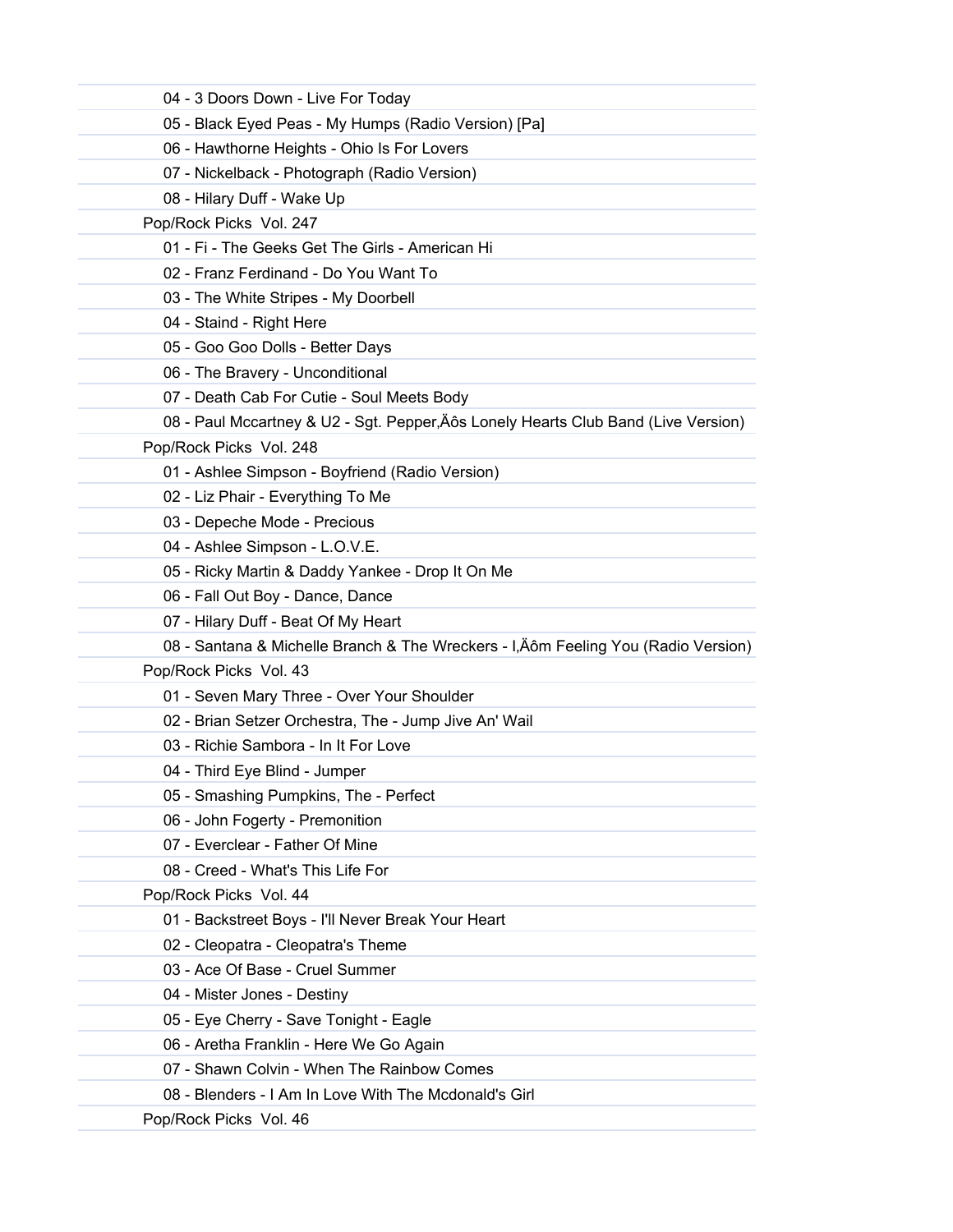| 04 - 3 Doors Down - Live For Today                                                 |  |
|------------------------------------------------------------------------------------|--|
| 05 - Black Eyed Peas - My Humps (Radio Version) [Pa]                               |  |
| 06 - Hawthorne Heights - Ohio Is For Lovers                                        |  |
| 07 - Nickelback - Photograph (Radio Version)                                       |  |
| 08 - Hilary Duff - Wake Up                                                         |  |
| Pop/Rock Picks Vol. 247                                                            |  |
| 01 - Fi - The Geeks Get The Girls - American Hi                                    |  |
| 02 - Franz Ferdinand - Do You Want To                                              |  |
| 03 - The White Stripes - My Doorbell                                               |  |
| 04 - Staind - Right Here                                                           |  |
| 05 - Goo Goo Dolls - Better Days                                                   |  |
| 06 - The Bravery - Unconditional                                                   |  |
| 07 - Death Cab For Cutie - Soul Meets Body                                         |  |
| 08 - Paul Mccartney & U2 - Sgt. Pepper, Äôs Lonely Hearts Club Band (Live Version) |  |
| Pop/Rock Picks Vol. 248                                                            |  |
| 01 - Ashlee Simpson - Boyfriend (Radio Version)                                    |  |
| 02 - Liz Phair - Everything To Me                                                  |  |
| 03 - Depeche Mode - Precious                                                       |  |
| 04 - Ashlee Simpson - L.O.V.E.                                                     |  |
| 05 - Ricky Martin & Daddy Yankee - Drop It On Me                                   |  |
| 06 - Fall Out Boy - Dance, Dance                                                   |  |
| 07 - Hilary Duff - Beat Of My Heart                                                |  |
| 08 - Santana & Michelle Branch & The Wreckers - I, Äôm Feeling You (Radio Version) |  |
| Pop/Rock Picks Vol. 43                                                             |  |
| 01 - Seven Mary Three - Over Your Shoulder                                         |  |
| 02 - Brian Setzer Orchestra, The - Jump Jive An' Wail                              |  |
| 03 - Richie Sambora - In It For Love                                               |  |
| 04 - Third Eye Blind - Jumper                                                      |  |
| 05 - Smashing Pumpkins, The - Perfect                                              |  |
| 06 - John Fogerty - Premonition                                                    |  |
| 07 - Everclear - Father Of Mine                                                    |  |
| 08 - Creed - What's This Life For                                                  |  |
| Pop/Rock Picks Vol. 44                                                             |  |
| 01 - Backstreet Boys - I'll Never Break Your Heart                                 |  |
| 02 - Cleopatra - Cleopatra's Theme                                                 |  |
| 03 - Ace Of Base - Cruel Summer                                                    |  |
| 04 - Mister Jones - Destiny                                                        |  |
| 05 - Eye Cherry - Save Tonight - Eagle                                             |  |
| 06 - Aretha Franklin - Here We Go Again                                            |  |
| 07 - Shawn Colvin - When The Rainbow Comes                                         |  |
| 08 - Blenders - I Am In Love With The Mcdonald's Girl                              |  |
| Pop/Rock Picks Vol. 46                                                             |  |
|                                                                                    |  |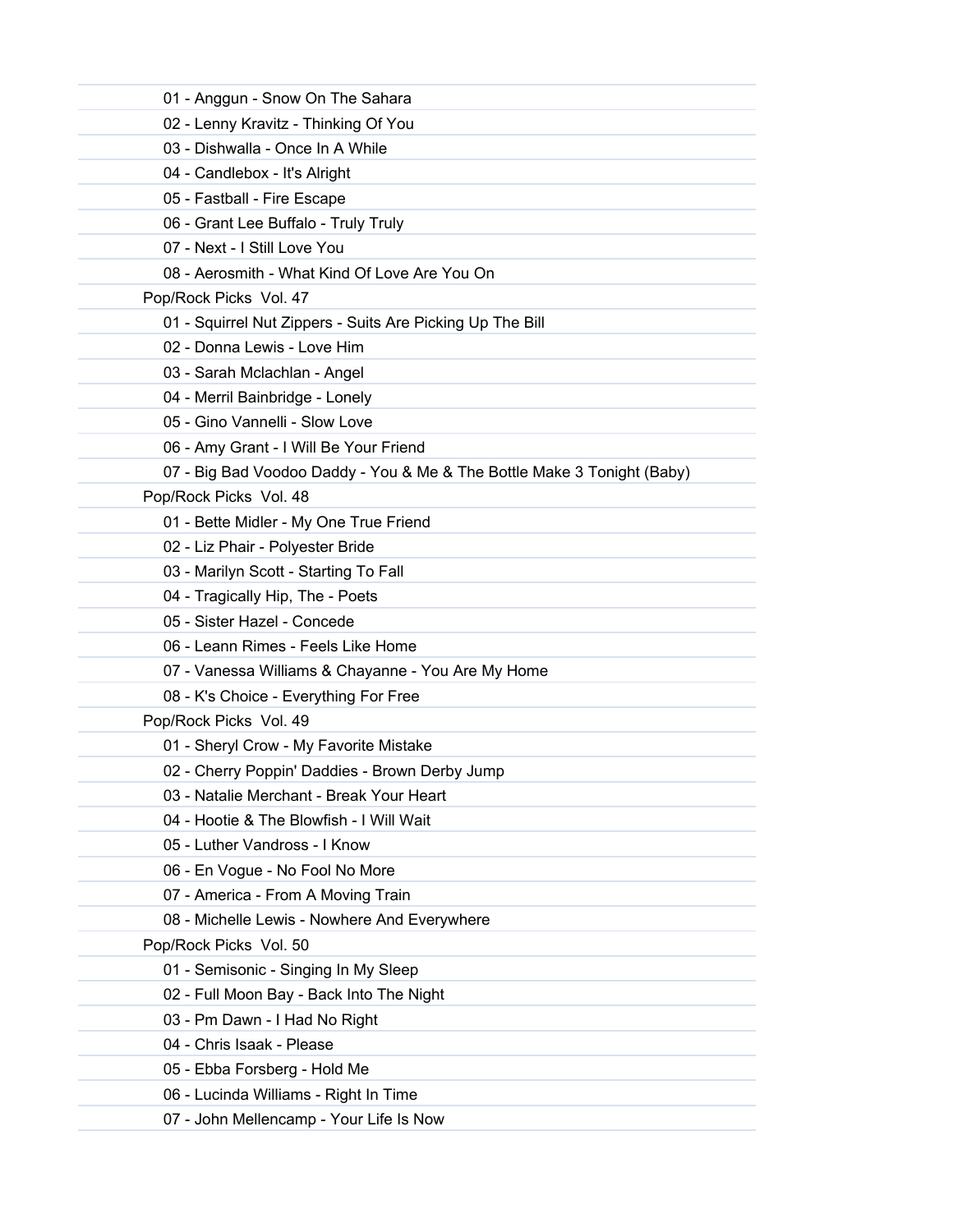| 01 - Anggun - Snow On The Sahara                                        |  |
|-------------------------------------------------------------------------|--|
| 02 - Lenny Kravitz - Thinking Of You                                    |  |
| 03 - Dishwalla - Once In A While                                        |  |
| 04 - Candlebox - It's Alright                                           |  |
| 05 - Fastball - Fire Escape                                             |  |
| 06 - Grant Lee Buffalo - Truly Truly                                    |  |
| 07 - Next - I Still Love You                                            |  |
| 08 - Aerosmith - What Kind Of Love Are You On                           |  |
| Pop/Rock Picks Vol. 47                                                  |  |
| 01 - Squirrel Nut Zippers - Suits Are Picking Up The Bill               |  |
| 02 - Donna Lewis - Love Him                                             |  |
| 03 - Sarah Mclachlan - Angel                                            |  |
| 04 - Merril Bainbridge - Lonely                                         |  |
| 05 - Gino Vannelli - Slow Love                                          |  |
| 06 - Amy Grant - I Will Be Your Friend                                  |  |
| 07 - Big Bad Voodoo Daddy - You & Me & The Bottle Make 3 Tonight (Baby) |  |
| Pop/Rock Picks Vol. 48                                                  |  |
| 01 - Bette Midler - My One True Friend                                  |  |
| 02 - Liz Phair - Polyester Bride                                        |  |
| 03 - Marilyn Scott - Starting To Fall                                   |  |
| 04 - Tragically Hip, The - Poets                                        |  |
| 05 - Sister Hazel - Concede                                             |  |
| 06 - Leann Rimes - Feels Like Home                                      |  |
| 07 - Vanessa Williams & Chayanne - You Are My Home                      |  |
| 08 - K's Choice - Everything For Free                                   |  |
| Pop/Rock Picks Vol. 49                                                  |  |
| 01 - Sheryl Crow - My Favorite Mistake                                  |  |
| 02 - Cherry Poppin' Daddies - Brown Derby Jump                          |  |
| 03 - Natalie Merchant - Break Your Heart                                |  |
| 04 - Hootie & The Blowfish - I Will Wait                                |  |
| 05 - Luther Vandross - I Know                                           |  |
| 06 - En Vogue - No Fool No More                                         |  |
| 07 - America - From A Moving Train                                      |  |
| 08 - Michelle Lewis - Nowhere And Everywhere                            |  |
| Pop/Rock Picks Vol. 50                                                  |  |
| 01 - Semisonic - Singing In My Sleep                                    |  |
| 02 - Full Moon Bay - Back Into The Night                                |  |
| 03 - Pm Dawn - I Had No Right                                           |  |
| 04 - Chris Isaak - Please                                               |  |
| 05 - Ebba Forsberg - Hold Me                                            |  |
| 06 - Lucinda Williams - Right In Time                                   |  |
| 07 - John Mellencamp - Your Life Is Now                                 |  |
|                                                                         |  |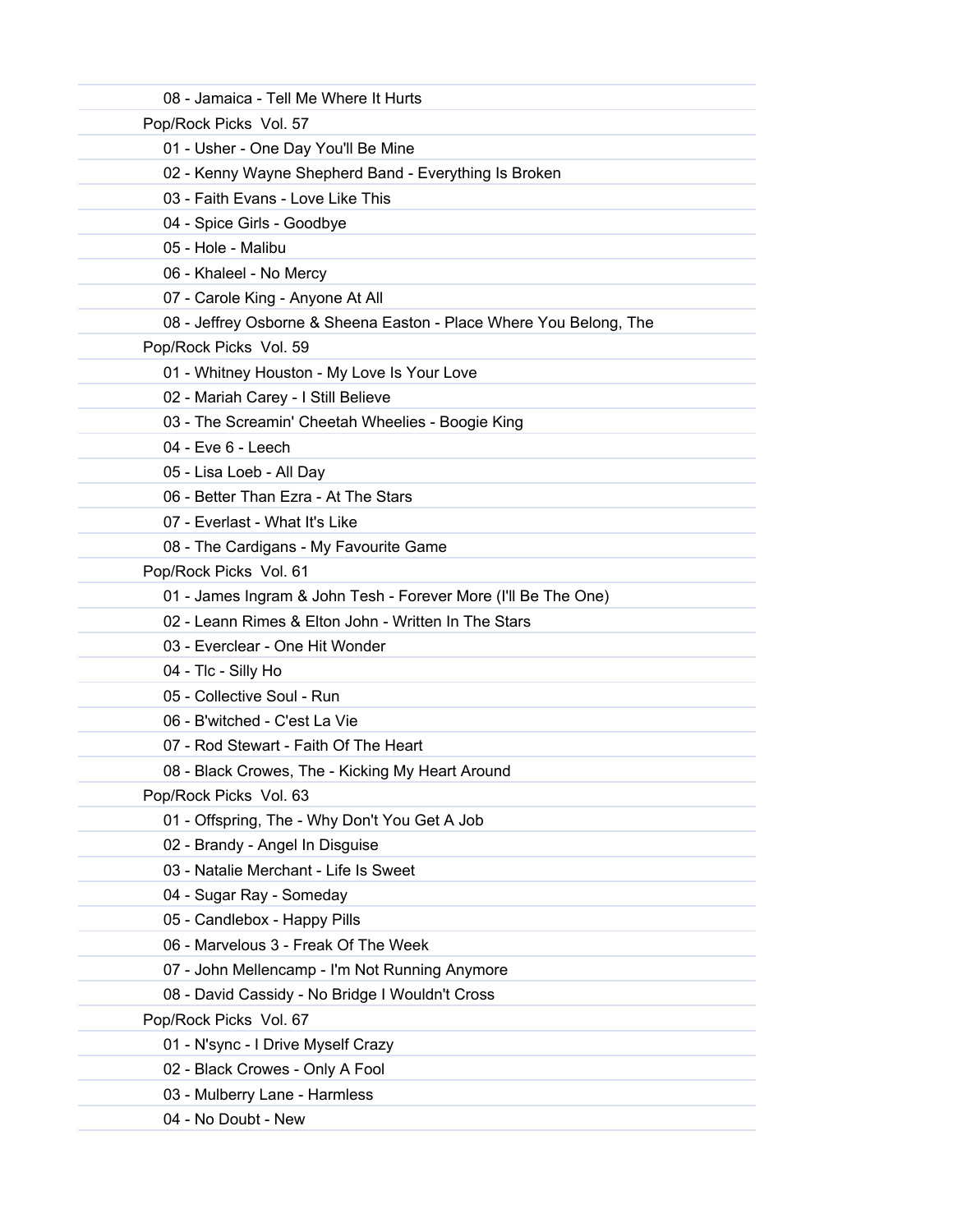|                        | 08 - Jamaica - Tell Me Where It Hurts                              |
|------------------------|--------------------------------------------------------------------|
| Pop/Rock Picks Vol. 57 |                                                                    |
|                        | 01 - Usher - One Day You'll Be Mine                                |
|                        | 02 - Kenny Wayne Shepherd Band - Everything Is Broken              |
|                        | 03 - Faith Evans - Love Like This                                  |
|                        | 04 - Spice Girls - Goodbye                                         |
| 05 - Hole - Malibu     |                                                                    |
|                        | 06 - Khaleel - No Mercy                                            |
|                        | 07 - Carole King - Anyone At All                                   |
|                        | 08 - Jeffrey Osborne & Sheena Easton - Place Where You Belong, The |
| Pop/Rock Picks Vol. 59 |                                                                    |
|                        | 01 - Whitney Houston - My Love Is Your Love                        |
|                        | 02 - Mariah Carey - I Still Believe                                |
|                        | 03 - The Screamin' Cheetah Wheelies - Boogie King                  |
| $04$ - Eve $6$ - Leech |                                                                    |
|                        | 05 - Lisa Loeb - All Day                                           |
|                        | 06 - Better Than Ezra - At The Stars                               |
|                        | 07 - Everlast - What It's Like                                     |
|                        | 08 - The Cardigans - My Favourite Game                             |
| Pop/Rock Picks Vol. 61 |                                                                    |
|                        | 01 - James Ingram & John Tesh - Forever More (I'll Be The One)     |
|                        | 02 - Leann Rimes & Elton John - Written In The Stars               |
|                        | 03 - Everclear - One Hit Wonder                                    |
| 04 - Tlc - Silly Ho    |                                                                    |
|                        | 05 - Collective Soul - Run                                         |
|                        | 06 - B'witched - C'est La Vie                                      |
|                        | 07 - Rod Stewart - Faith Of The Heart                              |
|                        | 08 - Black Crowes, The - Kicking My Heart Around                   |
| Pop/Rock Picks Vol. 63 |                                                                    |
|                        | 01 - Offspring, The - Why Don't You Get A Job                      |
|                        | 02 - Brandy - Angel In Disguise                                    |
|                        | 03 - Natalie Merchant - Life Is Sweet                              |
|                        | 04 - Sugar Ray - Someday                                           |
|                        | 05 - Candlebox - Happy Pills                                       |
|                        | 06 - Marvelous 3 - Freak Of The Week                               |
|                        | 07 - John Mellencamp - I'm Not Running Anymore                     |
|                        | 08 - David Cassidy - No Bridge I Wouldn't Cross                    |
| Pop/Rock Picks Vol. 67 |                                                                    |
|                        | 01 - N'sync - I Drive Myself Crazy                                 |
|                        | 02 - Black Crowes - Only A Fool                                    |
|                        | 03 - Mulberry Lane - Harmless                                      |
| 04 - No Doubt - New    |                                                                    |
|                        |                                                                    |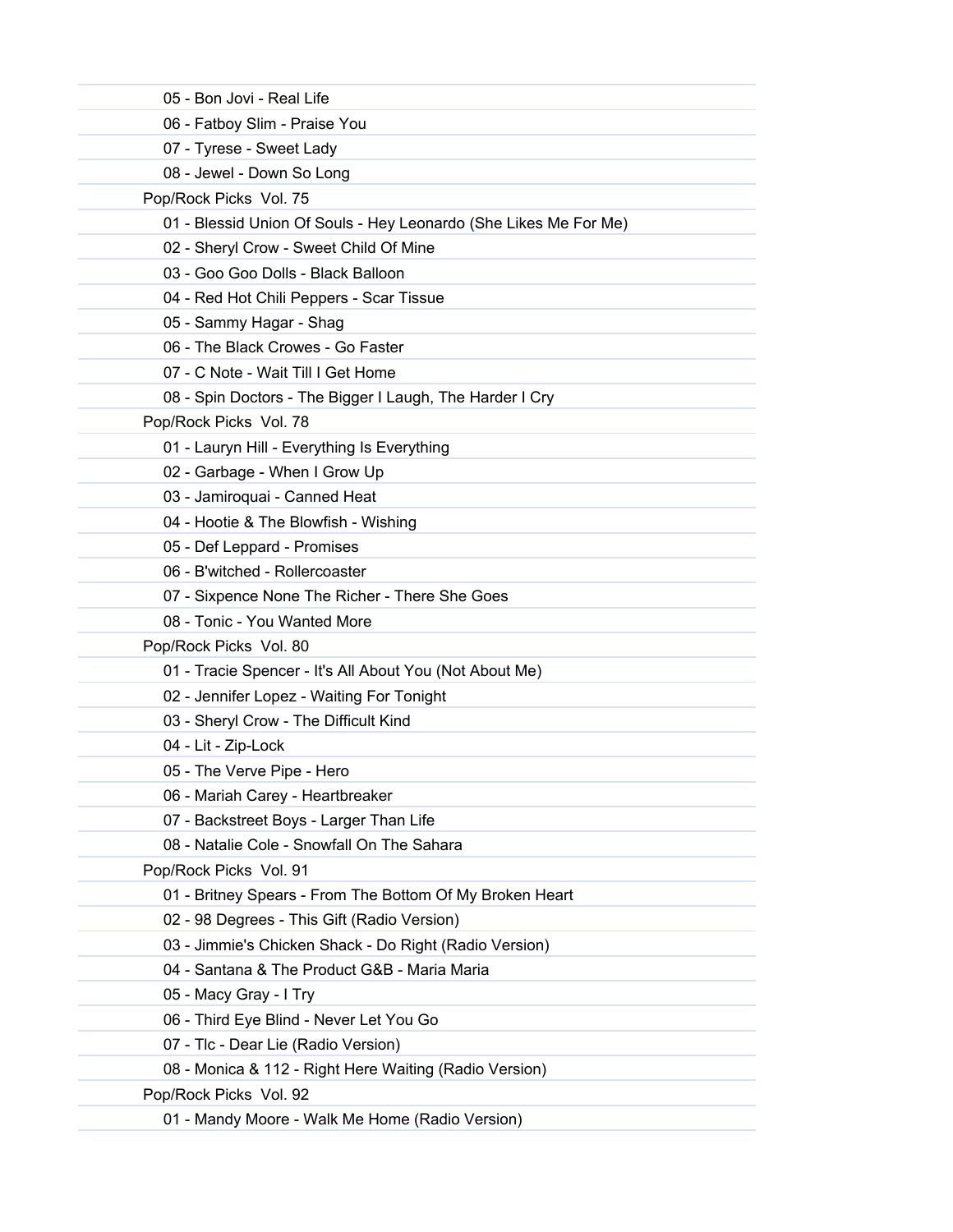| 05 - Bon Jovi - Real Life |                                                                  |
|---------------------------|------------------------------------------------------------------|
|                           | 06 - Fatboy Slim - Praise You                                    |
| 07 - Tyrese - Sweet Lady  |                                                                  |
|                           | 08 - Jewel - Down So Long                                        |
| Pop/Rock Picks Vol. 75    |                                                                  |
|                           | 01 - Blessid Union Of Souls - Hey Leonardo (She Likes Me For Me) |
|                           | 02 - Sheryl Crow - Sweet Child Of Mine                           |
|                           | 03 - Goo Goo Dolls - Black Balloon                               |
|                           | 04 - Red Hot Chili Peppers - Scar Tissue                         |
| 05 - Sammy Hagar - Shag   |                                                                  |
|                           | 06 - The Black Crowes - Go Faster                                |
|                           | 07 - C Note - Wait Till I Get Home                               |
|                           | 08 - Spin Doctors - The Bigger I Laugh, The Harder I Cry         |
| Pop/Rock Picks Vol. 78    |                                                                  |
|                           | 01 - Lauryn Hill - Everything Is Everything                      |
|                           | 02 - Garbage - When I Grow Up                                    |
|                           | 03 - Jamiroquai - Canned Heat                                    |
|                           | 04 - Hootie & The Blowfish - Wishing                             |
|                           | 05 - Def Leppard - Promises                                      |
|                           | 06 - B'witched - Rollercoaster                                   |
|                           | 07 - Sixpence None The Richer - There She Goes                   |
|                           | 08 - Tonic - You Wanted More                                     |
| Pop/Rock Picks Vol. 80    |                                                                  |
|                           | 01 - Tracie Spencer - It's All About You (Not About Me)          |
|                           | 02 - Jennifer Lopez - Waiting For Tonight                        |
|                           | 03 - Sheryl Crow - The Difficult Kind                            |
| 04 - Lit - Zip-Lock       |                                                                  |
|                           | 05 - The Verve Pipe - Hero                                       |
|                           | 06 - Mariah Carey - Heartbreaker                                 |
|                           | 07 - Backstreet Boys - Larger Than Life                          |
|                           | 08 - Natalie Cole - Snowfall On The Sahara                       |
| Pop/Rock Picks Vol. 91    |                                                                  |
|                           | 01 - Britney Spears - From The Bottom Of My Broken Heart         |
|                           | 02 - 98 Degrees - This Gift (Radio Version)                      |
|                           | 03 - Jimmie's Chicken Shack - Do Right (Radio Version)           |
|                           | 04 - Santana & The Product G&B - Maria Maria                     |
| 05 - Macy Gray - I Try    |                                                                  |
|                           | 06 - Third Eye Blind - Never Let You Go                          |
|                           | 07 - Tlc - Dear Lie (Radio Version)                              |
|                           | 08 - Monica & 112 - Right Here Waiting (Radio Version)           |
| Pop/Rock Picks Vol. 92    |                                                                  |
|                           | 01 - Mandy Moore - Walk Me Home (Radio Version)                  |
|                           |                                                                  |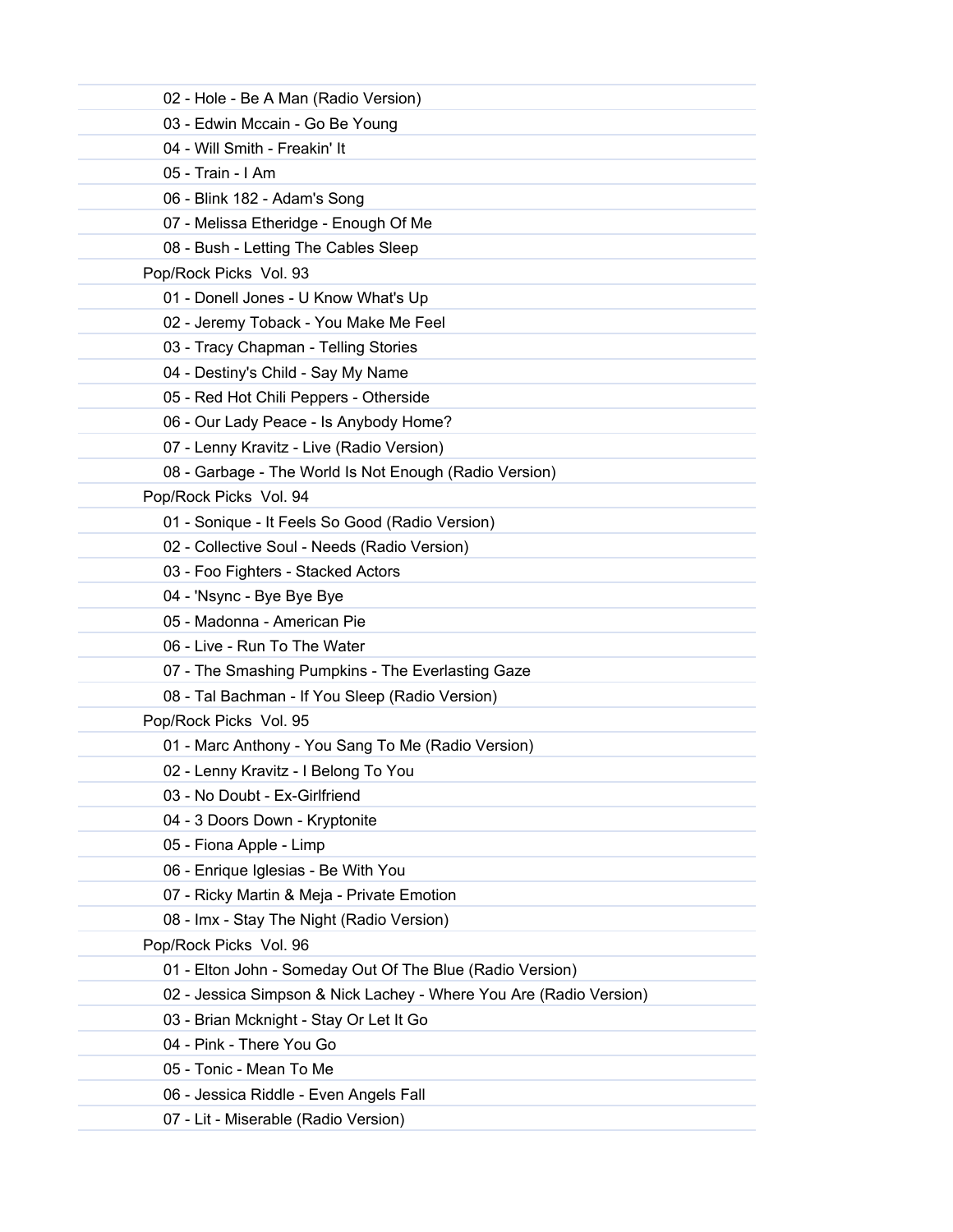| 02 - Hole - Be A Man (Radio Version)                               |
|--------------------------------------------------------------------|
| 03 - Edwin Mccain - Go Be Young                                    |
| 04 - Will Smith - Freakin' It                                      |
| 05 - Train - I Am                                                  |
| 06 - Blink 182 - Adam's Song                                       |
| 07 - Melissa Etheridge - Enough Of Me                              |
| 08 - Bush - Letting The Cables Sleep                               |
| Pop/Rock Picks Vol. 93                                             |
| 01 - Donell Jones - U Know What's Up                               |
| 02 - Jeremy Toback - You Make Me Feel                              |
| 03 - Tracy Chapman - Telling Stories                               |
| 04 - Destiny's Child - Say My Name                                 |
| 05 - Red Hot Chili Peppers - Otherside                             |
| 06 - Our Lady Peace - Is Anybody Home?                             |
| 07 - Lenny Kravitz - Live (Radio Version)                          |
| 08 - Garbage - The World Is Not Enough (Radio Version)             |
| Pop/Rock Picks Vol. 94                                             |
| 01 - Sonique - It Feels So Good (Radio Version)                    |
| 02 - Collective Soul - Needs (Radio Version)                       |
| 03 - Foo Fighters - Stacked Actors                                 |
| 04 - 'Nsync - Bye Bye Bye                                          |
| 05 - Madonna - American Pie                                        |
| 06 - Live - Run To The Water                                       |
| 07 - The Smashing Pumpkins - The Everlasting Gaze                  |
| 08 - Tal Bachman - If You Sleep (Radio Version)                    |
| Pop/Rock Picks Vol. 95                                             |
| 01 - Marc Anthony - You Sang To Me (Radio Version)                 |
| 02 - Lenny Kravitz - I Belong To You                               |
| 03 - No Doubt - Ex-Girlfriend                                      |
| 04 - 3 Doors Down - Kryptonite                                     |
| 05 - Fiona Apple - Limp                                            |
| 06 - Enrique Iglesias - Be With You                                |
| 07 - Ricky Martin & Meja - Private Emotion                         |
| 08 - Imx - Stay The Night (Radio Version)                          |
| Pop/Rock Picks Vol. 96                                             |
| 01 - Elton John - Someday Out Of The Blue (Radio Version)          |
| 02 - Jessica Simpson & Nick Lachey - Where You Are (Radio Version) |
| 03 - Brian Mcknight - Stay Or Let It Go                            |
| 04 - Pink - There You Go                                           |
| 05 - Tonic - Mean To Me                                            |
| 06 - Jessica Riddle - Even Angels Fall                             |
| 07 - Lit - Miserable (Radio Version)                               |
|                                                                    |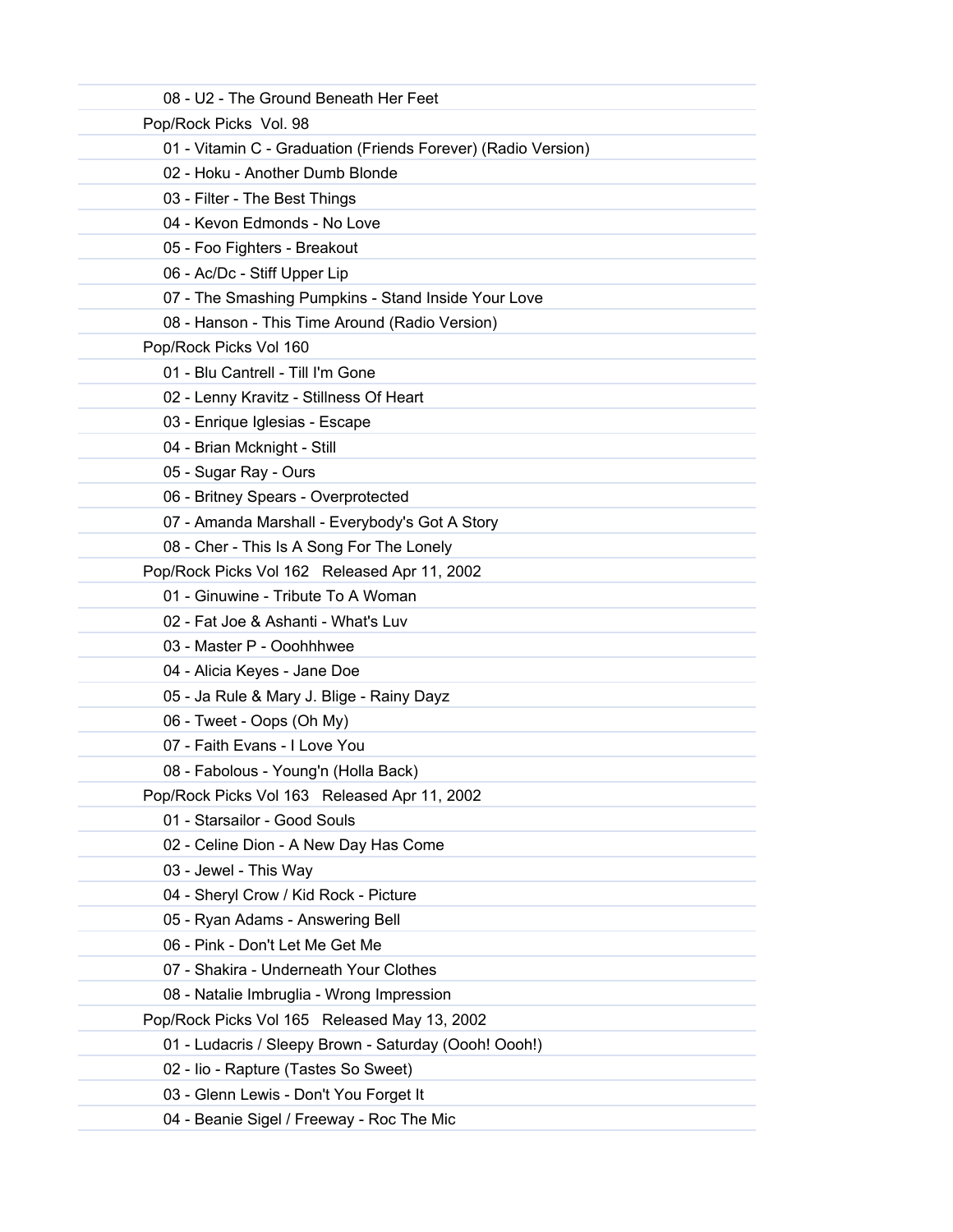| 08 - U2 - The Ground Beneath Her Feet                         |  |
|---------------------------------------------------------------|--|
| Pop/Rock Picks Vol. 98                                        |  |
| 01 - Vitamin C - Graduation (Friends Forever) (Radio Version) |  |
| 02 - Hoku - Another Dumb Blonde                               |  |
| 03 - Filter - The Best Things                                 |  |
| 04 - Kevon Edmonds - No Love                                  |  |
| 05 - Foo Fighters - Breakout                                  |  |
| 06 - Ac/Dc - Stiff Upper Lip                                  |  |
| 07 - The Smashing Pumpkins - Stand Inside Your Love           |  |
| 08 - Hanson - This Time Around (Radio Version)                |  |
| Pop/Rock Picks Vol 160                                        |  |
| 01 - Blu Cantrell - Till I'm Gone                             |  |
| 02 - Lenny Kravitz - Stillness Of Heart                       |  |
| 03 - Enrique Iglesias - Escape                                |  |
| 04 - Brian Mcknight - Still<br>05 - Sugar Ray - Ours          |  |
| 06 - Britney Spears - Overprotected                           |  |
| 07 - Amanda Marshall - Everybody's Got A Story                |  |
| 08 - Cher - This Is A Song For The Lonely                     |  |
| Pop/Rock Picks Vol 162 Released Apr 11, 2002                  |  |
| 01 - Ginuwine - Tribute To A Woman                            |  |
| 02 - Fat Joe & Ashanti - What's Luv                           |  |
| 03 - Master P - Ooohhhwee                                     |  |
| 04 - Alicia Keyes - Jane Doe                                  |  |
| 05 - Ja Rule & Mary J. Blige - Rainy Dayz                     |  |
| 06 - Tweet - Oops (Oh My)                                     |  |
| 07 - Faith Evans - I Love You                                 |  |
| 08 - Fabolous - Young'n (Holla Back)                          |  |
| Pop/Rock Picks Vol 163 Released Apr 11, 2002                  |  |
| 01 - Starsailor - Good Souls                                  |  |
| 02 - Celine Dion - A New Day Has Come                         |  |
| 03 - Jewel - This Way                                         |  |
| 04 - Sheryl Crow / Kid Rock - Picture                         |  |
| 05 - Ryan Adams - Answering Bell                              |  |
| 06 - Pink - Don't Let Me Get Me                               |  |
| 07 - Shakira - Underneath Your Clothes                        |  |
| 08 - Natalie Imbruglia - Wrong Impression                     |  |
| Pop/Rock Picks Vol 165 Released May 13, 2002                  |  |
| 01 - Ludacris / Sleepy Brown - Saturday (Oooh! Oooh!)         |  |
| 02 - Iio - Rapture (Tastes So Sweet)                          |  |
| 03 - Glenn Lewis - Don't You Forget It                        |  |
| 04 - Beanie Sigel / Freeway - Roc The Mic                     |  |
|                                                               |  |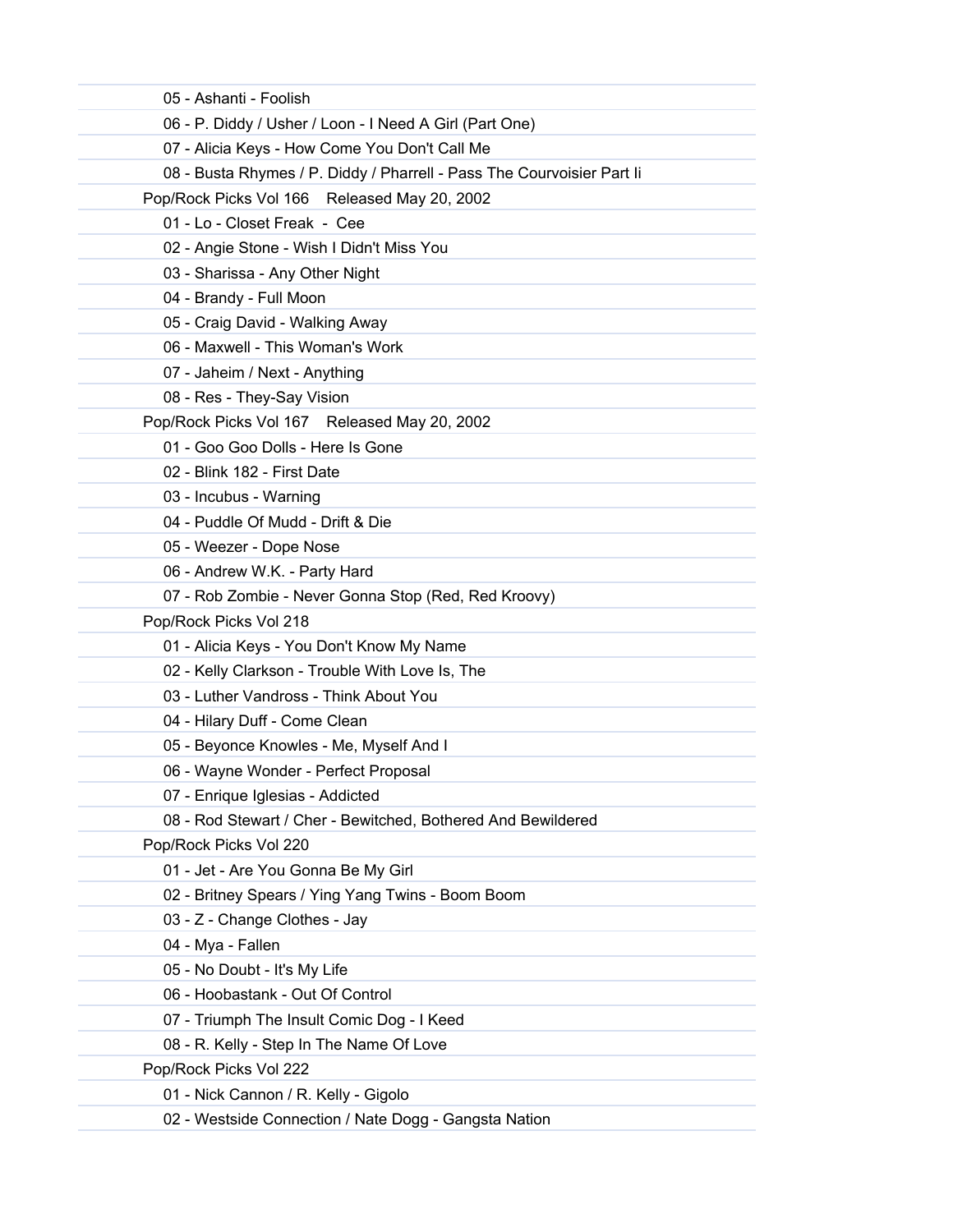| 05 - Ashanti - Foolish                                                 |
|------------------------------------------------------------------------|
| 06 - P. Diddy / Usher / Loon - I Need A Girl (Part One)                |
| 07 - Alicia Keys - How Come You Don't Call Me                          |
| 08 - Busta Rhymes / P. Diddy / Pharrell - Pass The Courvoisier Part li |
| Pop/Rock Picks Vol 166 Released May 20, 2002                           |
| 01 - Lo - Closet Freak - Cee                                           |
| 02 - Angie Stone - Wish I Didn't Miss You                              |
| 03 - Sharissa - Any Other Night                                        |
| 04 - Brandy - Full Moon                                                |
| 05 - Craig David - Walking Away                                        |
| 06 - Maxwell - This Woman's Work                                       |
| 07 - Jaheim / Next - Anything                                          |
| 08 - Res - They-Say Vision                                             |
| Pop/Rock Picks Vol 167 Released May 20, 2002                           |
| 01 - Goo Goo Dolls - Here Is Gone                                      |
| 02 - Blink 182 - First Date                                            |
| 03 - Incubus - Warning                                                 |
| 04 - Puddle Of Mudd - Drift & Die                                      |
| 05 - Weezer - Dope Nose                                                |
| 06 - Andrew W.K. - Party Hard                                          |
| 07 - Rob Zombie - Never Gonna Stop (Red, Red Kroovy)                   |
| Pop/Rock Picks Vol 218                                                 |
| 01 - Alicia Keys - You Don't Know My Name                              |
| 02 - Kelly Clarkson - Trouble With Love Is, The                        |
| 03 - Luther Vandross - Think About You                                 |
| 04 - Hilary Duff - Come Clean                                          |
| 05 - Beyonce Knowles - Me, Myself And I                                |
| 06 - Wayne Wonder - Perfect Proposal                                   |
| 07 - Enrique Iglesias - Addicted                                       |
| 08 - Rod Stewart / Cher - Bewitched, Bothered And Bewildered           |
| Pop/Rock Picks Vol 220                                                 |
| 01 - Jet - Are You Gonna Be My Girl                                    |
| 02 - Britney Spears / Ying Yang Twins - Boom Boom                      |
| 03 - Z - Change Clothes - Jay                                          |
| 04 - Mya - Fallen                                                      |
| 05 - No Doubt - It's My Life                                           |
| 06 - Hoobastank - Out Of Control                                       |
| 07 - Triumph The Insult Comic Dog - I Keed                             |
| 08 - R. Kelly - Step In The Name Of Love                               |
| Pop/Rock Picks Vol 222                                                 |
| 01 - Nick Cannon / R. Kelly - Gigolo                                   |
| 02 - Westside Connection / Nate Dogg - Gangsta Nation                  |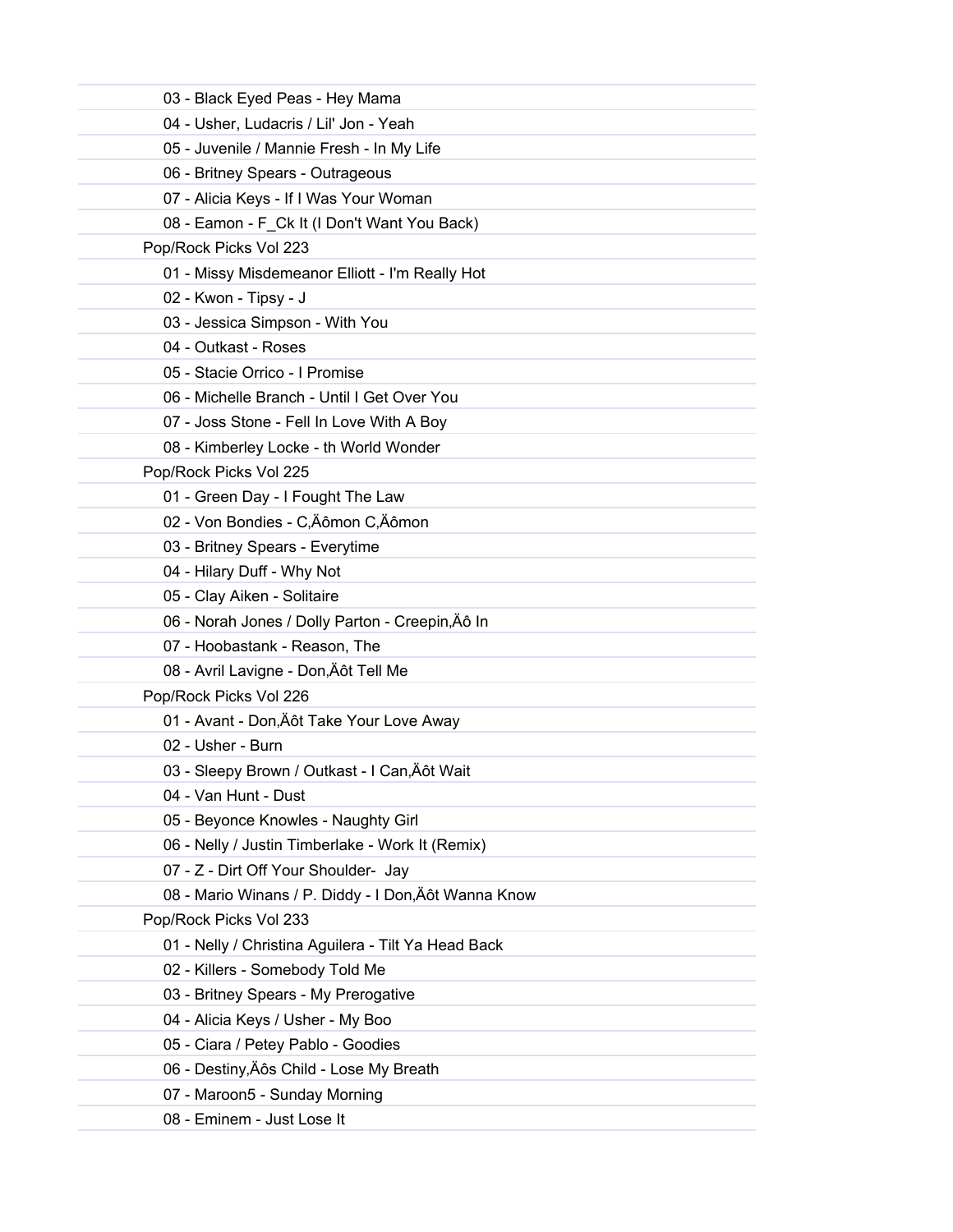| 03 - Black Eyed Peas - Hey Mama                      |  |
|------------------------------------------------------|--|
| 04 - Usher, Ludacris / Lil' Jon - Yeah               |  |
| 05 - Juvenile / Mannie Fresh - In My Life            |  |
| 06 - Britney Spears - Outrageous                     |  |
| 07 - Alicia Keys - If I Was Your Woman               |  |
| 08 - Eamon - F_Ck It (I Don't Want You Back)         |  |
| Pop/Rock Picks Vol 223                               |  |
| 01 - Missy Misdemeanor Elliott - I'm Really Hot      |  |
| 02 - Kwon - Tipsy - J                                |  |
| 03 - Jessica Simpson - With You                      |  |
| 04 - Outkast - Roses                                 |  |
| 05 - Stacie Orrico - I Promise                       |  |
| 06 - Michelle Branch - Until I Get Over You          |  |
| 07 - Joss Stone - Fell In Love With A Boy            |  |
| 08 - Kimberley Locke - th World Wonder               |  |
| Pop/Rock Picks Vol 225                               |  |
| 01 - Green Day - I Fought The Law                    |  |
| 02 - Von Bondies - C,Äômon C,Äômon                   |  |
| 03 - Britney Spears - Everytime                      |  |
| 04 - Hilary Duff - Why Not                           |  |
| 05 - Clay Aiken - Solitaire                          |  |
| 06 - Norah Jones / Dolly Parton - Creepin, Äô In     |  |
| 07 - Hoobastank - Reason, The                        |  |
| 08 - Avril Lavigne - Don, Äôt Tell Me                |  |
| Pop/Rock Picks Vol 226                               |  |
| 01 - Avant - Don, Äôt Take Your Love Away            |  |
| 02 - Usher - Burn                                    |  |
| 03 - Sleepy Brown / Outkast - I Can, Äôt Wait        |  |
| 04 - Van Hunt - Dust                                 |  |
| 05 - Beyonce Knowles - Naughty Girl                  |  |
| 06 - Nelly / Justin Timberlake - Work It (Remix)     |  |
| 07 - Z - Dirt Off Your Shoulder- Jay                 |  |
| 08 - Mario Winans / P. Diddy - I Don, Äôt Wanna Know |  |
| Pop/Rock Picks Vol 233                               |  |
| 01 - Nelly / Christina Aguilera - Tilt Ya Head Back  |  |
| 02 - Killers - Somebody Told Me                      |  |
| 03 - Britney Spears - My Prerogative                 |  |
| 04 - Alicia Keys / Usher - My Boo                    |  |
| 05 - Ciara / Petey Pablo - Goodies                   |  |
| 06 - Destiny, Äôs Child - Lose My Breath             |  |
| 07 - Maroon5 - Sunday Morning                        |  |
| 08 - Eminem - Just Lose It                           |  |
|                                                      |  |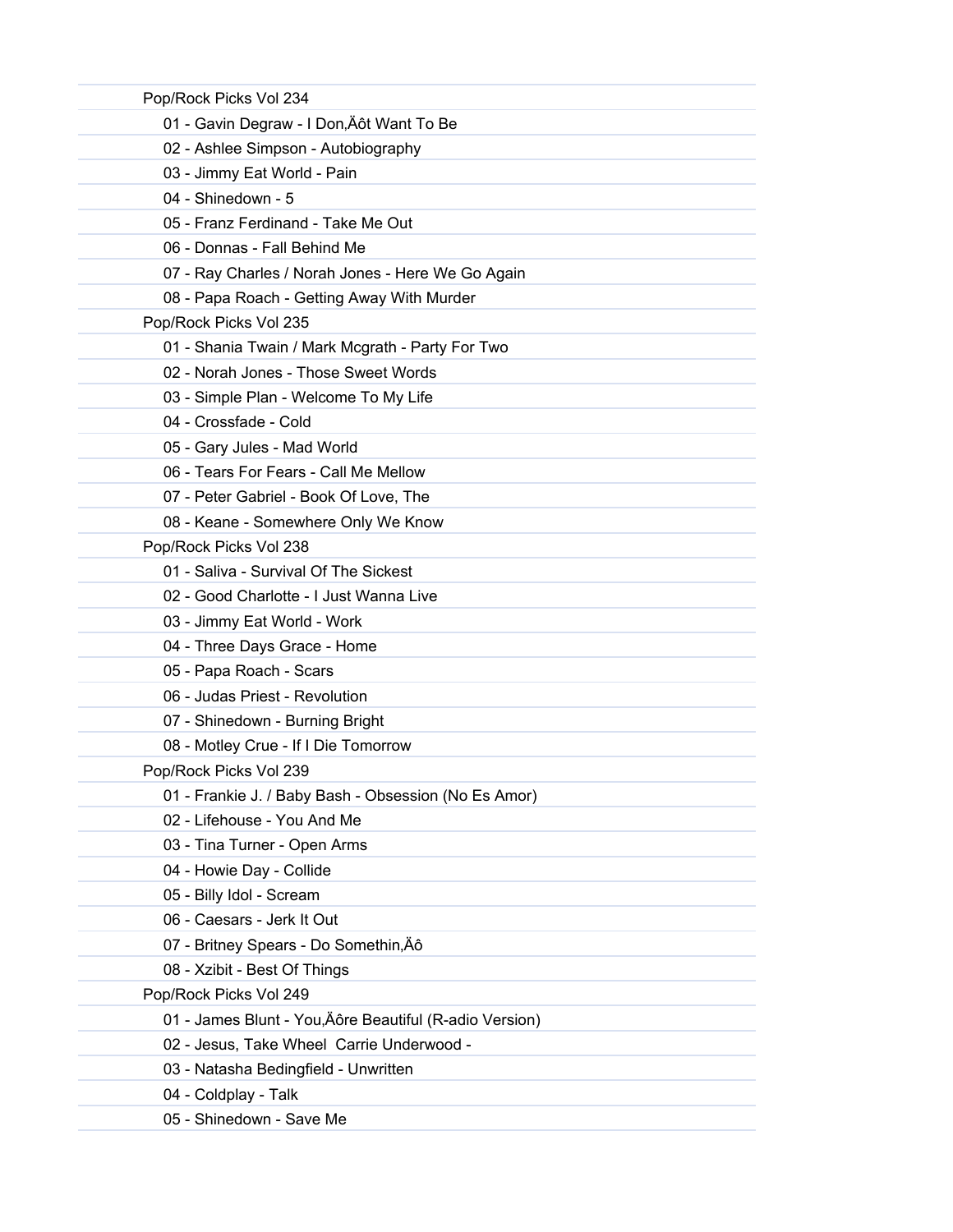| Pop/Rock Picks Vol 234                                  |
|---------------------------------------------------------|
| 01 - Gavin Degraw - I Don, Äôt Want To Be               |
| 02 - Ashlee Simpson - Autobiography                     |
| 03 - Jimmy Eat World - Pain                             |
| 04 - Shinedown - 5                                      |
| 05 - Franz Ferdinand - Take Me Out                      |
| 06 - Donnas - Fall Behind Me                            |
| 07 - Ray Charles / Norah Jones - Here We Go Again       |
| 08 - Papa Roach - Getting Away With Murder              |
| Pop/Rock Picks Vol 235                                  |
| 01 - Shania Twain / Mark Mcgrath - Party For Two        |
| 02 - Norah Jones - Those Sweet Words                    |
| 03 - Simple Plan - Welcome To My Life                   |
| 04 - Crossfade - Cold                                   |
| 05 - Gary Jules - Mad World                             |
| 06 - Tears For Fears - Call Me Mellow                   |
| 07 - Peter Gabriel - Book Of Love, The                  |
| 08 - Keane - Somewhere Only We Know                     |
| Pop/Rock Picks Vol 238                                  |
| 01 - Saliva - Survival Of The Sickest                   |
| 02 - Good Charlotte - I Just Wanna Live                 |
| 03 - Jimmy Eat World - Work                             |
| 04 - Three Days Grace - Home                            |
| 05 - Papa Roach - Scars                                 |
| 06 - Judas Priest - Revolution                          |
| 07 - Shinedown - Burning Bright                         |
| 08 - Motley Crue - If I Die Tomorrow                    |
| Pop/Rock Picks Vol 239                                  |
| 01 - Frankie J. / Baby Bash - Obsession (No Es Amor)    |
| 02 - Lifehouse - You And Me                             |
| 03 - Tina Turner - Open Arms                            |
| 04 - Howie Day - Collide                                |
| 05 - Billy Idol - Scream                                |
| 06 - Caesars - Jerk It Out                              |
| 07 - Britney Spears - Do Somethin, Äô                   |
| 08 - Xzibit - Best Of Things                            |
| Pop/Rock Picks Vol 249                                  |
| 01 - James Blunt - You, Äôre Beautiful (R-adio Version) |
| 02 - Jesus, Take Wheel Carrie Underwood -               |
| 03 - Natasha Bedingfield - Unwritten                    |
| 04 - Coldplay - Talk                                    |
| 05 - Shinedown - Save Me                                |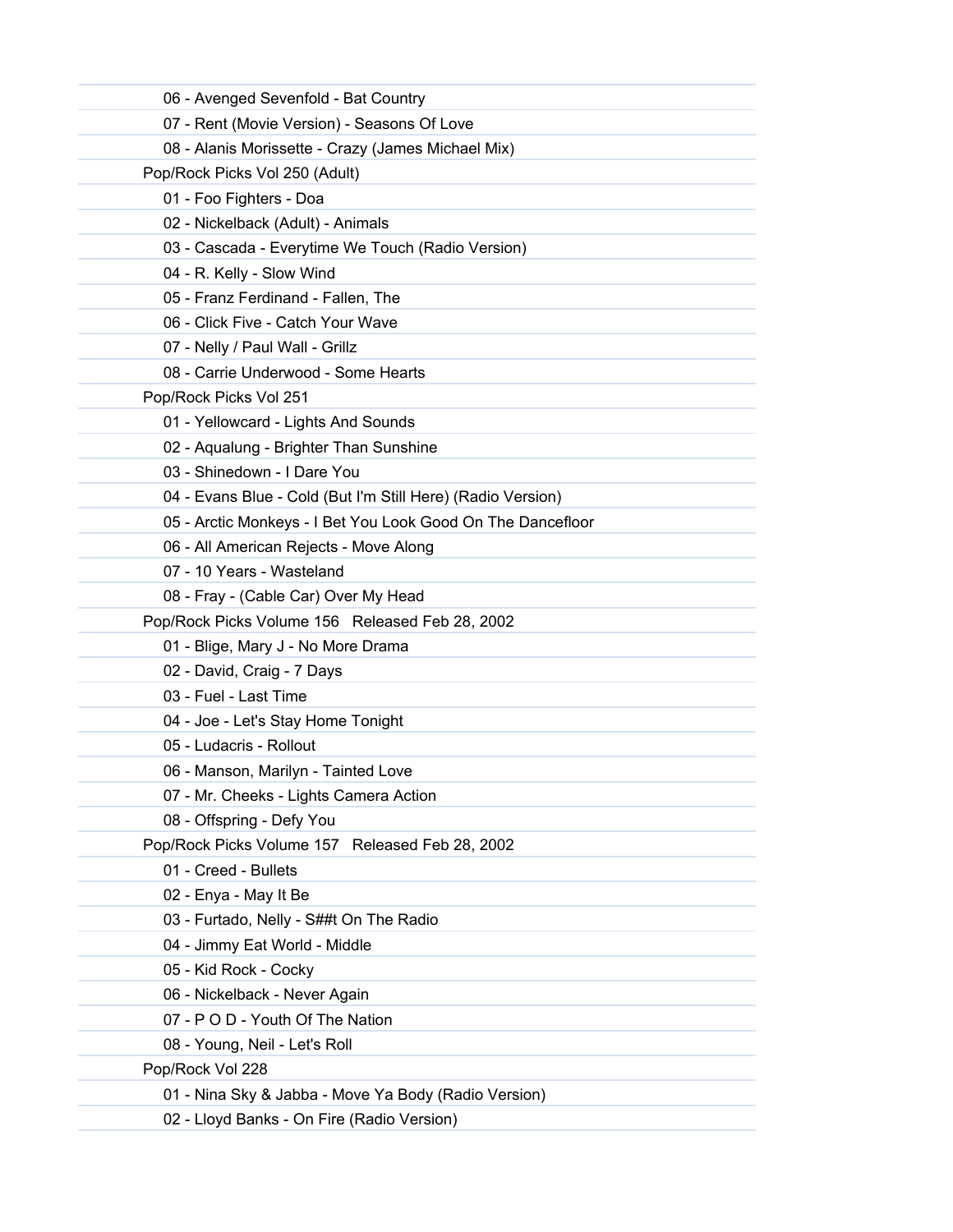| 06 - Avenged Sevenfold - Bat Country                        |
|-------------------------------------------------------------|
| 07 - Rent (Movie Version) - Seasons Of Love                 |
| 08 - Alanis Morissette - Crazy (James Michael Mix)          |
| Pop/Rock Picks Vol 250 (Adult)                              |
| 01 - Foo Fighters - Doa                                     |
| 02 - Nickelback (Adult) - Animals                           |
| 03 - Cascada - Everytime We Touch (Radio Version)           |
| 04 - R. Kelly - Slow Wind                                   |
| 05 - Franz Ferdinand - Fallen, The                          |
| 06 - Click Five - Catch Your Wave                           |
| 07 - Nelly / Paul Wall - Grillz                             |
| 08 - Carrie Underwood - Some Hearts                         |
| Pop/Rock Picks Vol 251                                      |
| 01 - Yellowcard - Lights And Sounds                         |
| 02 - Aqualung - Brighter Than Sunshine                      |
| 03 - Shinedown - I Dare You                                 |
| 04 - Evans Blue - Cold (But I'm Still Here) (Radio Version) |
| 05 - Arctic Monkeys - I Bet You Look Good On The Dancefloor |
| 06 - All American Rejects - Move Along                      |
| 07 - 10 Years - Wasteland                                   |
| 08 - Fray - (Cable Car) Over My Head                        |
| Pop/Rock Picks Volume 156 Released Feb 28, 2002             |
| 01 - Blige, Mary J - No More Drama                          |
| 02 - David, Craig - 7 Days                                  |
| 03 - Fuel - Last Time                                       |
| 04 - Joe - Let's Stay Home Tonight                          |
| 05 - Ludacris - Rollout                                     |
| 06 - Manson, Marilyn - Tainted Love                         |
| 07 - Mr. Cheeks - Lights Camera Action                      |
| 08 - Offspring - Defy You                                   |
| Pop/Rock Picks Volume 157 Released Feb 28, 2002             |
| 01 - Creed - Bullets                                        |
| 02 - Enya - May It Be                                       |
| 03 - Furtado, Nelly - S##t On The Radio                     |
| 04 - Jimmy Eat World - Middle                               |
| 05 - Kid Rock - Cocky                                       |
| 06 - Nickelback - Never Again                               |
| 07 - P O D - Youth Of The Nation                            |
| 08 - Young, Neil - Let's Roll                               |
| Pop/Rock Vol 228                                            |
| 01 - Nina Sky & Jabba - Move Ya Body (Radio Version)        |
| 02 - Lloyd Banks - On Fire (Radio Version)                  |
|                                                             |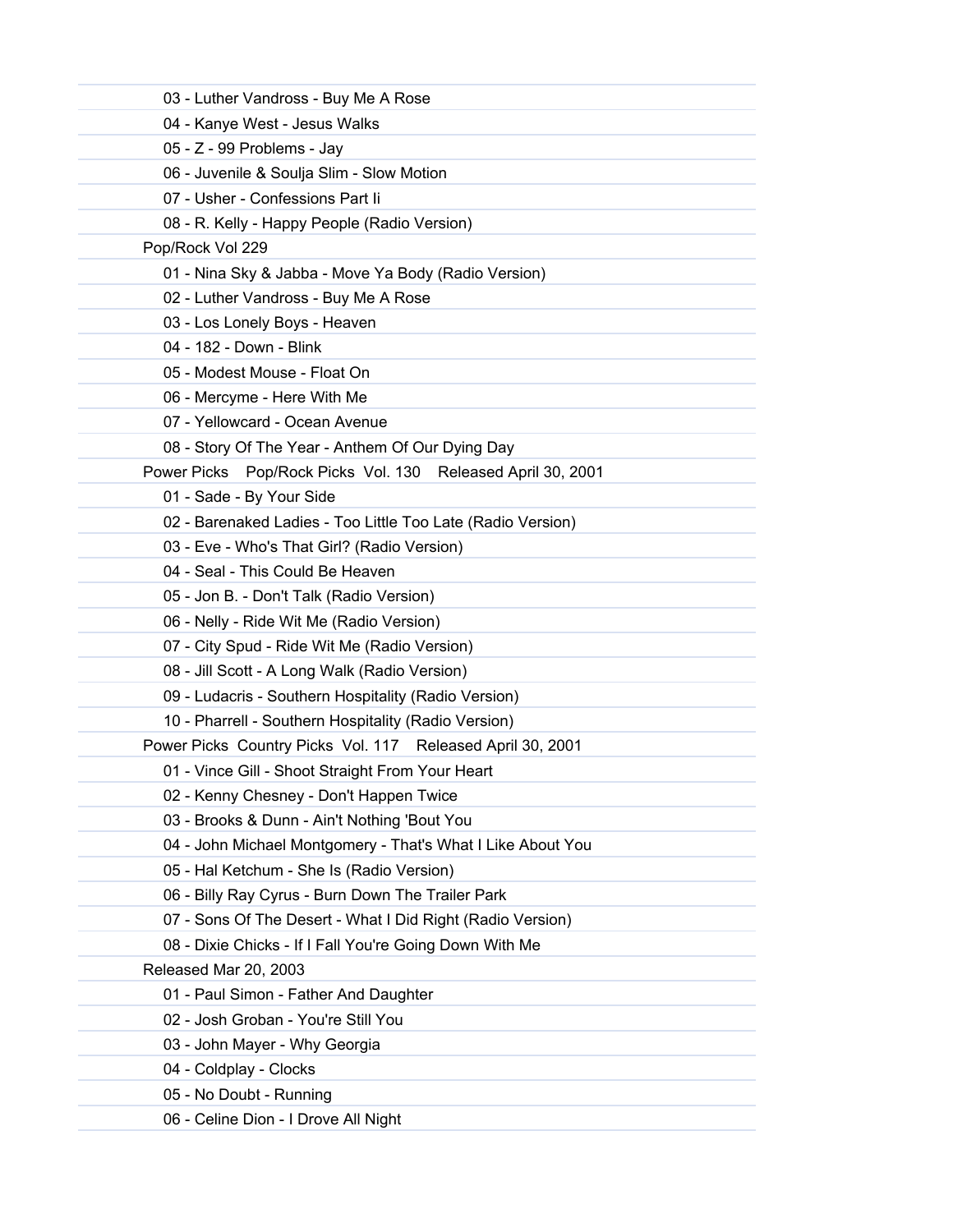| 03 - Luther Vandross - Buy Me A Rose                        |  |
|-------------------------------------------------------------|--|
| 04 - Kanye West - Jesus Walks                               |  |
| 05 - Z - 99 Problems - Jay                                  |  |
| 06 - Juvenile & Soulja Slim - Slow Motion                   |  |
| 07 - Usher - Confessions Part li                            |  |
| 08 - R. Kelly - Happy People (Radio Version)                |  |
| Pop/Rock Vol 229                                            |  |
| 01 - Nina Sky & Jabba - Move Ya Body (Radio Version)        |  |
| 02 - Luther Vandross - Buy Me A Rose                        |  |
| 03 - Los Lonely Boys - Heaven                               |  |
| 04 - 182 - Down - Blink                                     |  |
| 05 - Modest Mouse - Float On                                |  |
| 06 - Mercyme - Here With Me                                 |  |
| 07 - Yellowcard - Ocean Avenue                              |  |
| 08 - Story Of The Year - Anthem Of Our Dying Day            |  |
| Power Picks Pop/Rock Picks Vol. 130 Released April 30, 2001 |  |
| 01 - Sade - By Your Side                                    |  |
| 02 - Barenaked Ladies - Too Little Too Late (Radio Version) |  |
| 03 - Eve - Who's That Girl? (Radio Version)                 |  |
| 04 - Seal - This Could Be Heaven                            |  |
| 05 - Jon B. - Don't Talk (Radio Version)                    |  |
| 06 - Nelly - Ride Wit Me (Radio Version)                    |  |
| 07 - City Spud - Ride Wit Me (Radio Version)                |  |
| 08 - Jill Scott - A Long Walk (Radio Version)               |  |
| 09 - Ludacris - Southern Hospitality (Radio Version)        |  |
| 10 - Pharrell - Southern Hospitality (Radio Version)        |  |
| Power Picks Country Picks Vol. 117 Released April 30, 2001  |  |
| 01 - Vince Gill - Shoot Straight From Your Heart            |  |
| 02 - Kenny Chesney - Don't Happen Twice                     |  |
| 03 - Brooks & Dunn - Ain't Nothing 'Bout You                |  |
| 04 - John Michael Montgomery - That's What I Like About You |  |
| 05 - Hal Ketchum - She Is (Radio Version)                   |  |
| 06 - Billy Ray Cyrus - Burn Down The Trailer Park           |  |
| 07 - Sons Of The Desert - What I Did Right (Radio Version)  |  |
| 08 - Dixie Chicks - If I Fall You're Going Down With Me     |  |
| Released Mar 20, 2003                                       |  |
| 01 - Paul Simon - Father And Daughter                       |  |
| 02 - Josh Groban - You're Still You                         |  |
| 03 - John Mayer - Why Georgia                               |  |
| 04 - Coldplay - Clocks                                      |  |
| 05 - No Doubt - Running                                     |  |
| 06 - Celine Dion - I Drove All Night                        |  |
|                                                             |  |